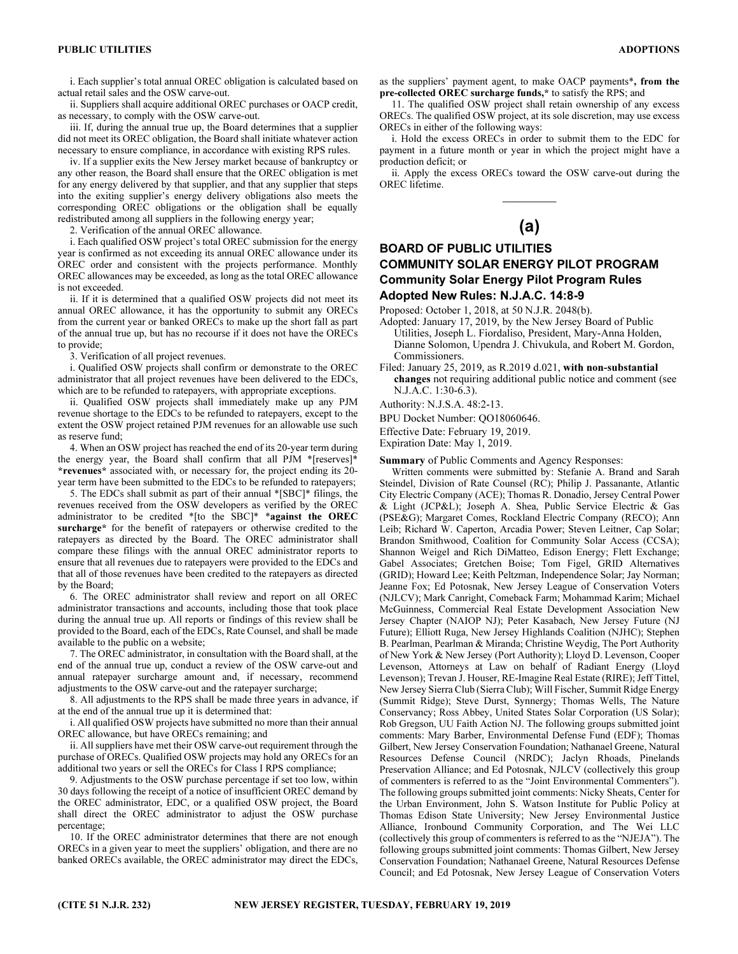i. Each supplier's total annual OREC obligation is calculated based on actual retail sales and the OSW carve-out.

ii. Suppliers shall acquire additional OREC purchases or OACP credit, as necessary, to comply with the OSW carve-out.

iii. If, during the annual true up, the Board determines that a supplier did not meet its OREC obligation, the Board shall initiate whatever action necessary to ensure compliance, in accordance with existing RPS rules.

iv. If a supplier exits the New Jersey market because of bankruptcy or any other reason, the Board shall ensure that the OREC obligation is met for any energy delivered by that supplier, and that any supplier that steps into the exiting supplier's energy delivery obligations also meets the corresponding OREC obligations or the obligation shall be equally redistributed among all suppliers in the following energy year;

2. Verification of the annual OREC allowance.

i. Each qualified OSW project's total OREC submission for the energy year is confirmed as not exceeding its annual OREC allowance under its OREC order and consistent with the projects performance. Monthly OREC allowances may be exceeded, as long as the total OREC allowance is not exceeded.

ii. If it is determined that a qualified OSW projects did not meet its annual OREC allowance, it has the opportunity to submit any ORECs from the current year or banked ORECs to make up the short fall as part of the annual true up, but has no recourse if it does not have the ORECs to provide;

3. Verification of all project revenues.

i. Qualified OSW projects shall confirm or demonstrate to the OREC administrator that all project revenues have been delivered to the EDCs, which are to be refunded to ratepayers, with appropriate exceptions.

ii. Qualified OSW projects shall immediately make up any PJM revenue shortage to the EDCs to be refunded to ratepayers, except to the extent the OSW project retained PJM revenues for an allowable use such as reserve fund;

4. When an OSW project has reached the end of its 20-year term during the energy year, the Board shall confirm that all PJM \*[reserves]\* \*revenues\* associated with, or necessary for, the project ending its 20 year term have been submitted to the EDCs to be refunded to ratepayers;

5. The EDCs shall submit as part of their annual \*[SBC]\* filings, the revenues received from the OSW developers as verified by the OREC administrator to be credited \*[to the SBC]\* \*against the OREC surcharge\* for the benefit of ratepayers or otherwise credited to the ratepayers as directed by the Board. The OREC administrator shall compare these filings with the annual OREC administrator reports to ensure that all revenues due to ratepayers were provided to the EDCs and that all of those revenues have been credited to the ratepayers as directed by the Board;

6. The OREC administrator shall review and report on all OREC administrator transactions and accounts, including those that took place during the annual true up. All reports or findings of this review shall be provided to the Board, each of the EDCs, Rate Counsel, and shall be made available to the public on a website;

7. The OREC administrator, in consultation with the Board shall, at the end of the annual true up, conduct a review of the OSW carve-out and annual ratepayer surcharge amount and, if necessary, recommend adjustments to the OSW carve-out and the ratepayer surcharge;

8. All adjustments to the RPS shall be made three years in advance, if at the end of the annual true up it is determined that:

i. All qualified OSW projects have submitted no more than their annual OREC allowance, but have ORECs remaining; and

ii. All suppliers have met their OSW carve-out requirement through the purchase of ORECs. Qualified OSW projects may hold any ORECs for an additional two years or sell the ORECs for Class I RPS compliance;

9. Adjustments to the OSW purchase percentage if set too low, within 30 days following the receipt of a notice of insufficient OREC demand by the OREC administrator, EDC, or a qualified OSW project, the Board shall direct the OREC administrator to adjust the OSW purchase percentage;

10. If the OREC administrator determines that there are not enough ORECs in a given year to meet the suppliers' obligation, and there are no banked ORECs available, the OREC administrator may direct the EDCs, as the suppliers' payment agent, to make OACP payments\*, from the pre-collected OREC surcharge funds,\* to satisfy the RPS; and

11. The qualified OSW project shall retain ownership of any excess ORECs. The qualified OSW project, at its sole discretion, may use excess ORECs in either of the following ways:

i. Hold the excess ORECs in order to submit them to the EDC for payment in a future month or year in which the project might have a production deficit; or

ii. Apply the excess ORECs toward the OSW carve-out during the OREC lifetime.

# $\overline{\phantom{a}}$ (a)

## BOARD OF PUBLIC UTILITIES COMMUNITY SOLAR ENERGY PILOT PROGRAM Community Solar Energy Pilot Program Rules Adopted New Rules: N.J.A.C. 14:8-9

Proposed: October 1, 2018, at 50 N.J.R. 2048(b).

Adopted: January 17, 2019, by the New Jersey Board of Public Utilities, Joseph L. Fiordaliso, President, Mary-Anna Holden, Dianne Solomon, Upendra J. Chivukula, and Robert M. Gordon, Commissioners.

Filed: January 25, 2019, as R.2019 d.021, with non-substantial changes not requiring additional public notice and comment (see N.J.A.C. 1:30-6.3).

Authority: N.J.S.A. 48:2-13.

BPU Docket Number: QO18060646.

Effective Date: February 19, 2019.

Expiration Date: May 1, 2019.

Summary of Public Comments and Agency Responses:

Written comments were submitted by: Stefanie A. Brand and Sarah Steindel, Division of Rate Counsel (RC); Philip J. Passanante, Atlantic City Electric Company (ACE); Thomas R. Donadio, Jersey Central Power & Light (JCP&L); Joseph A. Shea, Public Service Electric & Gas (PSE&G); Margaret Comes, Rockland Electric Company (RECO); Ann Leib; Richard W. Caperton, Arcadia Power; Steven Leitner, Cap Solar; Brandon Smithwood, Coalition for Community Solar Access (CCSA); Shannon Weigel and Rich DiMatteo, Edison Energy; Flett Exchange; Gabel Associates; Gretchen Boise; Tom Figel, GRID Alternatives (GRID); Howard Lee; Keith Peltzman, Independence Solar; Jay Norman; Jeanne Fox; Ed Potosnak, New Jersey League of Conservation Voters (NJLCV); Mark Canright, Comeback Farm; Mohammad Karim; Michael McGuinness, Commercial Real Estate Development Association New Jersey Chapter (NAIOP NJ); Peter Kasabach, New Jersey Future (NJ Future); Elliott Ruga, New Jersey Highlands Coalition (NJHC); Stephen B. Pearlman, Pearlman & Miranda; Christine Weydig, The Port Authority of New York & New Jersey (Port Authority); Lloyd D. Levenson, Cooper Levenson, Attorneys at Law on behalf of Radiant Energy (Lloyd Levenson); Trevan J. Houser, RE-Imagine Real Estate (RIRE); Jeff Tittel, New Jersey Sierra Club (Sierra Club); Will Fischer, Summit Ridge Energy (Summit Ridge); Steve Durst, Synnergy; Thomas Wells, The Nature Conservancy; Ross Abbey, United States Solar Corporation (US Solar); Rob Gregson, UU Faith Action NJ. The following groups submitted joint comments: Mary Barber, Environmental Defense Fund (EDF); Thomas Gilbert, New Jersey Conservation Foundation; Nathanael Greene, Natural Resources Defense Council (NRDC); Jaclyn Rhoads, Pinelands Preservation Alliance; and Ed Potosnak, NJLCV (collectively this group of commenters is referred to as the "Joint Environmental Commenters"). The following groups submitted joint comments: Nicky Sheats, Center for the Urban Environment, John S. Watson Institute for Public Policy at Thomas Edison State University; New Jersey Environmental Justice Alliance, Ironbound Community Corporation, and The Wei LLC (collectively this group of commenters is referred to as the "NJEJA"). The following groups submitted joint comments: Thomas Gilbert, New Jersey Conservation Foundation; Nathanael Greene, Natural Resources Defense Council; and Ed Potosnak, New Jersey League of Conservation Voters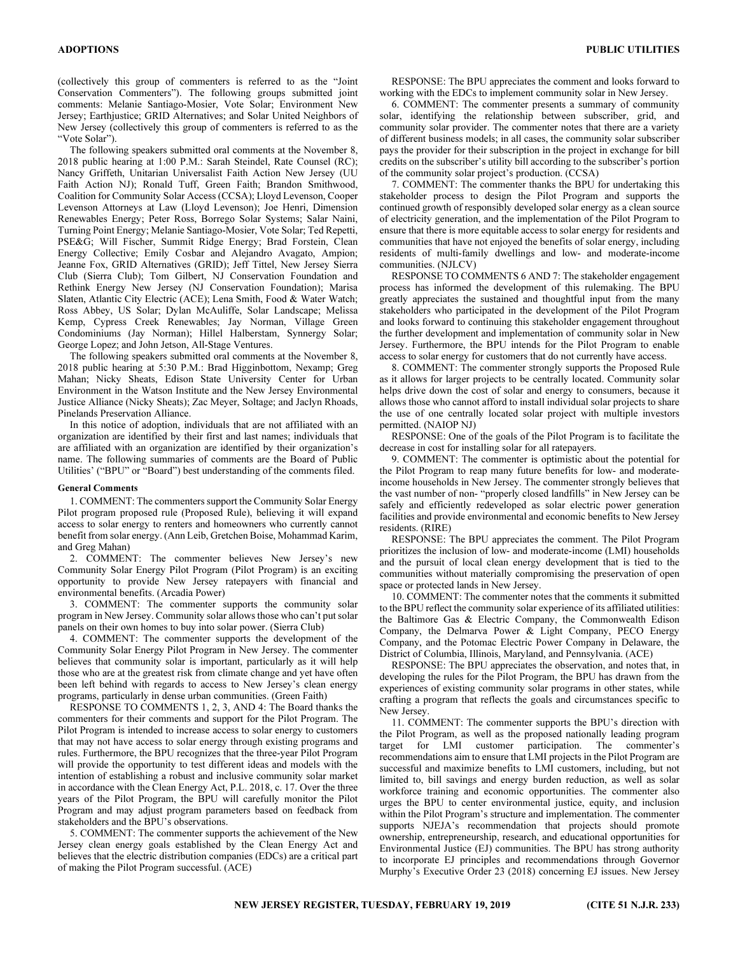(collectively this group of commenters is referred to as the "Joint Conservation Commenters"). The following groups submitted joint comments: Melanie Santiago-Mosier, Vote Solar; Environment New Jersey; Earthjustice; GRID Alternatives; and Solar United Neighbors of New Jersey (collectively this group of commenters is referred to as the "Vote Solar").

The following speakers submitted oral comments at the November 8, 2018 public hearing at 1:00 P.M.: Sarah Steindel, Rate Counsel (RC); Nancy Griffeth, Unitarian Universalist Faith Action New Jersey (UU Faith Action NJ); Ronald Tuff, Green Faith; Brandon Smithwood, Coalition for Community Solar Access (CCSA); Lloyd Levenson, Cooper Levenson Attorneys at Law (Lloyd Levenson); Joe Henri, Dimension Renewables Energy; Peter Ross, Borrego Solar Systems; Salar Naini, Turning Point Energy; Melanie Santiago-Mosier, Vote Solar; Ted Repetti, PSE&G; Will Fischer, Summit Ridge Energy; Brad Forstein, Clean Energy Collective; Emily Cosbar and Alejandro Avagato, Ampion; Jeanne Fox, GRID Alternatives (GRID); Jeff Tittel, New Jersey Sierra Club (Sierra Club); Tom Gilbert, NJ Conservation Foundation and Rethink Energy New Jersey (NJ Conservation Foundation); Marisa Slaten, Atlantic City Electric (ACE); Lena Smith, Food & Water Watch; Ross Abbey, US Solar; Dylan McAuliffe, Solar Landscape; Melissa Kemp, Cypress Creek Renewables; Jay Norman, Village Green Condominiums (Jay Norman); Hillel Halberstam, Synnergy Solar; George Lopez; and John Jetson, All-Stage Ventures.

The following speakers submitted oral comments at the November 8, 2018 public hearing at 5:30 P.M.: Brad Higginbottom, Nexamp; Greg Mahan; Nicky Sheats, Edison State University Center for Urban Environment in the Watson Institute and the New Jersey Environmental Justice Alliance (Nicky Sheats); Zac Meyer, Soltage; and Jaclyn Rhoads, Pinelands Preservation Alliance.

In this notice of adoption, individuals that are not affiliated with an organization are identified by their first and last names; individuals that are affiliated with an organization are identified by their organization's name. The following summaries of comments are the Board of Public Utilities' ("BPU" or "Board") best understanding of the comments filed.

#### General Comments

1. COMMENT: The commenters support the Community Solar Energy Pilot program proposed rule (Proposed Rule), believing it will expand access to solar energy to renters and homeowners who currently cannot benefit from solar energy. (Ann Leib, Gretchen Boise, Mohammad Karim, and Greg Mahan)

2. COMMENT: The commenter believes New Jersey's new Community Solar Energy Pilot Program (Pilot Program) is an exciting opportunity to provide New Jersey ratepayers with financial and environmental benefits. (Arcadia Power)

3. COMMENT: The commenter supports the community solar program in New Jersey. Community solar allows those who can't put solar panels on their own homes to buy into solar power. (Sierra Club)

4. COMMENT: The commenter supports the development of the Community Solar Energy Pilot Program in New Jersey. The commenter believes that community solar is important, particularly as it will help those who are at the greatest risk from climate change and yet have often been left behind with regards to access to New Jersey's clean energy programs, particularly in dense urban communities. (Green Faith)

RESPONSE TO COMMENTS 1, 2, 3, AND 4: The Board thanks the commenters for their comments and support for the Pilot Program. The Pilot Program is intended to increase access to solar energy to customers that may not have access to solar energy through existing programs and rules. Furthermore, the BPU recognizes that the three-year Pilot Program will provide the opportunity to test different ideas and models with the intention of establishing a robust and inclusive community solar market in accordance with the Clean Energy Act, P.L. 2018, c. 17. Over the three years of the Pilot Program, the BPU will carefully monitor the Pilot Program and may adjust program parameters based on feedback from stakeholders and the BPU's observations.

5. COMMENT: The commenter supports the achievement of the New Jersey clean energy goals established by the Clean Energy Act and believes that the electric distribution companies (EDCs) are a critical part of making the Pilot Program successful. (ACE)

RESPONSE: The BPU appreciates the comment and looks forward to working with the EDCs to implement community solar in New Jersey.

6. COMMENT: The commenter presents a summary of community solar, identifying the relationship between subscriber, grid, and community solar provider. The commenter notes that there are a variety of different business models; in all cases, the community solar subscriber pays the provider for their subscription in the project in exchange for bill credits on the subscriber's utility bill according to the subscriber's portion of the community solar project's production. (CCSA)

7. COMMENT: The commenter thanks the BPU for undertaking this stakeholder process to design the Pilot Program and supports the continued growth of responsibly developed solar energy as a clean source of electricity generation, and the implementation of the Pilot Program to ensure that there is more equitable access to solar energy for residents and communities that have not enjoyed the benefits of solar energy, including residents of multi-family dwellings and low- and moderate-income communities. (NJLCV)

RESPONSE TO COMMENTS 6 AND 7: The stakeholder engagement process has informed the development of this rulemaking. The BPU greatly appreciates the sustained and thoughtful input from the many stakeholders who participated in the development of the Pilot Program and looks forward to continuing this stakeholder engagement throughout the further development and implementation of community solar in New Jersey. Furthermore, the BPU intends for the Pilot Program to enable access to solar energy for customers that do not currently have access.

8. COMMENT: The commenter strongly supports the Proposed Rule as it allows for larger projects to be centrally located. Community solar helps drive down the cost of solar and energy to consumers, because it allows those who cannot afford to install individual solar projects to share the use of one centrally located solar project with multiple investors permitted. (NAIOP NJ)

RESPONSE: One of the goals of the Pilot Program is to facilitate the decrease in cost for installing solar for all ratepayers.

9. COMMENT: The commenter is optimistic about the potential for the Pilot Program to reap many future benefits for low- and moderateincome households in New Jersey. The commenter strongly believes that the vast number of non- "properly closed landfills" in New Jersey can be safely and efficiently redeveloped as solar electric power generation facilities and provide environmental and economic benefits to New Jersey residents. (RIRE)

RESPONSE: The BPU appreciates the comment. The Pilot Program prioritizes the inclusion of low- and moderate-income (LMI) households and the pursuit of local clean energy development that is tied to the communities without materially compromising the preservation of open space or protected lands in New Jersey.

10. COMMENT: The commenter notes that the comments it submitted to the BPU reflect the community solar experience of its affiliated utilities: the Baltimore Gas & Electric Company, the Commonwealth Edison Company, the Delmarva Power & Light Company, PECO Energy Company, and the Potomac Electric Power Company in Delaware, the District of Columbia, Illinois, Maryland, and Pennsylvania. (ACE)

RESPONSE: The BPU appreciates the observation, and notes that, in developing the rules for the Pilot Program, the BPU has drawn from the experiences of existing community solar programs in other states, while crafting a program that reflects the goals and circumstances specific to New Jersey.

11. COMMENT: The commenter supports the BPU's direction with the Pilot Program, as well as the proposed nationally leading program target for LMI customer participation. The commenter's recommendations aim to ensure that LMI projects in the Pilot Program are successful and maximize benefits to LMI customers, including, but not limited to, bill savings and energy burden reduction, as well as solar workforce training and economic opportunities. The commenter also urges the BPU to center environmental justice, equity, and inclusion within the Pilot Program's structure and implementation. The commenter supports NJEJA's recommendation that projects should promote ownership, entrepreneurship, research, and educational opportunities for Environmental Justice (EJ) communities. The BPU has strong authority to incorporate EJ principles and recommendations through Governor Murphy's Executive Order 23 (2018) concerning EJ issues. New Jersey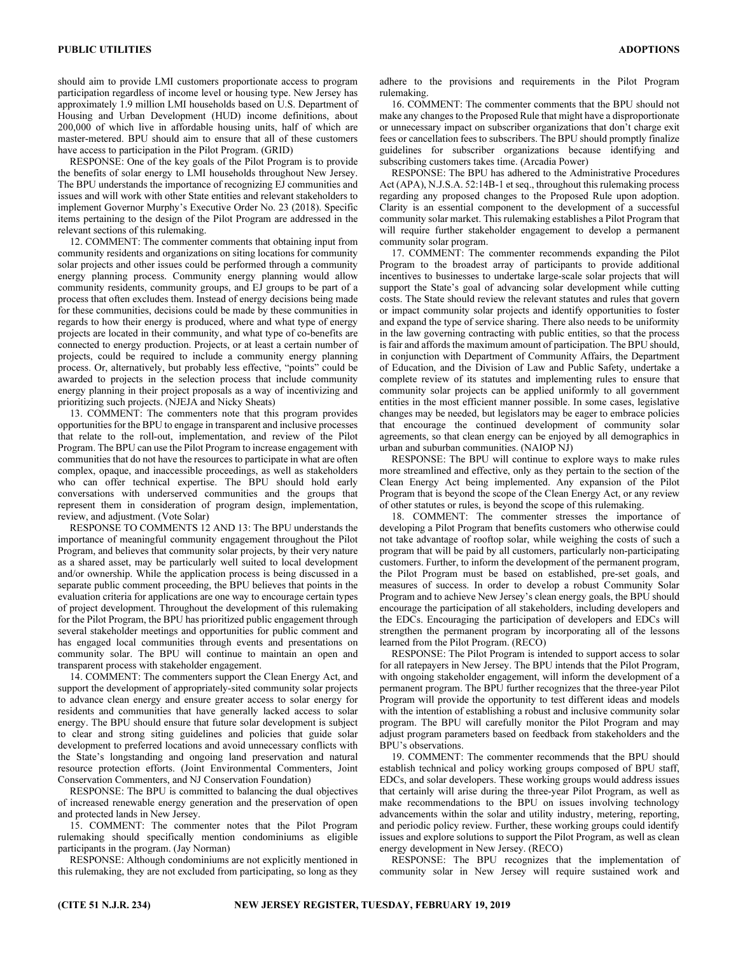should aim to provide LMI customers proportionate access to program participation regardless of income level or housing type. New Jersey has approximately 1.9 million LMI households based on U.S. Department of Housing and Urban Development (HUD) income definitions, about 200,000 of which live in affordable housing units, half of which are master-metered. BPU should aim to ensure that all of these customers have access to participation in the Pilot Program. (GRID)

RESPONSE: One of the key goals of the Pilot Program is to provide the benefits of solar energy to LMI households throughout New Jersey. The BPU understands the importance of recognizing EJ communities and issues and will work with other State entities and relevant stakeholders to implement Governor Murphy's Executive Order No. 23 (2018). Specific items pertaining to the design of the Pilot Program are addressed in the relevant sections of this rulemaking.

12. COMMENT: The commenter comments that obtaining input from community residents and organizations on siting locations for community solar projects and other issues could be performed through a community energy planning process. Community energy planning would allow community residents, community groups, and EJ groups to be part of a process that often excludes them. Instead of energy decisions being made for these communities, decisions could be made by these communities in regards to how their energy is produced, where and what type of energy projects are located in their community, and what type of co-benefits are connected to energy production. Projects, or at least a certain number of projects, could be required to include a community energy planning process. Or, alternatively, but probably less effective, "points" could be awarded to projects in the selection process that include community energy planning in their project proposals as a way of incentivizing and prioritizing such projects. (NJEJA and Nicky Sheats)

13. COMMENT: The commenters note that this program provides opportunities for the BPU to engage in transparent and inclusive processes that relate to the roll-out, implementation, and review of the Pilot Program. The BPU can use the Pilot Program to increase engagement with communities that do not have the resources to participate in what are often complex, opaque, and inaccessible proceedings, as well as stakeholders who can offer technical expertise. The BPU should hold early conversations with underserved communities and the groups that represent them in consideration of program design, implementation, review, and adjustment. (Vote Solar)

RESPONSE TO COMMENTS 12 AND 13: The BPU understands the importance of meaningful community engagement throughout the Pilot Program, and believes that community solar projects, by their very nature as a shared asset, may be particularly well suited to local development and/or ownership. While the application process is being discussed in a separate public comment proceeding, the BPU believes that points in the evaluation criteria for applications are one way to encourage certain types of project development. Throughout the development of this rulemaking for the Pilot Program, the BPU has prioritized public engagement through several stakeholder meetings and opportunities for public comment and has engaged local communities through events and presentations on community solar. The BPU will continue to maintain an open and transparent process with stakeholder engagement.

14. COMMENT: The commenters support the Clean Energy Act, and support the development of appropriately-sited community solar projects to advance clean energy and ensure greater access to solar energy for residents and communities that have generally lacked access to solar energy. The BPU should ensure that future solar development is subject to clear and strong siting guidelines and policies that guide solar development to preferred locations and avoid unnecessary conflicts with the State's longstanding and ongoing land preservation and natural resource protection efforts. (Joint Environmental Commenters, Joint Conservation Commenters, and NJ Conservation Foundation)

RESPONSE: The BPU is committed to balancing the dual objectives of increased renewable energy generation and the preservation of open and protected lands in New Jersey.

15. COMMENT: The commenter notes that the Pilot Program rulemaking should specifically mention condominiums as eligible participants in the program. (Jay Norman)

RESPONSE: Although condominiums are not explicitly mentioned in this rulemaking, they are not excluded from participating, so long as they

adhere to the provisions and requirements in the Pilot Program rulemaking.

16. COMMENT: The commenter comments that the BPU should not make any changes to the Proposed Rule that might have a disproportionate or unnecessary impact on subscriber organizations that don't charge exit fees or cancellation fees to subscribers. The BPU should promptly finalize guidelines for subscriber organizations because identifying and subscribing customers takes time. (Arcadia Power)

RESPONSE: The BPU has adhered to the Administrative Procedures Act (APA), N.J.S.A. 52:14B-1 et seq., throughout this rulemaking process regarding any proposed changes to the Proposed Rule upon adoption. Clarity is an essential component to the development of a successful community solar market. This rulemaking establishes a Pilot Program that will require further stakeholder engagement to develop a permanent community solar program.

17. COMMENT: The commenter recommends expanding the Pilot Program to the broadest array of participants to provide additional incentives to businesses to undertake large-scale solar projects that will support the State's goal of advancing solar development while cutting costs. The State should review the relevant statutes and rules that govern or impact community solar projects and identify opportunities to foster and expand the type of service sharing. There also needs to be uniformity in the law governing contracting with public entities, so that the process is fair and affords the maximum amount of participation. The BPU should, in conjunction with Department of Community Affairs, the Department of Education, and the Division of Law and Public Safety, undertake a complete review of its statutes and implementing rules to ensure that community solar projects can be applied uniformly to all government entities in the most efficient manner possible. In some cases, legislative changes may be needed, but legislators may be eager to embrace policies that encourage the continued development of community solar agreements, so that clean energy can be enjoyed by all demographics in urban and suburban communities. (NAIOP NJ)

RESPONSE: The BPU will continue to explore ways to make rules more streamlined and effective, only as they pertain to the section of the Clean Energy Act being implemented. Any expansion of the Pilot Program that is beyond the scope of the Clean Energy Act, or any review of other statutes or rules, is beyond the scope of this rulemaking.

18. COMMENT: The commenter stresses the importance of developing a Pilot Program that benefits customers who otherwise could not take advantage of rooftop solar, while weighing the costs of such a program that will be paid by all customers, particularly non-participating customers. Further, to inform the development of the permanent program, the Pilot Program must be based on established, pre-set goals, and measures of success. In order to develop a robust Community Solar Program and to achieve New Jersey's clean energy goals, the BPU should encourage the participation of all stakeholders, including developers and the EDCs. Encouraging the participation of developers and EDCs will strengthen the permanent program by incorporating all of the lessons learned from the Pilot Program. (RECO)

RESPONSE: The Pilot Program is intended to support access to solar for all ratepayers in New Jersey. The BPU intends that the Pilot Program, with ongoing stakeholder engagement, will inform the development of a permanent program. The BPU further recognizes that the three-year Pilot Program will provide the opportunity to test different ideas and models with the intention of establishing a robust and inclusive community solar program. The BPU will carefully monitor the Pilot Program and may adjust program parameters based on feedback from stakeholders and the BPU's observations.

19. COMMENT: The commenter recommends that the BPU should establish technical and policy working groups composed of BPU staff, EDCs, and solar developers. These working groups would address issues that certainly will arise during the three-year Pilot Program, as well as make recommendations to the BPU on issues involving technology advancements within the solar and utility industry, metering, reporting, and periodic policy review. Further, these working groups could identify issues and explore solutions to support the Pilot Program, as well as clean energy development in New Jersey. (RECO)

RESPONSE: The BPU recognizes that the implementation of community solar in New Jersey will require sustained work and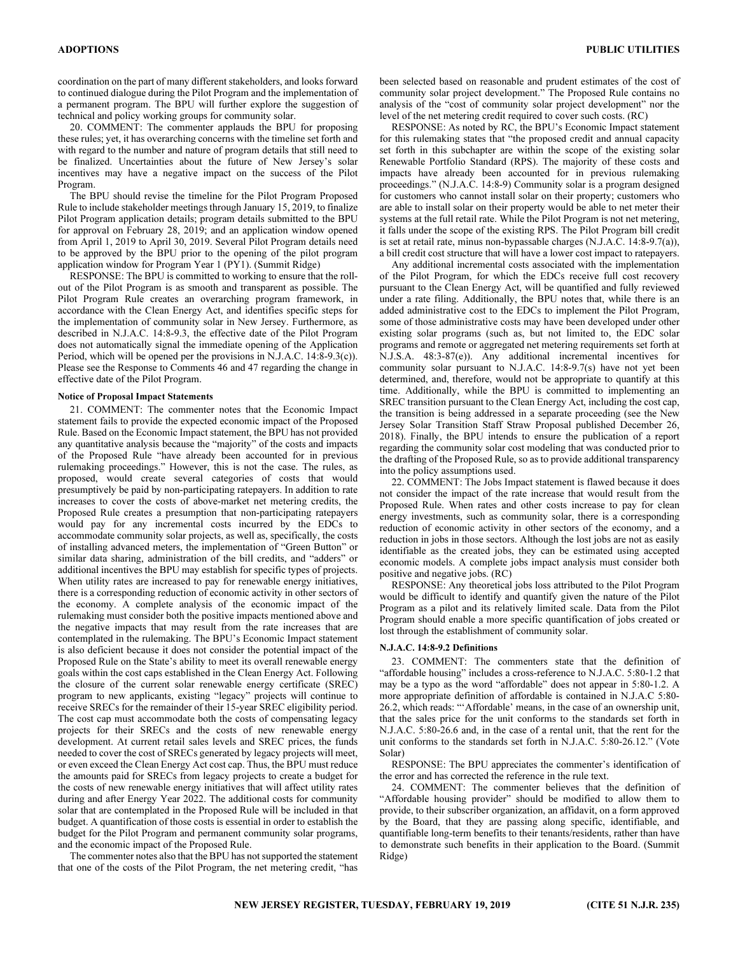coordination on the part of many different stakeholders, and looks forward to continued dialogue during the Pilot Program and the implementation of a permanent program. The BPU will further explore the suggestion of technical and policy working groups for community solar.

20. COMMENT: The commenter applauds the BPU for proposing these rules; yet, it has overarching concerns with the timeline set forth and with regard to the number and nature of program details that still need to be finalized. Uncertainties about the future of New Jersey's solar incentives may have a negative impact on the success of the Pilot Program.

The BPU should revise the timeline for the Pilot Program Proposed Rule to include stakeholder meetings through January 15, 2019, to finalize Pilot Program application details; program details submitted to the BPU for approval on February 28, 2019; and an application window opened from April 1, 2019 to April 30, 2019. Several Pilot Program details need to be approved by the BPU prior to the opening of the pilot program application window for Program Year 1 (PY1). (Summit Ridge)

RESPONSE: The BPU is committed to working to ensure that the rollout of the Pilot Program is as smooth and transparent as possible. The Pilot Program Rule creates an overarching program framework, in accordance with the Clean Energy Act, and identifies specific steps for the implementation of community solar in New Jersey. Furthermore, as described in N.J.A.C. 14:8-9.3, the effective date of the Pilot Program does not automatically signal the immediate opening of the Application Period, which will be opened per the provisions in N.J.A.C. 14:8-9.3(c)). Please see the Response to Comments 46 and 47 regarding the change in effective date of the Pilot Program.

## Notice of Proposal Impact Statements

21. COMMENT: The commenter notes that the Economic Impact statement fails to provide the expected economic impact of the Proposed Rule. Based on the Economic Impact statement, the BPU has not provided any quantitative analysis because the "majority" of the costs and impacts of the Proposed Rule "have already been accounted for in previous rulemaking proceedings." However, this is not the case. The rules, as proposed, would create several categories of costs that would presumptively be paid by non-participating ratepayers. In addition to rate increases to cover the costs of above-market net metering credits, the Proposed Rule creates a presumption that non-participating ratepayers would pay for any incremental costs incurred by the EDCs to accommodate community solar projects, as well as, specifically, the costs of installing advanced meters, the implementation of "Green Button" or similar data sharing, administration of the bill credits, and "adders" or additional incentives the BPU may establish for specific types of projects. When utility rates are increased to pay for renewable energy initiatives, there is a corresponding reduction of economic activity in other sectors of the economy. A complete analysis of the economic impact of the rulemaking must consider both the positive impacts mentioned above and the negative impacts that may result from the rate increases that are contemplated in the rulemaking. The BPU's Economic Impact statement is also deficient because it does not consider the potential impact of the Proposed Rule on the State's ability to meet its overall renewable energy goals within the cost caps established in the Clean Energy Act. Following the closure of the current solar renewable energy certificate (SREC) program to new applicants, existing "legacy" projects will continue to receive SRECs for the remainder of their 15-year SREC eligibility period. The cost cap must accommodate both the costs of compensating legacy projects for their SRECs and the costs of new renewable energy development. At current retail sales levels and SREC prices, the funds needed to cover the cost of SRECs generated by legacy projects will meet, or even exceed the Clean Energy Act cost cap. Thus, the BPU must reduce the amounts paid for SRECs from legacy projects to create a budget for the costs of new renewable energy initiatives that will affect utility rates during and after Energy Year 2022. The additional costs for community solar that are contemplated in the Proposed Rule will be included in that budget. A quantification of those costs is essential in order to establish the budget for the Pilot Program and permanent community solar programs, and the economic impact of the Proposed Rule.

The commenter notes also that the BPU has not supported the statement that one of the costs of the Pilot Program, the net metering credit, "has been selected based on reasonable and prudent estimates of the cost of community solar project development." The Proposed Rule contains no analysis of the "cost of community solar project development" nor the level of the net metering credit required to cover such costs. (RC)

RESPONSE: As noted by RC, the BPU's Economic Impact statement for this rulemaking states that "the proposed credit and annual capacity set forth in this subchapter are within the scope of the existing solar Renewable Portfolio Standard (RPS). The majority of these costs and impacts have already been accounted for in previous rulemaking proceedings." (N.J.A.C. 14:8-9) Community solar is a program designed for customers who cannot install solar on their property; customers who are able to install solar on their property would be able to net meter their systems at the full retail rate. While the Pilot Program is not net metering, it falls under the scope of the existing RPS. The Pilot Program bill credit is set at retail rate, minus non-bypassable charges (N.J.A.C. 14:8-9.7(a)), a bill credit cost structure that will have a lower cost impact to ratepayers.

Any additional incremental costs associated with the implementation of the Pilot Program, for which the EDCs receive full cost recovery pursuant to the Clean Energy Act, will be quantified and fully reviewed under a rate filing. Additionally, the BPU notes that, while there is an added administrative cost to the EDCs to implement the Pilot Program, some of those administrative costs may have been developed under other existing solar programs (such as, but not limited to, the EDC solar programs and remote or aggregated net metering requirements set forth at N.J.S.A. 48:3-87(e)). Any additional incremental incentives for community solar pursuant to N.J.A.C. 14:8-9.7(s) have not yet been determined, and, therefore, would not be appropriate to quantify at this time. Additionally, while the BPU is committed to implementing an SREC transition pursuant to the Clean Energy Act, including the cost cap, the transition is being addressed in a separate proceeding (see the New Jersey Solar Transition Staff Straw Proposal published December 26, 2018). Finally, the BPU intends to ensure the publication of a report regarding the community solar cost modeling that was conducted prior to the drafting of the Proposed Rule, so as to provide additional transparency into the policy assumptions used.

22. COMMENT: The Jobs Impact statement is flawed because it does not consider the impact of the rate increase that would result from the Proposed Rule. When rates and other costs increase to pay for clean energy investments, such as community solar, there is a corresponding reduction of economic activity in other sectors of the economy, and a reduction in jobs in those sectors. Although the lost jobs are not as easily identifiable as the created jobs, they can be estimated using accepted economic models. A complete jobs impact analysis must consider both positive and negative jobs. (RC)

RESPONSE: Any theoretical jobs loss attributed to the Pilot Program would be difficult to identify and quantify given the nature of the Pilot Program as a pilot and its relatively limited scale. Data from the Pilot Program should enable a more specific quantification of jobs created or lost through the establishment of community solar.

## N.J.A.C. 14:8-9.2 Definitions

23. COMMENT: The commenters state that the definition of "affordable housing" includes a cross-reference to N.J.A.C. 5:80-1.2 that may be a typo as the word "affordable" does not appear in 5:80-1.2. A more appropriate definition of affordable is contained in N.J.A.C 5:80- 26.2, which reads: "'Affordable' means, in the case of an ownership unit, that the sales price for the unit conforms to the standards set forth in N.J.A.C. 5:80-26.6 and, in the case of a rental unit, that the rent for the unit conforms to the standards set forth in N.J.A.C. 5:80-26.12." (Vote Solar)

RESPONSE: The BPU appreciates the commenter's identification of the error and has corrected the reference in the rule text.

24. COMMENT: The commenter believes that the definition of "Affordable housing provider" should be modified to allow them to provide, to their subscriber organization, an affidavit, on a form approved by the Board, that they are passing along specific, identifiable, and quantifiable long-term benefits to their tenants/residents, rather than have to demonstrate such benefits in their application to the Board. (Summit Ridge)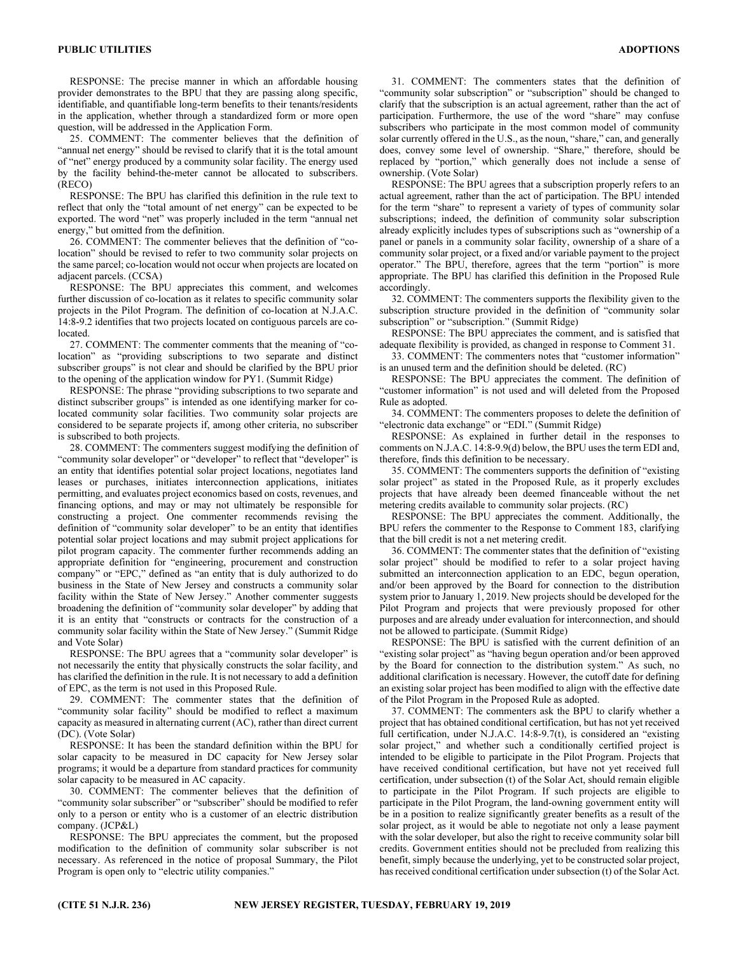RESPONSE: The precise manner in which an affordable housing provider demonstrates to the BPU that they are passing along specific, identifiable, and quantifiable long-term benefits to their tenants/residents in the application, whether through a standardized form or more open question, will be addressed in the Application Form.

25. COMMENT: The commenter believes that the definition of "annual net energy" should be revised to clarify that it is the total amount of "net" energy produced by a community solar facility. The energy used by the facility behind-the-meter cannot be allocated to subscribers. (RECO)

RESPONSE: The BPU has clarified this definition in the rule text to reflect that only the "total amount of net energy" can be expected to be exported. The word "net" was properly included in the term "annual net energy," but omitted from the definition.

26. COMMENT: The commenter believes that the definition of "colocation" should be revised to refer to two community solar projects on the same parcel; co-location would not occur when projects are located on adjacent parcels. (CCSA)

RESPONSE: The BPU appreciates this comment, and welcomes further discussion of co-location as it relates to specific community solar projects in the Pilot Program. The definition of co-location at N.J.A.C. 14:8-9.2 identifies that two projects located on contiguous parcels are colocated.

27. COMMENT: The commenter comments that the meaning of "colocation" as "providing subscriptions to two separate and distinct subscriber groups" is not clear and should be clarified by the BPU prior to the opening of the application window for PY1. (Summit Ridge)

RESPONSE: The phrase "providing subscriptions to two separate and distinct subscriber groups" is intended as one identifying marker for colocated community solar facilities. Two community solar projects are considered to be separate projects if, among other criteria, no subscriber is subscribed to both projects.

28. COMMENT: The commenters suggest modifying the definition of "community solar developer" or "developer" to reflect that "developer" is an entity that identifies potential solar project locations, negotiates land leases or purchases, initiates interconnection applications, initiates permitting, and evaluates project economics based on costs, revenues, and financing options, and may or may not ultimately be responsible for constructing a project. One commenter recommends revising the definition of "community solar developer" to be an entity that identifies potential solar project locations and may submit project applications for pilot program capacity. The commenter further recommends adding an appropriate definition for "engineering, procurement and construction company" or "EPC," defined as "an entity that is duly authorized to do business in the State of New Jersey and constructs a community solar facility within the State of New Jersey." Another commenter suggests broadening the definition of "community solar developer" by adding that it is an entity that "constructs or contracts for the construction of a community solar facility within the State of New Jersey." (Summit Ridge and Vote Solar)

RESPONSE: The BPU agrees that a "community solar developer" is not necessarily the entity that physically constructs the solar facility, and has clarified the definition in the rule. It is not necessary to add a definition of EPC, as the term is not used in this Proposed Rule.

29. COMMENT: The commenter states that the definition of "community solar facility" should be modified to reflect a maximum capacity as measured in alternating current (AC), rather than direct current (DC). (Vote Solar)

RESPONSE: It has been the standard definition within the BPU for solar capacity to be measured in DC capacity for New Jersey solar programs; it would be a departure from standard practices for community solar capacity to be measured in AC capacity.

30. COMMENT: The commenter believes that the definition of "community solar subscriber" or "subscriber" should be modified to refer only to a person or entity who is a customer of an electric distribution company. (JCP&L)

RESPONSE: The BPU appreciates the comment, but the proposed modification to the definition of community solar subscriber is not necessary. As referenced in the notice of proposal Summary, the Pilot Program is open only to "electric utility companies."

31. COMMENT: The commenters states that the definition of "community solar subscription" or "subscription" should be changed to clarify that the subscription is an actual agreement, rather than the act of participation. Furthermore, the use of the word "share" may confuse subscribers who participate in the most common model of community solar currently offered in the U.S., as the noun, "share," can, and generally does, convey some level of ownership. "Share," therefore, should be replaced by "portion," which generally does not include a sense of ownership. (Vote Solar)

RESPONSE: The BPU agrees that a subscription properly refers to an actual agreement, rather than the act of participation. The BPU intended for the term "share" to represent a variety of types of community solar subscriptions; indeed, the definition of community solar subscription already explicitly includes types of subscriptions such as "ownership of a panel or panels in a community solar facility, ownership of a share of a community solar project, or a fixed and/or variable payment to the project operator." The BPU, therefore, agrees that the term "portion" is more appropriate. The BPU has clarified this definition in the Proposed Rule accordingly.

32. COMMENT: The commenters supports the flexibility given to the subscription structure provided in the definition of "community solar subscription" or "subscription." (Summit Ridge)

RESPONSE: The BPU appreciates the comment, and is satisfied that adequate flexibility is provided, as changed in response to Comment 31.

33. COMMENT: The commenters notes that "customer information" is an unused term and the definition should be deleted. (RC)

RESPONSE: The BPU appreciates the comment. The definition of "customer information" is not used and will deleted from the Proposed Rule as adopted.

34. COMMENT: The commenters proposes to delete the definition of "electronic data exchange" or "EDI." (Summit Ridge)

RESPONSE: As explained in further detail in the responses to comments on N.J.A.C. 14:8-9.9(d) below, the BPU uses the term EDI and, therefore, finds this definition to be necessary.

35. COMMENT: The commenters supports the definition of "existing solar project" as stated in the Proposed Rule, as it properly excludes projects that have already been deemed financeable without the net metering credits available to community solar projects. (RC)

RESPONSE: The BPU appreciates the comment. Additionally, the BPU refers the commenter to the Response to Comment 183, clarifying that the bill credit is not a net metering credit.

36. COMMENT: The commenter states that the definition of "existing solar project" should be modified to refer to a solar project having submitted an interconnection application to an EDC, begun operation, and/or been approved by the Board for connection to the distribution system prior to January 1, 2019. New projects should be developed for the Pilot Program and projects that were previously proposed for other purposes and are already under evaluation for interconnection, and should not be allowed to participate. (Summit Ridge)

RESPONSE: The BPU is satisfied with the current definition of an "existing solar project" as "having begun operation and/or been approved by the Board for connection to the distribution system." As such, no additional clarification is necessary. However, the cutoff date for defining an existing solar project has been modified to align with the effective date of the Pilot Program in the Proposed Rule as adopted.

37. COMMENT: The commenters ask the BPU to clarify whether a project that has obtained conditional certification, but has not yet received full certification, under N.J.A.C. 14:8-9.7(t), is considered an "existing solar project," and whether such a conditionally certified project is intended to be eligible to participate in the Pilot Program. Projects that have received conditional certification, but have not yet received full certification, under subsection (t) of the Solar Act, should remain eligible to participate in the Pilot Program. If such projects are eligible to participate in the Pilot Program, the land-owning government entity will be in a position to realize significantly greater benefits as a result of the solar project, as it would be able to negotiate not only a lease payment with the solar developer, but also the right to receive community solar bill credits. Government entities should not be precluded from realizing this benefit, simply because the underlying, yet to be constructed solar project, has received conditional certification under subsection (t) of the Solar Act.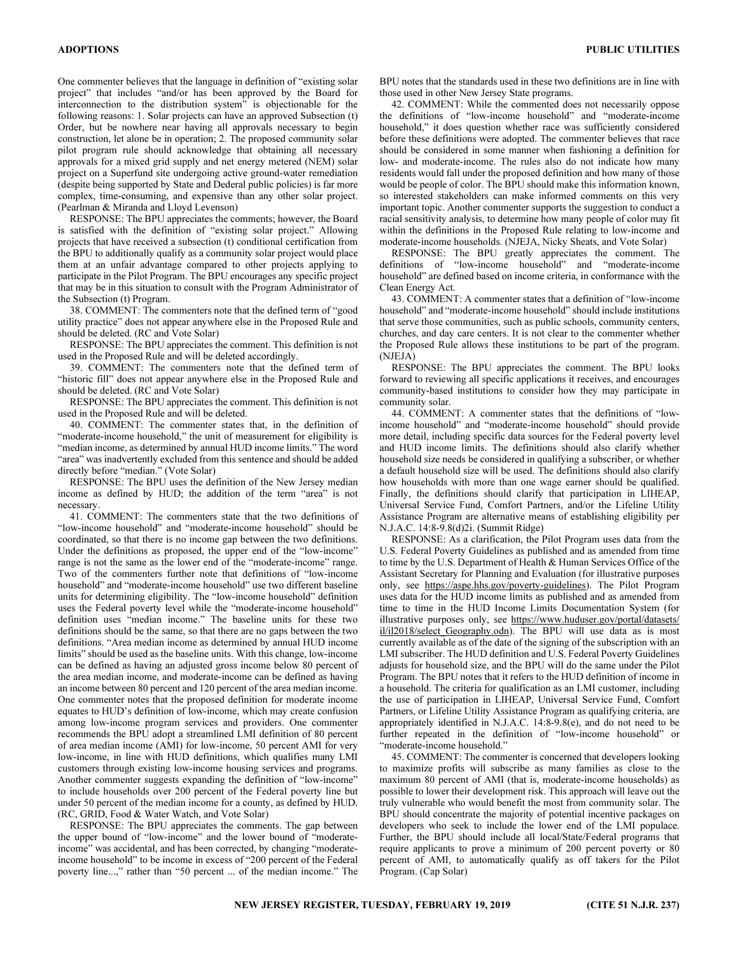One commenter believes that the language in definition of "existing solar project" that includes "and/or has been approved by the Board for interconnection to the distribution system" is objectionable for the following reasons: 1. Solar projects can have an approved Subsection (t) Order, but be nowhere near having all approvals necessary to begin construction, let alone be in operation; 2. The proposed community solar pilot program rule should acknowledge that obtaining all necessary approvals for a mixed grid supply and net energy metered (NEM) solar project on a Superfund site undergoing active ground-water remediation (despite being supported by State and Dederal public policies) is far more complex, time-consuming, and expensive than any other solar project. (Pearlman & Miranda and Lloyd Levenson)

RESPONSE: The BPU appreciates the comments; however, the Board is satisfied with the definition of "existing solar project." Allowing projects that have received a subsection (t) conditional certification from the BPU to additionally qualify as a community solar project would place them at an unfair advantage compared to other projects applying to participate in the Pilot Program. The BPU encourages any specific project that may be in this situation to consult with the Program Administrator of the Subsection (t) Program.

38. COMMENT: The commenters note that the defined term of "good utility practice" does not appear anywhere else in the Proposed Rule and should be deleted. (RC and Vote Solar)

RESPONSE: The BPU appreciates the comment. This definition is not used in the Proposed Rule and will be deleted accordingly.

39. COMMENT: The commenters note that the defined term of "historic fill" does not appear anywhere else in the Proposed Rule and should be deleted. (RC and Vote Solar)

RESPONSE: The BPU appreciates the comment. This definition is not used in the Proposed Rule and will be deleted.

40. COMMENT: The commenter states that, in the definition of "moderate-income household," the unit of measurement for eligibility is "median income, as determined by annual HUD income limits." The word "area" was inadvertently excluded from this sentence and should be added directly before "median." (Vote Solar)

RESPONSE: The BPU uses the definition of the New Jersey median income as defined by HUD; the addition of the term "area" is not necessary.

41. COMMENT: The commenters state that the two definitions of "low-income household" and "moderate-income household" should be coordinated, so that there is no income gap between the two definitions. Under the definitions as proposed, the upper end of the "low-income" range is not the same as the lower end of the "moderate-income" range. Two of the commenters further note that definitions of "low-income household" and "moderate-income household" use two different baseline units for determining eligibility. The "low-income household" definition uses the Federal poverty level while the "moderate-income household" definition uses "median income." The baseline units for these two definitions should be the same, so that there are no gaps between the two definitions. "Area median income as determined by annual HUD income limits" should be used as the baseline units. With this change, low-income can be defined as having an adjusted gross income below 80 percent of the area median income, and moderate-income can be defined as having an income between 80 percent and 120 percent of the area median income. One commenter notes that the proposed definition for moderate income equates to HUD's definition of low-income, which may create confusion among low-income program services and providers. One commenter recommends the BPU adopt a streamlined LMI definition of 80 percent of area median income (AMI) for low-income, 50 percent AMI for very low-income, in line with HUD definitions, which qualifies many LMI customers through existing low-income housing services and programs. Another commenter suggests expanding the definition of "low-income" to include households over 200 percent of the Federal poverty line but under 50 percent of the median income for a county, as defined by HUD. (RC, GRID, Food & Water Watch, and Vote Solar)

RESPONSE: The BPU appreciates the comments. The gap between the upper bound of "low-income" and the lower bound of "moderateincome" was accidental, and has been corrected, by changing "moderateincome household" to be income in excess of "200 percent of the Federal poverty line...," rather than "50 percent ... of the median income." The BPU notes that the standards used in these two definitions are in line with those used in other New Jersey State programs.

42. COMMENT: While the commented does not necessarily oppose the definitions of "low-income household" and "moderate-income household," it does question whether race was sufficiently considered before these definitions were adopted. The commenter believes that race should be considered in some manner when fashioning a definition for low- and moderate-income. The rules also do not indicate how many residents would fall under the proposed definition and how many of those would be people of color. The BPU should make this information known, so interested stakeholders can make informed comments on this very important topic. Another commenter supports the suggestion to conduct a racial sensitivity analysis, to determine how many people of color may fit within the definitions in the Proposed Rule relating to low-income and moderate-income households. (NJEJA, Nicky Sheats, and Vote Solar)

RESPONSE: The BPU greatly appreciates the comment. The definitions of "low-income household" and "moderate-income household" are defined based on income criteria, in conformance with the Clean Energy Act.

43. COMMENT: A commenter states that a definition of "low-income household" and "moderate-income household" should include institutions that serve those communities, such as public schools, community centers, churches, and day care centers. It is not clear to the commenter whether the Proposed Rule allows these institutions to be part of the program. (NJEJA)

RESPONSE: The BPU appreciates the comment. The BPU looks forward to reviewing all specific applications it receives, and encourages community-based institutions to consider how they may participate in community solar.

44. COMMENT: A commenter states that the definitions of "lowincome household" and "moderate-income household" should provide more detail, including specific data sources for the Federal poverty level and HUD income limits. The definitions should also clarify whether household size needs be considered in qualifying a subscriber, or whether a default household size will be used. The definitions should also clarify how households with more than one wage earner should be qualified. Finally, the definitions should clarify that participation in LIHEAP, Universal Service Fund, Comfort Partners, and/or the Lifeline Utility Assistance Program are alternative means of establishing eligibility per N.J.A.C. 14:8-9.8(d)2i. (Summit Ridge)

RESPONSE: As a clarification, the Pilot Program uses data from the U.S. Federal Poverty Guidelines as published and as amended from time to time by the U.S. Department of Health & Human Services Office of the Assistant Secretary for Planning and Evaluation (for illustrative purposes only, see https://aspe.hhs.gov/poverty-guidelines). The Pilot Program uses data for the HUD income limits as published and as amended from time to time in the HUD Income Limits Documentation System (for illustrative purposes only, see https://www.huduser.gov/portal/datasets/ il/il2018/select Geography.odn). The BPU will use data as is most currently available as of the date of the signing of the subscription with an LMI subscriber. The HUD definition and U.S. Federal Poverty Guidelines adjusts for household size, and the BPU will do the same under the Pilot Program. The BPU notes that it refers to the HUD definition of income in a household. The criteria for qualification as an LMI customer, including the use of participation in LIHEAP, Universal Service Fund, Comfort Partners, or Lifeline Utility Assistance Program as qualifying criteria, are appropriately identified in N.J.A.C. 14:8-9.8(e), and do not need to be further repeated in the definition of "low-income household" or "moderate-income household."

45. COMMENT: The commenter is concerned that developers looking to maximize profits will subscribe as many families as close to the maximum 80 percent of AMI (that is, moderate-income households) as possible to lower their development risk. This approach will leave out the truly vulnerable who would benefit the most from community solar. The BPU should concentrate the majority of potential incentive packages on developers who seek to include the lower end of the LMI populace. Further, the BPU should include all local/State/Federal programs that require applicants to prove a minimum of 200 percent poverty or 80 percent of AMI, to automatically qualify as off takers for the Pilot Program. (Cap Solar)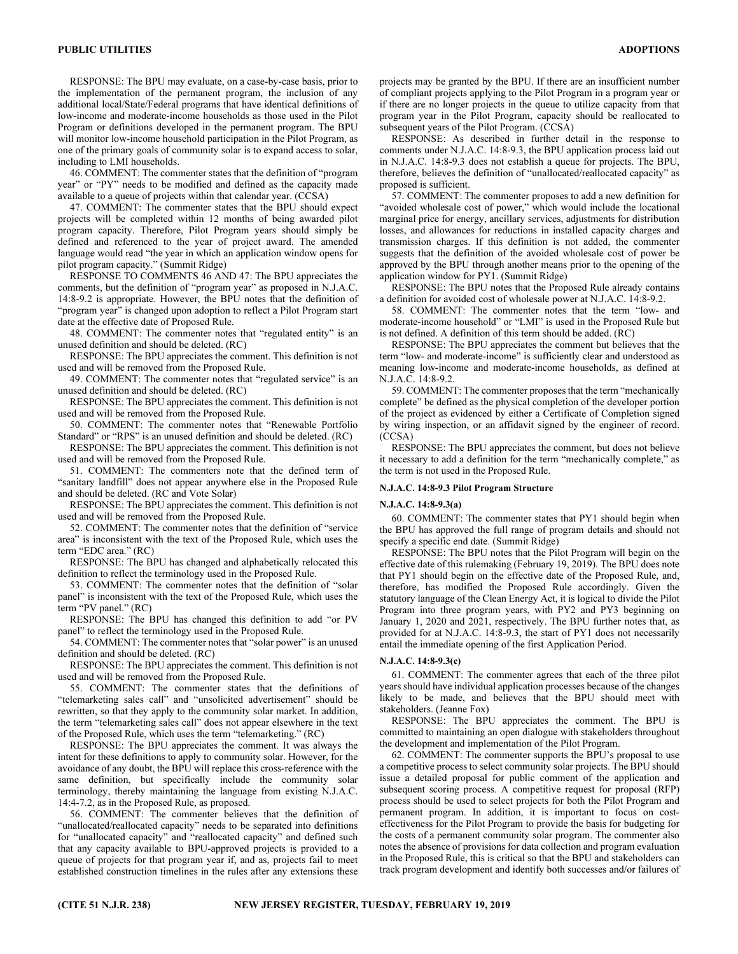RESPONSE: The BPU may evaluate, on a case-by-case basis, prior to the implementation of the permanent program, the inclusion of any additional local/State/Federal programs that have identical definitions of low-income and moderate-income households as those used in the Pilot Program or definitions developed in the permanent program. The BPU will monitor low-income household participation in the Pilot Program, as one of the primary goals of community solar is to expand access to solar, including to LMI households.

46. COMMENT: The commenter states that the definition of "program year" or "PY" needs to be modified and defined as the capacity made available to a queue of projects within that calendar year. (CCSA)

47. COMMENT: The commenter states that the BPU should expect projects will be completed within 12 months of being awarded pilot program capacity. Therefore, Pilot Program years should simply be defined and referenced to the year of project award. The amended language would read "the year in which an application window opens for pilot program capacity." (Summit Ridge)

RESPONSE TO COMMENTS 46 AND 47: The BPU appreciates the comments, but the definition of "program year" as proposed in N.J.A.C. 14:8-9.2 is appropriate. However, the BPU notes that the definition of "program year" is changed upon adoption to reflect a Pilot Program start date at the effective date of Proposed Rule.

48. COMMENT: The commenter notes that "regulated entity" is an unused definition and should be deleted. (RC)

RESPONSE: The BPU appreciates the comment. This definition is not used and will be removed from the Proposed Rule.

49. COMMENT: The commenter notes that "regulated service" is an unused definition and should be deleted. (RC)

RESPONSE: The BPU appreciates the comment. This definition is not used and will be removed from the Proposed Rule.

50. COMMENT: The commenter notes that "Renewable Portfolio Standard" or "RPS" is an unused definition and should be deleted. (RC)

RESPONSE: The BPU appreciates the comment. This definition is not used and will be removed from the Proposed Rule.

51. COMMENT: The commenters note that the defined term of "sanitary landfill" does not appear anywhere else in the Proposed Rule and should be deleted. (RC and Vote Solar)

RESPONSE: The BPU appreciates the comment. This definition is not used and will be removed from the Proposed Rule.

52. COMMENT: The commenter notes that the definition of "service area" is inconsistent with the text of the Proposed Rule, which uses the term "EDC area." (RC)

RESPONSE: The BPU has changed and alphabetically relocated this definition to reflect the terminology used in the Proposed Rule.

53. COMMENT: The commenter notes that the definition of "solar panel" is inconsistent with the text of the Proposed Rule, which uses the term "PV panel." (RC)

RESPONSE: The BPU has changed this definition to add "or PV panel" to reflect the terminology used in the Proposed Rule.

54. COMMENT: The commenter notes that "solar power" is an unused definition and should be deleted. (RC)

RESPONSE: The BPU appreciates the comment. This definition is not used and will be removed from the Proposed Rule.

55. COMMENT: The commenter states that the definitions of "telemarketing sales call" and "unsolicited advertisement" should be rewritten, so that they apply to the community solar market. In addition, the term "telemarketing sales call" does not appear elsewhere in the text of the Proposed Rule, which uses the term "telemarketing." (RC)

RESPONSE: The BPU appreciates the comment. It was always the intent for these definitions to apply to community solar. However, for the avoidance of any doubt, the BPU will replace this cross-reference with the same definition, but specifically include the community solar terminology, thereby maintaining the language from existing N.J.A.C. 14:4-7.2, as in the Proposed Rule, as proposed.

56. COMMENT: The commenter believes that the definition of "unallocated/reallocated capacity" needs to be separated into definitions for "unallocated capacity" and "reallocated capacity" and defined such that any capacity available to BPU-approved projects is provided to a queue of projects for that program year if, and as, projects fail to meet established construction timelines in the rules after any extensions these

projects may be granted by the BPU. If there are an insufficient number of compliant projects applying to the Pilot Program in a program year or if there are no longer projects in the queue to utilize capacity from that program year in the Pilot Program, capacity should be reallocated to subsequent years of the Pilot Program. (CCSA)

RESPONSE: As described in further detail in the response to comments under N.J.A.C. 14:8-9.3, the BPU application process laid out in N.J.A.C. 14:8-9.3 does not establish a queue for projects. The BPU, therefore, believes the definition of "unallocated/reallocated capacity" as proposed is sufficient.

57. COMMENT: The commenter proposes to add a new definition for "avoided wholesale cost of power," which would include the locational marginal price for energy, ancillary services, adjustments for distribution losses, and allowances for reductions in installed capacity charges and transmission charges. If this definition is not added, the commenter suggests that the definition of the avoided wholesale cost of power be approved by the BPU through another means prior to the opening of the application window for PY1. (Summit Ridge)

RESPONSE: The BPU notes that the Proposed Rule already contains a definition for avoided cost of wholesale power at N.J.A.C. 14:8-9.2.

58. COMMENT: The commenter notes that the term "low- and moderate-income household" or "LMI" is used in the Proposed Rule but is not defined. A definition of this term should be added. (RC)

RESPONSE: The BPU appreciates the comment but believes that the term "low- and moderate-income" is sufficiently clear and understood as meaning low-income and moderate-income households, as defined at N.J.A.C. 14:8-9.2.

59. COMMENT: The commenter proposes that the term "mechanically complete" be defined as the physical completion of the developer portion of the project as evidenced by either a Certificate of Completion signed by wiring inspection, or an affidavit signed by the engineer of record. (CCSA)

RESPONSE: The BPU appreciates the comment, but does not believe it necessary to add a definition for the term "mechanically complete," as the term is not used in the Proposed Rule.

#### N.J.A.C. 14:8-9.3 Pilot Program Structure

#### N.J.A.C. 14:8-9.3(a)

60. COMMENT: The commenter states that PY1 should begin when the BPU has approved the full range of program details and should not specify a specific end date. (Summit Ridge)

RESPONSE: The BPU notes that the Pilot Program will begin on the effective date of this rulemaking (February 19, 2019). The BPU does note that PY1 should begin on the effective date of the Proposed Rule, and, therefore, has modified the Proposed Rule accordingly. Given the statutory language of the Clean Energy Act, it is logical to divide the Pilot Program into three program years, with PY2 and PY3 beginning on January 1, 2020 and 2021, respectively. The BPU further notes that, as provided for at N.J.A.C. 14:8-9.3, the start of PY1 does not necessarily entail the immediate opening of the first Application Period.

## N.J.A.C. 14:8-9.3(c)

61. COMMENT: The commenter agrees that each of the three pilot years should have individual application processes because of the changes likely to be made, and believes that the BPU should meet with stakeholders. (Jeanne Fox)

RESPONSE: The BPU appreciates the comment. The BPU is committed to maintaining an open dialogue with stakeholders throughout the development and implementation of the Pilot Program.

62. COMMENT: The commenter supports the BPU's proposal to use a competitive process to select community solar projects. The BPU should issue a detailed proposal for public comment of the application and subsequent scoring process. A competitive request for proposal (RFP) process should be used to select projects for both the Pilot Program and permanent program. In addition, it is important to focus on costeffectiveness for the Pilot Program to provide the basis for budgeting for the costs of a permanent community solar program. The commenter also notes the absence of provisions for data collection and program evaluation in the Proposed Rule, this is critical so that the BPU and stakeholders can track program development and identify both successes and/or failures of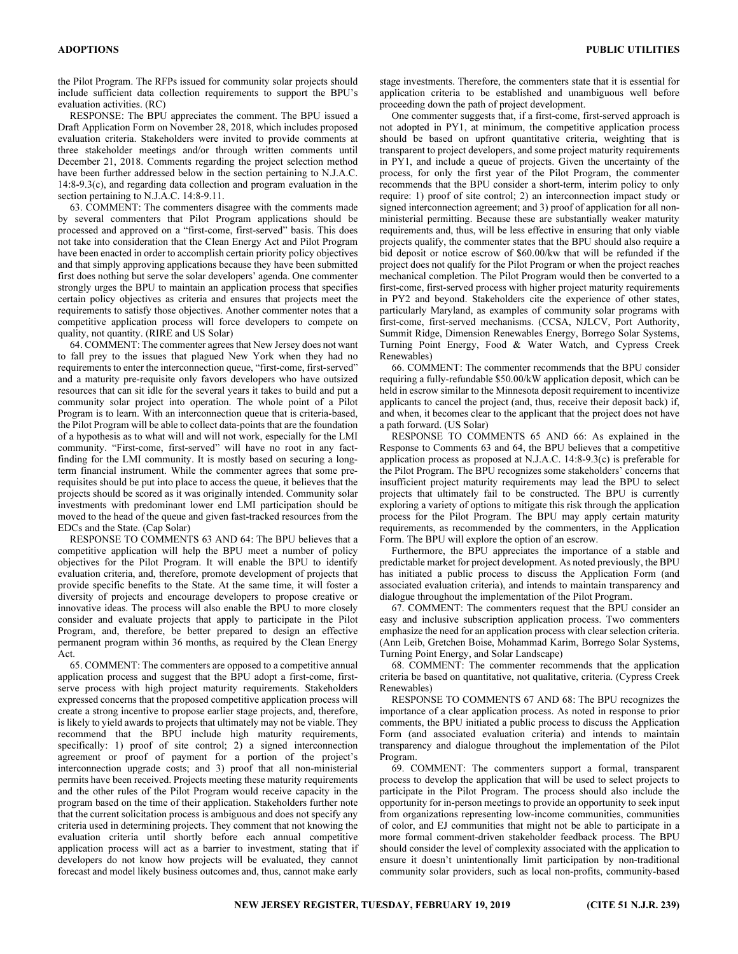the Pilot Program. The RFPs issued for community solar projects should include sufficient data collection requirements to support the BPU's evaluation activities. (RC)

RESPONSE: The BPU appreciates the comment. The BPU issued a Draft Application Form on November 28, 2018, which includes proposed evaluation criteria. Stakeholders were invited to provide comments at three stakeholder meetings and/or through written comments until December 21, 2018. Comments regarding the project selection method have been further addressed below in the section pertaining to N.J.A.C. 14:8-9.3(c), and regarding data collection and program evaluation in the section pertaining to N.J.A.C. 14:8-9.11.

63. COMMENT: The commenters disagree with the comments made by several commenters that Pilot Program applications should be processed and approved on a "first-come, first-served" basis. This does not take into consideration that the Clean Energy Act and Pilot Program have been enacted in order to accomplish certain priority policy objectives and that simply approving applications because they have been submitted first does nothing but serve the solar developers' agenda. One commenter strongly urges the BPU to maintain an application process that specifies certain policy objectives as criteria and ensures that projects meet the requirements to satisfy those objectives. Another commenter notes that a competitive application process will force developers to compete on quality, not quantity. (RIRE and US Solar)

64. COMMENT: The commenter agrees that New Jersey does not want to fall prey to the issues that plagued New York when they had no requirements to enter the interconnection queue, "first-come, first-served" and a maturity pre-requisite only favors developers who have outsized resources that can sit idle for the several years it takes to build and put a community solar project into operation. The whole point of a Pilot Program is to learn. With an interconnection queue that is criteria-based, the Pilot Program will be able to collect data-points that are the foundation of a hypothesis as to what will and will not work, especially for the LMI community. "First-come, first-served" will have no root in any factfinding for the LMI community. It is mostly based on securing a longterm financial instrument. While the commenter agrees that some prerequisites should be put into place to access the queue, it believes that the projects should be scored as it was originally intended. Community solar investments with predominant lower end LMI participation should be moved to the head of the queue and given fast-tracked resources from the EDCs and the State. (Cap Solar)

RESPONSE TO COMMENTS 63 AND 64: The BPU believes that a competitive application will help the BPU meet a number of policy objectives for the Pilot Program. It will enable the BPU to identify evaluation criteria, and, therefore, promote development of projects that provide specific benefits to the State. At the same time, it will foster a diversity of projects and encourage developers to propose creative or innovative ideas. The process will also enable the BPU to more closely consider and evaluate projects that apply to participate in the Pilot Program, and, therefore, be better prepared to design an effective permanent program within 36 months, as required by the Clean Energy Act.

65. COMMENT: The commenters are opposed to a competitive annual application process and suggest that the BPU adopt a first-come, firstserve process with high project maturity requirements. Stakeholders expressed concerns that the proposed competitive application process will create a strong incentive to propose earlier stage projects, and, therefore, is likely to yield awards to projects that ultimately may not be viable. They recommend that the BPU include high maturity requirements, specifically: 1) proof of site control; 2) a signed interconnection agreement or proof of payment for a portion of the project's interconnection upgrade costs; and 3) proof that all non-ministerial permits have been received. Projects meeting these maturity requirements and the other rules of the Pilot Program would receive capacity in the program based on the time of their application. Stakeholders further note that the current solicitation process is ambiguous and does not specify any criteria used in determining projects. They comment that not knowing the evaluation criteria until shortly before each annual competitive application process will act as a barrier to investment, stating that if developers do not know how projects will be evaluated, they cannot forecast and model likely business outcomes and, thus, cannot make early

stage investments. Therefore, the commenters state that it is essential for application criteria to be established and unambiguous well before proceeding down the path of project development.

One commenter suggests that, if a first-come, first-served approach is not adopted in PY1, at minimum, the competitive application process should be based on upfront quantitative criteria, weighting that is transparent to project developers, and some project maturity requirements in PY1, and include a queue of projects. Given the uncertainty of the process, for only the first year of the Pilot Program, the commenter recommends that the BPU consider a short-term, interim policy to only require: 1) proof of site control; 2) an interconnection impact study or signed interconnection agreement; and 3) proof of application for all nonministerial permitting. Because these are substantially weaker maturity requirements and, thus, will be less effective in ensuring that only viable projects qualify, the commenter states that the BPU should also require a bid deposit or notice escrow of \$60.00/kw that will be refunded if the project does not qualify for the Pilot Program or when the project reaches mechanical completion. The Pilot Program would then be converted to a first-come, first-served process with higher project maturity requirements in PY2 and beyond. Stakeholders cite the experience of other states, particularly Maryland, as examples of community solar programs with first-come, first-served mechanisms. (CCSA, NJLCV, Port Authority, Summit Ridge, Dimension Renewables Energy, Borrego Solar Systems, Turning Point Energy, Food & Water Watch, and Cypress Creek Renewables)

66. COMMENT: The commenter recommends that the BPU consider requiring a fully-refundable \$50.00/kW application deposit, which can be held in escrow similar to the Minnesota deposit requirement to incentivize applicants to cancel the project (and, thus, receive their deposit back) if, and when, it becomes clear to the applicant that the project does not have a path forward. (US Solar)

RESPONSE TO COMMENTS 65 AND 66: As explained in the Response to Comments 63 and 64, the BPU believes that a competitive application process as proposed at N.J.A.C. 14:8-9.3(c) is preferable for the Pilot Program. The BPU recognizes some stakeholders' concerns that insufficient project maturity requirements may lead the BPU to select projects that ultimately fail to be constructed. The BPU is currently exploring a variety of options to mitigate this risk through the application process for the Pilot Program. The BPU may apply certain maturity requirements, as recommended by the commenters, in the Application Form. The BPU will explore the option of an escrow.

Furthermore, the BPU appreciates the importance of a stable and predictable market for project development. As noted previously, the BPU has initiated a public process to discuss the Application Form (and associated evaluation criteria), and intends to maintain transparency and dialogue throughout the implementation of the Pilot Program.

67. COMMENT: The commenters request that the BPU consider an easy and inclusive subscription application process. Two commenters emphasize the need for an application process with clear selection criteria. (Ann Leib, Gretchen Boise, Mohammad Karim, Borrego Solar Systems, Turning Point Energy, and Solar Landscape)

68. COMMENT: The commenter recommends that the application criteria be based on quantitative, not qualitative, criteria. (Cypress Creek Renewables)

RESPONSE TO COMMENTS 67 AND 68: The BPU recognizes the importance of a clear application process. As noted in response to prior comments, the BPU initiated a public process to discuss the Application Form (and associated evaluation criteria) and intends to maintain transparency and dialogue throughout the implementation of the Pilot Program.

69. COMMENT: The commenters support a formal, transparent process to develop the application that will be used to select projects to participate in the Pilot Program. The process should also include the opportunity for in-person meetings to provide an opportunity to seek input from organizations representing low-income communities, communities of color, and EJ communities that might not be able to participate in a more formal comment-driven stakeholder feedback process. The BPU should consider the level of complexity associated with the application to ensure it doesn't unintentionally limit participation by non-traditional community solar providers, such as local non-profits, community-based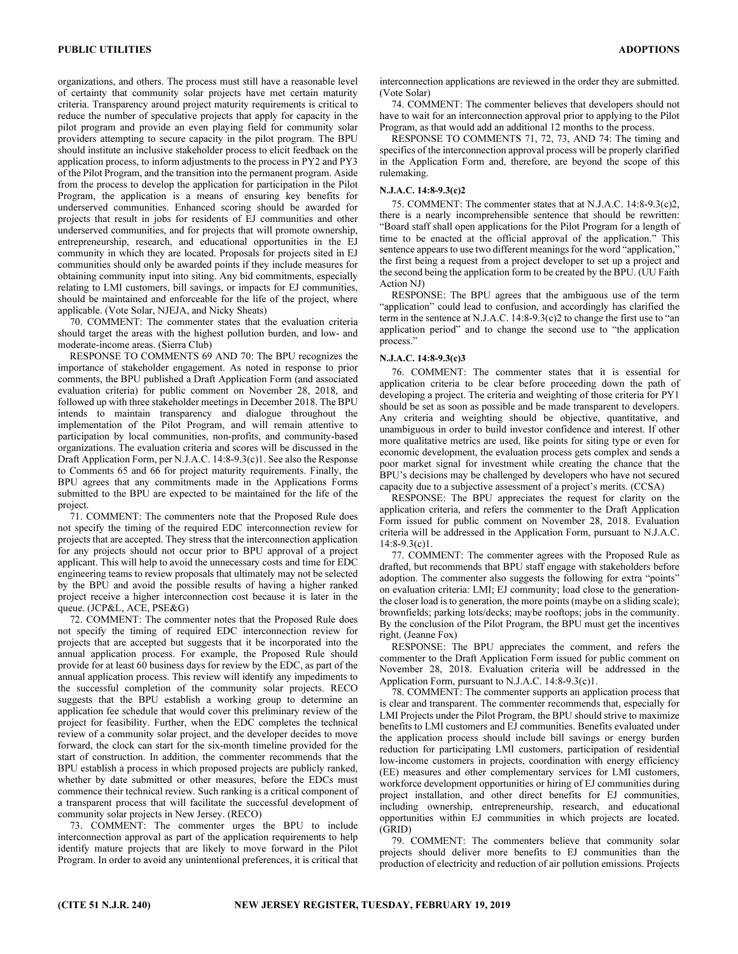organizations, and others. The process must still have a reasonable level of certainty that community solar projects have met certain maturity criteria. Transparency around project maturity requirements is critical to reduce the number of speculative projects that apply for capacity in the pilot program and provide an even playing field for community solar providers attempting to secure capacity in the pilot program. The BPU should institute an inclusive stakeholder process to elicit feedback on the application process, to inform adjustments to the process in PY2 and PY3 of the Pilot Program, and the transition into the permanent program. Aside from the process to develop the application for participation in the Pilot Program, the application is a means of ensuring key benefits for underserved communities. Enhanced scoring should be awarded for projects that result in jobs for residents of EJ communities and other underserved communities, and for projects that will promote ownership, entrepreneurship, research, and educational opportunities in the EJ community in which they are located. Proposals for projects sited in EJ communities should only be awarded points if they include measures for obtaining community input into siting. Any bid commitments, especially relating to LMI customers, bill savings, or impacts for EJ communities, should be maintained and enforceable for the life of the project, where applicable. (Vote Solar, NJEJA, and Nicky Sheats)

70. COMMENT: The commenter states that the evaluation criteria should target the areas with the highest pollution burden, and low- and moderate-income areas. (Sierra Club)

RESPONSE TO COMMENTS 69 AND 70: The BPU recognizes the importance of stakeholder engagement. As noted in response to prior comments, the BPU published a Draft Application Form (and associated evaluation criteria) for public comment on November 28, 2018, and followed up with three stakeholder meetings in December 2018. The BPU intends to maintain transparency and dialogue throughout the implementation of the Pilot Program, and will remain attentive to participation by local communities, non-profits, and community-based organizations. The evaluation criteria and scores will be discussed in the Draft Application Form, per N.J.A.C. 14:8-9.3(c)1. See also the Response to Comments 65 and 66 for project maturity requirements. Finally, the BPU agrees that any commitments made in the Applications Forms submitted to the BPU are expected to be maintained for the life of the project.

71. COMMENT: The commenters note that the Proposed Rule does not specify the timing of the required EDC interconnection review for projects that are accepted. They stress that the interconnection application for any projects should not occur prior to BPU approval of a project applicant. This will help to avoid the unnecessary costs and time for EDC engineering teams to review proposals that ultimately may not be selected by the BPU and avoid the possible results of having a higher ranked project receive a higher interconnection cost because it is later in the queue. (JCP&L, ACE, PSE&G)

72. COMMENT: The commenter notes that the Proposed Rule does not specify the timing of required EDC interconnection review for projects that are accepted but suggests that it be incorporated into the annual application process. For example, the Proposed Rule should provide for at least 60 business days for review by the EDC, as part of the annual application process. This review will identify any impediments to the successful completion of the community solar projects. RECO suggests that the BPU establish a working group to determine an application fee schedule that would cover this preliminary review of the project for feasibility. Further, when the EDC completes the technical review of a community solar project, and the developer decides to move forward, the clock can start for the six-month timeline provided for the start of construction. In addition, the commenter recommends that the BPU establish a process in which proposed projects are publicly ranked, whether by date submitted or other measures, before the EDCs must commence their technical review. Such ranking is a critical component of a transparent process that will facilitate the successful development of community solar projects in New Jersey. (RECO)

73. COMMENT: The commenter urges the BPU to include interconnection approval as part of the application requirements to help identify mature projects that are likely to move forward in the Pilot Program. In order to avoid any unintentional preferences, it is critical that

interconnection applications are reviewed in the order they are submitted. (Vote Solar)

74. COMMENT: The commenter believes that developers should not have to wait for an interconnection approval prior to applying to the Pilot Program, as that would add an additional 12 months to the process.

RESPONSE TO COMMENTS 71, 72, 73, AND 74: The timing and specifics of the interconnection approval process will be properly clarified in the Application Form and, therefore, are beyond the scope of this rulemaking.

## N.J.A.C. 14:8-9.3(c)2

75. COMMENT: The commenter states that at N.J.A.C. 14:8-9.3(c)2, there is a nearly incomprehensible sentence that should be rewritten: "Board staff shall open applications for the Pilot Program for a length of time to be enacted at the official approval of the application." This sentence appears to use two different meanings for the word "application," the first being a request from a project developer to set up a project and the second being the application form to be created by the BPU. (UU Faith Action NJ)

RESPONSE: The BPU agrees that the ambiguous use of the term "application" could lead to confusion, and accordingly has clarified the term in the sentence at N.J.A.C. 14:8-9.3(c)2 to change the first use to "an application period" and to change the second use to "the application process."

## N.J.A.C. 14:8-9.3(c)3

76. COMMENT: The commenter states that it is essential for application criteria to be clear before proceeding down the path of developing a project. The criteria and weighting of those criteria for PY1 should be set as soon as possible and be made transparent to developers. Any criteria and weighting should be objective, quantitative, and unambiguous in order to build investor confidence and interest. If other more qualitative metrics are used, like points for siting type or even for economic development, the evaluation process gets complex and sends a poor market signal for investment while creating the chance that the BPU's decisions may be challenged by developers who have not secured capacity due to a subjective assessment of a project's merits. (CCSA)

RESPONSE: The BPU appreciates the request for clarity on the application criteria, and refers the commenter to the Draft Application Form issued for public comment on November 28, 2018. Evaluation criteria will be addressed in the Application Form, pursuant to N.J.A.C.  $14:8-9.3(c)1$ .

77. COMMENT: The commenter agrees with the Proposed Rule as drafted, but recommends that BPU staff engage with stakeholders before adoption. The commenter also suggests the following for extra "points" on evaluation criteria: LMI; EJ community; load close to the generationthe closer load is to generation, the more points (maybe on a sliding scale); brownfields; parking lots/decks; maybe rooftops; jobs in the community. By the conclusion of the Pilot Program, the BPU must get the incentives right. (Jeanne Fox)

RESPONSE: The BPU appreciates the comment, and refers the commenter to the Draft Application Form issued for public comment on November 28, 2018. Evaluation criteria will be addressed in the Application Form, pursuant to N.J.A.C. 14:8-9.3(c)1.

78. COMMENT: The commenter supports an application process that is clear and transparent. The commenter recommends that, especially for LMI Projects under the Pilot Program, the BPU should strive to maximize benefits to LMI customers and EJ communities. Benefits evaluated under the application process should include bill savings or energy burden reduction for participating LMI customers, participation of residential low-income customers in projects, coordination with energy efficiency (EE) measures and other complementary services for LMI customers, workforce development opportunities or hiring of EJ communities during project installation, and other direct benefits for EJ communities, including ownership, entrepreneurship, research, and educational opportunities within EJ communities in which projects are located. (GRID)

79. COMMENT: The commenters believe that community solar projects should deliver more benefits to EJ communities than the production of electricity and reduction of air pollution emissions. Projects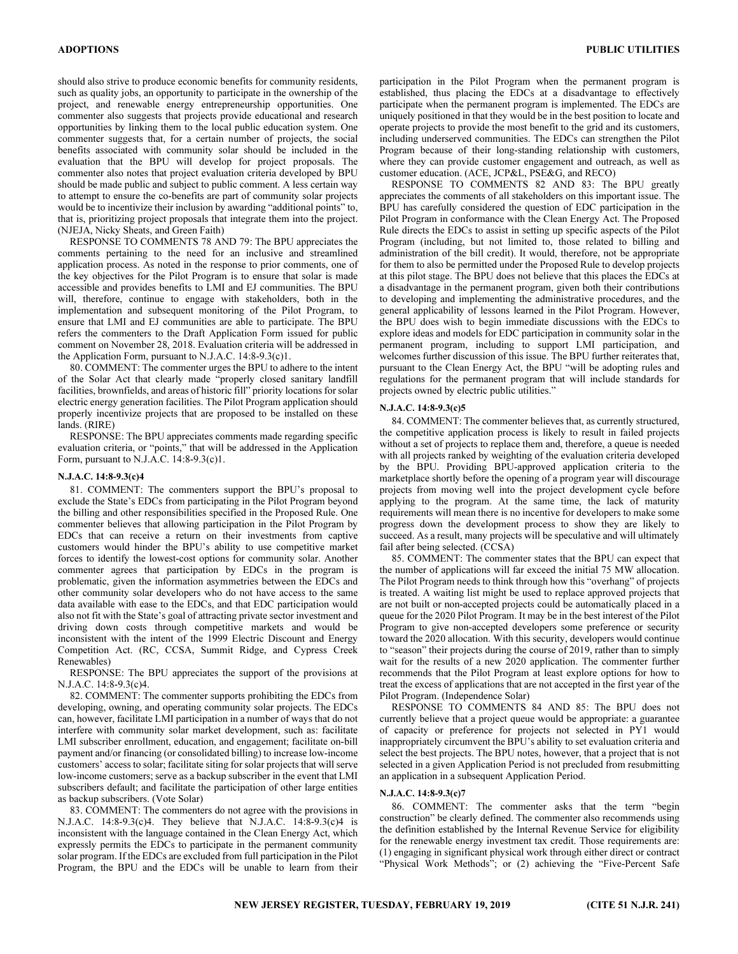should also strive to produce economic benefits for community residents, such as quality jobs, an opportunity to participate in the ownership of the project, and renewable energy entrepreneurship opportunities. One commenter also suggests that projects provide educational and research opportunities by linking them to the local public education system. One commenter suggests that, for a certain number of projects, the social benefits associated with community solar should be included in the evaluation that the BPU will develop for project proposals. The commenter also notes that project evaluation criteria developed by BPU should be made public and subject to public comment. A less certain way to attempt to ensure the co-benefits are part of community solar projects would be to incentivize their inclusion by awarding "additional points" to, that is, prioritizing project proposals that integrate them into the project. (NJEJA, Nicky Sheats, and Green Faith)

RESPONSE TO COMMENTS 78 AND 79: The BPU appreciates the comments pertaining to the need for an inclusive and streamlined application process. As noted in the response to prior comments, one of the key objectives for the Pilot Program is to ensure that solar is made accessible and provides benefits to LMI and EJ communities. The BPU will, therefore, continue to engage with stakeholders, both in the implementation and subsequent monitoring of the Pilot Program, to ensure that LMI and EJ communities are able to participate. The BPU refers the commenters to the Draft Application Form issued for public comment on November 28, 2018. Evaluation criteria will be addressed in the Application Form, pursuant to N.J.A.C. 14:8-9.3(c)1.

80. COMMENT: The commenter urges the BPU to adhere to the intent of the Solar Act that clearly made "properly closed sanitary landfill facilities, brownfields, and areas of historic fill" priority locations for solar electric energy generation facilities. The Pilot Program application should properly incentivize projects that are proposed to be installed on these lands. (RIRE)

RESPONSE: The BPU appreciates comments made regarding specific evaluation criteria, or "points," that will be addressed in the Application Form, pursuant to N.J.A.C. 14:8-9.3(c)1.

## N.J.A.C. 14:8-9.3(c)4

81. COMMENT: The commenters support the BPU's proposal to exclude the State's EDCs from participating in the Pilot Program beyond the billing and other responsibilities specified in the Proposed Rule. One commenter believes that allowing participation in the Pilot Program by EDCs that can receive a return on their investments from captive customers would hinder the BPU's ability to use competitive market forces to identify the lowest-cost options for community solar. Another commenter agrees that participation by EDCs in the program is problematic, given the information asymmetries between the EDCs and other community solar developers who do not have access to the same data available with ease to the EDCs, and that EDC participation would also not fit with the State's goal of attracting private sector investment and driving down costs through competitive markets and would be inconsistent with the intent of the 1999 Electric Discount and Energy Competition Act. (RC, CCSA, Summit Ridge, and Cypress Creek Renewables)

RESPONSE: The BPU appreciates the support of the provisions at N.J.A.C. 14:8-9.3(c)4.

82. COMMENT: The commenter supports prohibiting the EDCs from developing, owning, and operating community solar projects. The EDCs can, however, facilitate LMI participation in a number of ways that do not interfere with community solar market development, such as: facilitate LMI subscriber enrollment, education, and engagement; facilitate on-bill payment and/or financing (or consolidated billing) to increase low-income customers' access to solar; facilitate siting for solar projects that will serve low-income customers; serve as a backup subscriber in the event that LMI subscribers default; and facilitate the participation of other large entities as backup subscribers. (Vote Solar)

83. COMMENT: The commenters do not agree with the provisions in N.J.A.C. 14:8-9.3(c)4. They believe that N.J.A.C. 14:8-9.3(c)4 is inconsistent with the language contained in the Clean Energy Act, which expressly permits the EDCs to participate in the permanent community solar program. If the EDCs are excluded from full participation in the Pilot Program, the BPU and the EDCs will be unable to learn from their

participation in the Pilot Program when the permanent program is established, thus placing the EDCs at a disadvantage to effectively participate when the permanent program is implemented. The EDCs are uniquely positioned in that they would be in the best position to locate and operate projects to provide the most benefit to the grid and its customers, including underserved communities. The EDCs can strengthen the Pilot Program because of their long-standing relationship with customers, where they can provide customer engagement and outreach, as well as customer education. (ACE, JCP&L, PSE&G, and RECO)

RESPONSE TO COMMENTS 82 AND 83: The BPU greatly appreciates the comments of all stakeholders on this important issue. The BPU has carefully considered the question of EDC participation in the Pilot Program in conformance with the Clean Energy Act. The Proposed Rule directs the EDCs to assist in setting up specific aspects of the Pilot Program (including, but not limited to, those related to billing and administration of the bill credit). It would, therefore, not be appropriate for them to also be permitted under the Proposed Rule to develop projects at this pilot stage. The BPU does not believe that this places the EDCs at a disadvantage in the permanent program, given both their contributions to developing and implementing the administrative procedures, and the general applicability of lessons learned in the Pilot Program. However, the BPU does wish to begin immediate discussions with the EDCs to explore ideas and models for EDC participation in community solar in the permanent program, including to support LMI participation, and welcomes further discussion of this issue. The BPU further reiterates that, pursuant to the Clean Energy Act, the BPU "will be adopting rules and regulations for the permanent program that will include standards for projects owned by electric public utilities."

#### N.J.A.C. 14:8-9.3(c)5

84. COMMENT: The commenter believes that, as currently structured, the competitive application process is likely to result in failed projects without a set of projects to replace them and, therefore, a queue is needed with all projects ranked by weighting of the evaluation criteria developed by the BPU. Providing BPU-approved application criteria to the marketplace shortly before the opening of a program year will discourage projects from moving well into the project development cycle before applying to the program. At the same time, the lack of maturity requirements will mean there is no incentive for developers to make some progress down the development process to show they are likely to succeed. As a result, many projects will be speculative and will ultimately fail after being selected. (CCSA)

85. COMMENT: The commenter states that the BPU can expect that the number of applications will far exceed the initial 75 MW allocation. The Pilot Program needs to think through how this "overhang" of projects is treated. A waiting list might be used to replace approved projects that are not built or non-accepted projects could be automatically placed in a queue for the 2020 Pilot Program. It may be in the best interest of the Pilot Program to give non-accepted developers some preference or security toward the 2020 allocation. With this security, developers would continue to "season" their projects during the course of 2019, rather than to simply wait for the results of a new 2020 application. The commenter further recommends that the Pilot Program at least explore options for how to treat the excess of applications that are not accepted in the first year of the Pilot Program. (Independence Solar)

RESPONSE TO COMMENTS 84 AND 85: The BPU does not currently believe that a project queue would be appropriate: a guarantee of capacity or preference for projects not selected in PY1 would inappropriately circumvent the BPU's ability to set evaluation criteria and select the best projects. The BPU notes, however, that a project that is not selected in a given Application Period is not precluded from resubmitting an application in a subsequent Application Period.

## N.J.A.C. 14:8-9.3(c)7

86. COMMENT: The commenter asks that the term "begin construction" be clearly defined. The commenter also recommends using the definition established by the Internal Revenue Service for eligibility for the renewable energy investment tax credit. Those requirements are: (1) engaging in significant physical work through either direct or contract "Physical Work Methods"; or (2) achieving the "Five-Percent Safe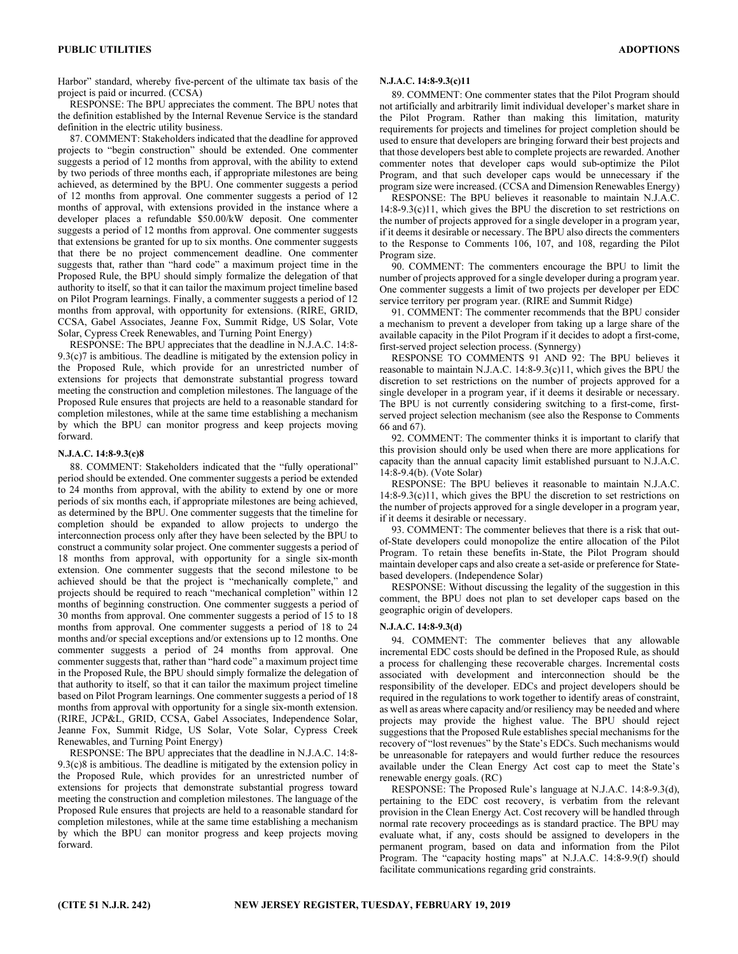Harbor" standard, whereby five-percent of the ultimate tax basis of the project is paid or incurred. (CCSA)

RESPONSE: The BPU appreciates the comment. The BPU notes that the definition established by the Internal Revenue Service is the standard definition in the electric utility business.

87. COMMENT: Stakeholders indicated that the deadline for approved projects to "begin construction" should be extended. One commenter suggests a period of 12 months from approval, with the ability to extend by two periods of three months each, if appropriate milestones are being achieved, as determined by the BPU. One commenter suggests a period of 12 months from approval. One commenter suggests a period of 12 months of approval, with extensions provided in the instance where a developer places a refundable \$50.00/kW deposit. One commenter suggests a period of 12 months from approval. One commenter suggests that extensions be granted for up to six months. One commenter suggests that there be no project commencement deadline. One commenter suggests that, rather than "hard code" a maximum project time in the Proposed Rule, the BPU should simply formalize the delegation of that authority to itself, so that it can tailor the maximum project timeline based on Pilot Program learnings. Finally, a commenter suggests a period of 12 months from approval, with opportunity for extensions. (RIRE, GRID, CCSA, Gabel Associates, Jeanne Fox, Summit Ridge, US Solar, Vote Solar, Cypress Creek Renewables, and Turning Point Energy)

RESPONSE: The BPU appreciates that the deadline in N.J.A.C. 14:8-  $9.3(c)$ 7 is ambitious. The deadline is mitigated by the extension policy in the Proposed Rule, which provide for an unrestricted number of extensions for projects that demonstrate substantial progress toward meeting the construction and completion milestones. The language of the Proposed Rule ensures that projects are held to a reasonable standard for completion milestones, while at the same time establishing a mechanism by which the BPU can monitor progress and keep projects moving forward.

#### N.J.A.C. 14:8-9.3(c)8

88. COMMENT: Stakeholders indicated that the "fully operational" period should be extended. One commenter suggests a period be extended to 24 months from approval, with the ability to extend by one or more periods of six months each, if appropriate milestones are being achieved, as determined by the BPU. One commenter suggests that the timeline for completion should be expanded to allow projects to undergo the interconnection process only after they have been selected by the BPU to construct a community solar project. One commenter suggests a period of 18 months from approval, with opportunity for a single six-month extension. One commenter suggests that the second milestone to be achieved should be that the project is "mechanically complete," and projects should be required to reach "mechanical completion" within 12 months of beginning construction. One commenter suggests a period of 30 months from approval. One commenter suggests a period of 15 to 18 months from approval. One commenter suggests a period of 18 to 24 months and/or special exceptions and/or extensions up to 12 months. One commenter suggests a period of 24 months from approval. One commenter suggests that, rather than "hard code" a maximum project time in the Proposed Rule, the BPU should simply formalize the delegation of that authority to itself, so that it can tailor the maximum project timeline based on Pilot Program learnings. One commenter suggests a period of 18 months from approval with opportunity for a single six-month extension. (RIRE, JCP&L, GRID, CCSA, Gabel Associates, Independence Solar, Jeanne Fox, Summit Ridge, US Solar, Vote Solar, Cypress Creek Renewables, and Turning Point Energy)

RESPONSE: The BPU appreciates that the deadline in N.J.A.C. 14:8- 9.3(c)8 is ambitious. The deadline is mitigated by the extension policy in the Proposed Rule, which provides for an unrestricted number of extensions for projects that demonstrate substantial progress toward meeting the construction and completion milestones. The language of the Proposed Rule ensures that projects are held to a reasonable standard for completion milestones, while at the same time establishing a mechanism by which the BPU can monitor progress and keep projects moving forward.

## N.J.A.C. 14:8-9.3(c)11

89. COMMENT: One commenter states that the Pilot Program should not artificially and arbitrarily limit individual developer's market share in the Pilot Program. Rather than making this limitation, maturity requirements for projects and timelines for project completion should be used to ensure that developers are bringing forward their best projects and that those developers best able to complete projects are rewarded. Another commenter notes that developer caps would sub-optimize the Pilot Program, and that such developer caps would be unnecessary if the program size were increased. (CCSA and Dimension Renewables Energy)

RESPONSE: The BPU believes it reasonable to maintain N.J.A.C. 14:8-9.3(c)11, which gives the BPU the discretion to set restrictions on the number of projects approved for a single developer in a program year, if it deems it desirable or necessary. The BPU also directs the commenters to the Response to Comments 106, 107, and 108, regarding the Pilot Program size.

90. COMMENT: The commenters encourage the BPU to limit the number of projects approved for a single developer during a program year. One commenter suggests a limit of two projects per developer per EDC service territory per program year. (RIRE and Summit Ridge)

91. COMMENT: The commenter recommends that the BPU consider a mechanism to prevent a developer from taking up a large share of the available capacity in the Pilot Program if it decides to adopt a first-come, first-served project selection process. (Synnergy)

RESPONSE TO COMMENTS 91 AND 92: The BPU believes it reasonable to maintain N.J.A.C. 14:8-9.3(c)11, which gives the BPU the discretion to set restrictions on the number of projects approved for a single developer in a program year, if it deems it desirable or necessary. The BPU is not currently considering switching to a first-come, firstserved project selection mechanism (see also the Response to Comments 66 and 67).

92. COMMENT: The commenter thinks it is important to clarify that this provision should only be used when there are more applications for capacity than the annual capacity limit established pursuant to N.J.A.C. 14:8-9.4(b). (Vote Solar)

RESPONSE: The BPU believes it reasonable to maintain N.J.A.C. 14:8-9.3(c)11, which gives the BPU the discretion to set restrictions on the number of projects approved for a single developer in a program year, if it deems it desirable or necessary.

93. COMMENT: The commenter believes that there is a risk that outof-State developers could monopolize the entire allocation of the Pilot Program. To retain these benefits in-State, the Pilot Program should maintain developer caps and also create a set-aside or preference for Statebased developers. (Independence Solar)

RESPONSE: Without discussing the legality of the suggestion in this comment, the BPU does not plan to set developer caps based on the geographic origin of developers.

## N.J.A.C. 14:8-9.3(d)

94. COMMENT: The commenter believes that any allowable incremental EDC costs should be defined in the Proposed Rule, as should a process for challenging these recoverable charges. Incremental costs associated with development and interconnection should be the responsibility of the developer. EDCs and project developers should be required in the regulations to work together to identify areas of constraint, as well as areas where capacity and/or resiliency may be needed and where projects may provide the highest value. The BPU should reject suggestions that the Proposed Rule establishes special mechanisms for the recovery of "lost revenues" by the State's EDCs. Such mechanisms would be unreasonable for ratepayers and would further reduce the resources available under the Clean Energy Act cost cap to meet the State's renewable energy goals. (RC)

RESPONSE: The Proposed Rule's language at N.J.A.C. 14:8-9.3(d), pertaining to the EDC cost recovery, is verbatim from the relevant provision in the Clean Energy Act. Cost recovery will be handled through normal rate recovery proceedings as is standard practice. The BPU may evaluate what, if any, costs should be assigned to developers in the permanent program, based on data and information from the Pilot Program. The "capacity hosting maps" at N.J.A.C. 14:8-9.9(f) should facilitate communications regarding grid constraints.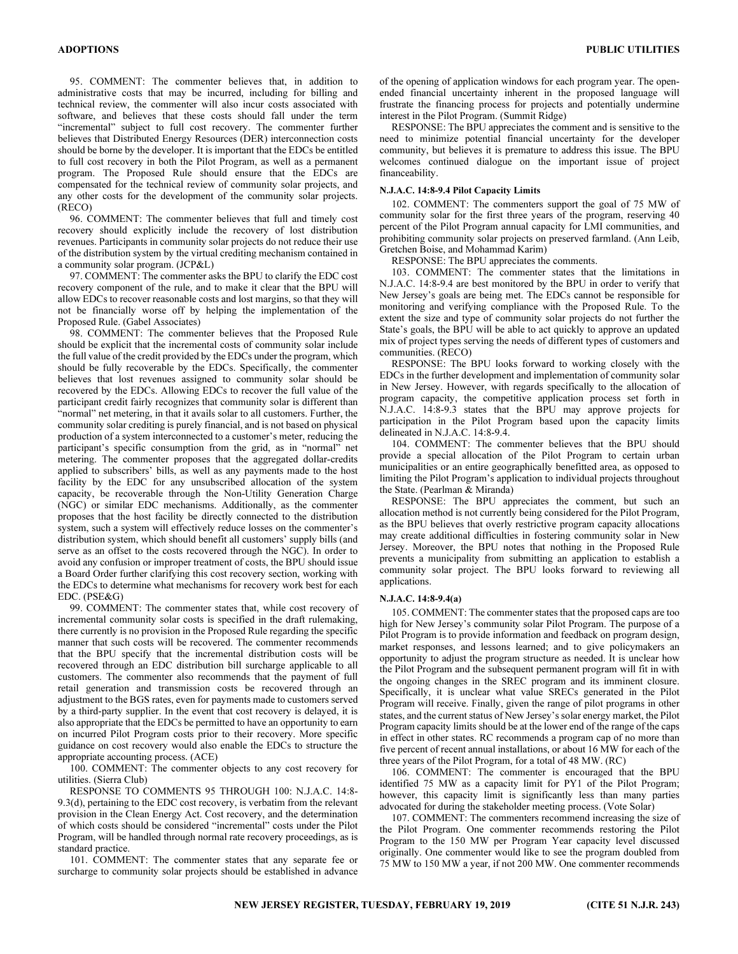95. COMMENT: The commenter believes that, in addition to administrative costs that may be incurred, including for billing and technical review, the commenter will also incur costs associated with software, and believes that these costs should fall under the term "incremental" subject to full cost recovery. The commenter further believes that Distributed Energy Resources (DER) interconnection costs should be borne by the developer. It is important that the EDCs be entitled to full cost recovery in both the Pilot Program, as well as a permanent program. The Proposed Rule should ensure that the EDCs are compensated for the technical review of community solar projects, and any other costs for the development of the community solar projects. (RECO)

96. COMMENT: The commenter believes that full and timely cost recovery should explicitly include the recovery of lost distribution revenues. Participants in community solar projects do not reduce their use of the distribution system by the virtual crediting mechanism contained in a community solar program. (JCP&L)

97. COMMENT: The commenter asks the BPU to clarify the EDC cost recovery component of the rule, and to make it clear that the BPU will allow EDCs to recover reasonable costs and lost margins, so that they will not be financially worse off by helping the implementation of the Proposed Rule. (Gabel Associates)

98. COMMENT: The commenter believes that the Proposed Rule should be explicit that the incremental costs of community solar include the full value of the credit provided by the EDCs under the program, which should be fully recoverable by the EDCs. Specifically, the commenter believes that lost revenues assigned to community solar should be recovered by the EDCs. Allowing EDCs to recover the full value of the participant credit fairly recognizes that community solar is different than "normal" net metering, in that it avails solar to all customers. Further, the community solar crediting is purely financial, and is not based on physical production of a system interconnected to a customer's meter, reducing the participant's specific consumption from the grid, as in "normal" net metering. The commenter proposes that the aggregated dollar-credits applied to subscribers' bills, as well as any payments made to the host facility by the EDC for any unsubscribed allocation of the system capacity, be recoverable through the Non-Utility Generation Charge (NGC) or similar EDC mechanisms. Additionally, as the commenter proposes that the host facility be directly connected to the distribution system, such a system will effectively reduce losses on the commenter's distribution system, which should benefit all customers' supply bills (and serve as an offset to the costs recovered through the NGC). In order to avoid any confusion or improper treatment of costs, the BPU should issue a Board Order further clarifying this cost recovery section, working with the EDCs to determine what mechanisms for recovery work best for each EDC. (PSE&G)

99. COMMENT: The commenter states that, while cost recovery of incremental community solar costs is specified in the draft rulemaking, there currently is no provision in the Proposed Rule regarding the specific manner that such costs will be recovered. The commenter recommends that the BPU specify that the incremental distribution costs will be recovered through an EDC distribution bill surcharge applicable to all customers. The commenter also recommends that the payment of full retail generation and transmission costs be recovered through an adjustment to the BGS rates, even for payments made to customers served by a third-party supplier. In the event that cost recovery is delayed, it is also appropriate that the EDCs be permitted to have an opportunity to earn on incurred Pilot Program costs prior to their recovery. More specific guidance on cost recovery would also enable the EDCs to structure the appropriate accounting process. (ACE)

100. COMMENT: The commenter objects to any cost recovery for utilities. (Sierra Club)

RESPONSE TO COMMENTS 95 THROUGH 100: N.J.A.C. 14:8- 9.3(d), pertaining to the EDC cost recovery, is verbatim from the relevant provision in the Clean Energy Act. Cost recovery, and the determination of which costs should be considered "incremental" costs under the Pilot Program, will be handled through normal rate recovery proceedings, as is standard practice.

101. COMMENT: The commenter states that any separate fee or surcharge to community solar projects should be established in advance of the opening of application windows for each program year. The openended financial uncertainty inherent in the proposed language will frustrate the financing process for projects and potentially undermine interest in the Pilot Program. (Summit Ridge)

RESPONSE: The BPU appreciates the comment and is sensitive to the need to minimize potential financial uncertainty for the developer community, but believes it is premature to address this issue. The BPU welcomes continued dialogue on the important issue of project financeability.

## N.J.A.C. 14:8-9.4 Pilot Capacity Limits

102. COMMENT: The commenters support the goal of 75 MW of community solar for the first three years of the program, reserving 40 percent of the Pilot Program annual capacity for LMI communities, and prohibiting community solar projects on preserved farmland. (Ann Leib, Gretchen Boise, and Mohammad Karim)

RESPONSE: The BPU appreciates the comments.

103. COMMENT: The commenter states that the limitations in N.J.A.C. 14:8-9.4 are best monitored by the BPU in order to verify that New Jersey's goals are being met. The EDCs cannot be responsible for monitoring and verifying compliance with the Proposed Rule. To the extent the size and type of community solar projects do not further the State's goals, the BPU will be able to act quickly to approve an updated mix of project types serving the needs of different types of customers and communities. (RECO)

RESPONSE: The BPU looks forward to working closely with the EDCs in the further development and implementation of community solar in New Jersey. However, with regards specifically to the allocation of program capacity, the competitive application process set forth in N.J.A.C. 14:8-9.3 states that the BPU may approve projects for participation in the Pilot Program based upon the capacity limits delineated in N.J.A.C. 14:8-9.4.

104. COMMENT: The commenter believes that the BPU should provide a special allocation of the Pilot Program to certain urban municipalities or an entire geographically benefitted area, as opposed to limiting the Pilot Program's application to individual projects throughout the State. (Pearlman & Miranda)

RESPONSE: The BPU appreciates the comment, but such an allocation method is not currently being considered for the Pilot Program, as the BPU believes that overly restrictive program capacity allocations may create additional difficulties in fostering community solar in New Jersey. Moreover, the BPU notes that nothing in the Proposed Rule prevents a municipality from submitting an application to establish a community solar project. The BPU looks forward to reviewing all applications.

## N.J.A.C. 14:8-9.4(a)

105. COMMENT: The commenter states that the proposed caps are too high for New Jersey's community solar Pilot Program. The purpose of a Pilot Program is to provide information and feedback on program design, market responses, and lessons learned; and to give policymakers an opportunity to adjust the program structure as needed. It is unclear how the Pilot Program and the subsequent permanent program will fit in with the ongoing changes in the SREC program and its imminent closure. Specifically, it is unclear what value SRECs generated in the Pilot Program will receive. Finally, given the range of pilot programs in other states, and the current status of New Jersey's solar energy market, the Pilot Program capacity limits should be at the lower end of the range of the caps in effect in other states. RC recommends a program cap of no more than five percent of recent annual installations, or about 16 MW for each of the three years of the Pilot Program, for a total of 48 MW. (RC)

106. COMMENT: The commenter is encouraged that the BPU identified 75 MW as a capacity limit for PY1 of the Pilot Program; however, this capacity limit is significantly less than many parties advocated for during the stakeholder meeting process. (Vote Solar)

107. COMMENT: The commenters recommend increasing the size of the Pilot Program. One commenter recommends restoring the Pilot Program to the 150 MW per Program Year capacity level discussed originally. One commenter would like to see the program doubled from 75 MW to 150 MW a year, if not 200 MW. One commenter recommends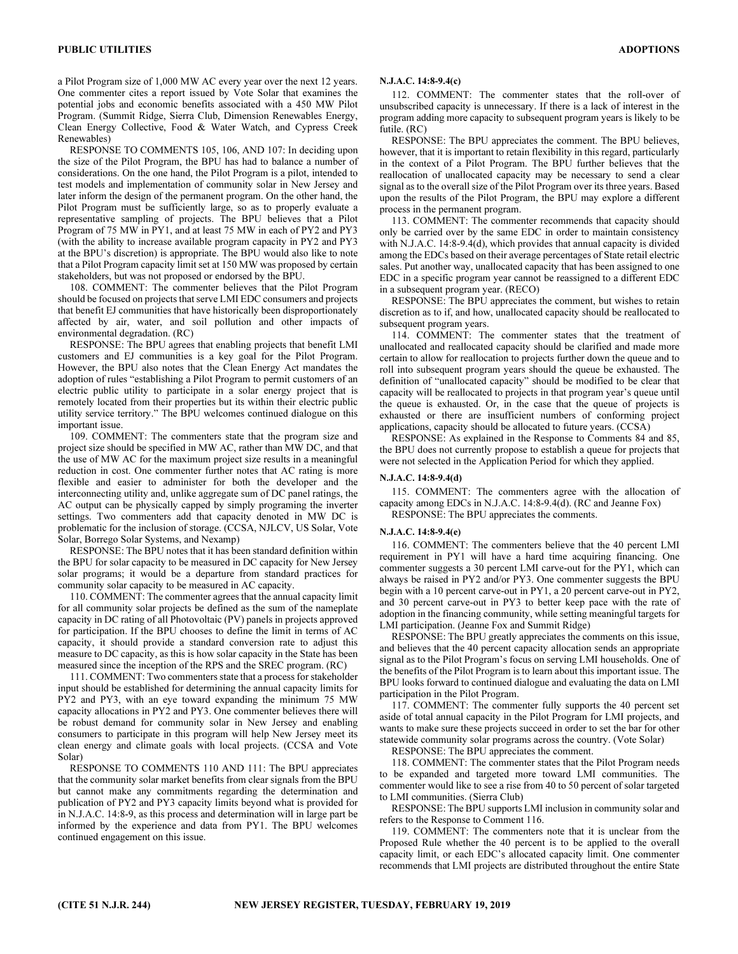a Pilot Program size of 1,000 MW AC every year over the next 12 years. One commenter cites a report issued by Vote Solar that examines the potential jobs and economic benefits associated with a 450 MW Pilot Program. (Summit Ridge, Sierra Club, Dimension Renewables Energy, Clean Energy Collective, Food & Water Watch, and Cypress Creek Renewables)

RESPONSE TO COMMENTS 105, 106, AND 107: In deciding upon the size of the Pilot Program, the BPU has had to balance a number of considerations. On the one hand, the Pilot Program is a pilot, intended to test models and implementation of community solar in New Jersey and later inform the design of the permanent program. On the other hand, the Pilot Program must be sufficiently large, so as to properly evaluate a representative sampling of projects. The BPU believes that a Pilot Program of 75 MW in PY1, and at least 75 MW in each of PY2 and PY3 (with the ability to increase available program capacity in PY2 and PY3 at the BPU's discretion) is appropriate. The BPU would also like to note that a Pilot Program capacity limit set at 150 MW was proposed by certain stakeholders, but was not proposed or endorsed by the BPU.

108. COMMENT: The commenter believes that the Pilot Program should be focused on projects that serve LMI EDC consumers and projects that benefit EJ communities that have historically been disproportionately affected by air, water, and soil pollution and other impacts of environmental degradation. (RC)

RESPONSE: The BPU agrees that enabling projects that benefit LMI customers and EJ communities is a key goal for the Pilot Program. However, the BPU also notes that the Clean Energy Act mandates the adoption of rules "establishing a Pilot Program to permit customers of an electric public utility to participate in a solar energy project that is remotely located from their properties but its within their electric public utility service territory." The BPU welcomes continued dialogue on this important issue.

109. COMMENT: The commenters state that the program size and project size should be specified in MW AC, rather than MW DC, and that the use of MW AC for the maximum project size results in a meaningful reduction in cost. One commenter further notes that AC rating is more flexible and easier to administer for both the developer and the interconnecting utility and, unlike aggregate sum of DC panel ratings, the AC output can be physically capped by simply programing the inverter settings. Two commenters add that capacity denoted in MW DC is problematic for the inclusion of storage. (CCSA, NJLCV, US Solar, Vote Solar, Borrego Solar Systems, and Nexamp)

RESPONSE: The BPU notes that it has been standard definition within the BPU for solar capacity to be measured in DC capacity for New Jersey solar programs; it would be a departure from standard practices for community solar capacity to be measured in AC capacity.

110. COMMENT: The commenter agrees that the annual capacity limit for all community solar projects be defined as the sum of the nameplate capacity in DC rating of all Photovoltaic (PV) panels in projects approved for participation. If the BPU chooses to define the limit in terms of AC capacity, it should provide a standard conversion rate to adjust this measure to DC capacity, as this is how solar capacity in the State has been measured since the inception of the RPS and the SREC program. (RC)

111. COMMENT: Two commenters state that a process for stakeholder input should be established for determining the annual capacity limits for PY2 and PY3, with an eye toward expanding the minimum 75 MW capacity allocations in PY2 and PY3. One commenter believes there will be robust demand for community solar in New Jersey and enabling consumers to participate in this program will help New Jersey meet its clean energy and climate goals with local projects. (CCSA and Vote Solar)

RESPONSE TO COMMENTS 110 AND 111: The BPU appreciates that the community solar market benefits from clear signals from the BPU but cannot make any commitments regarding the determination and publication of PY2 and PY3 capacity limits beyond what is provided for in N.J.A.C. 14:8-9, as this process and determination will in large part be informed by the experience and data from PY1. The BPU welcomes continued engagement on this issue.

## N.J.A.C. 14:8-9.4(c)

112. COMMENT: The commenter states that the roll-over of unsubscribed capacity is unnecessary. If there is a lack of interest in the program adding more capacity to subsequent program years is likely to be futile. (RC)

RESPONSE: The BPU appreciates the comment. The BPU believes, however, that it is important to retain flexibility in this regard, particularly in the context of a Pilot Program. The BPU further believes that the reallocation of unallocated capacity may be necessary to send a clear signal as to the overall size of the Pilot Program over its three years. Based upon the results of the Pilot Program, the BPU may explore a different process in the permanent program.

113. COMMENT: The commenter recommends that capacity should only be carried over by the same EDC in order to maintain consistency with N.J.A.C. 14:8-9.4(d), which provides that annual capacity is divided among the EDCs based on their average percentages of State retail electric sales. Put another way, unallocated capacity that has been assigned to one EDC in a specific program year cannot be reassigned to a different EDC in a subsequent program year. (RECO)

RESPONSE: The BPU appreciates the comment, but wishes to retain discretion as to if, and how, unallocated capacity should be reallocated to subsequent program years.

114. COMMENT: The commenter states that the treatment of unallocated and reallocated capacity should be clarified and made more certain to allow for reallocation to projects further down the queue and to roll into subsequent program years should the queue be exhausted. The definition of "unallocated capacity" should be modified to be clear that capacity will be reallocated to projects in that program year's queue until the queue is exhausted. Or, in the case that the queue of projects is exhausted or there are insufficient numbers of conforming project applications, capacity should be allocated to future years. (CCSA)

RESPONSE: As explained in the Response to Comments 84 and 85, the BPU does not currently propose to establish a queue for projects that were not selected in the Application Period for which they applied.

#### N.J.A.C. 14:8-9.4(d)

115. COMMENT: The commenters agree with the allocation of capacity among EDCs in N.J.A.C. 14:8-9.4(d). (RC and Jeanne Fox) RESPONSE: The BPU appreciates the comments.

#### N.J.A.C. 14:8-9.4(e)

116. COMMENT: The commenters believe that the 40 percent LMI requirement in PY1 will have a hard time acquiring financing. One commenter suggests a 30 percent LMI carve-out for the PY1, which can always be raised in PY2 and/or PY3. One commenter suggests the BPU begin with a 10 percent carve-out in PY1, a 20 percent carve-out in PY2, and 30 percent carve-out in PY3 to better keep pace with the rate of adoption in the financing community, while setting meaningful targets for LMI participation. (Jeanne Fox and Summit Ridge)

RESPONSE: The BPU greatly appreciates the comments on this issue, and believes that the 40 percent capacity allocation sends an appropriate signal as to the Pilot Program's focus on serving LMI households. One of the benefits of the Pilot Program is to learn about this important issue. The BPU looks forward to continued dialogue and evaluating the data on LMI participation in the Pilot Program.

117. COMMENT: The commenter fully supports the 40 percent set aside of total annual capacity in the Pilot Program for LMI projects, and wants to make sure these projects succeed in order to set the bar for other statewide community solar programs across the country. (Vote Solar)

RESPONSE: The BPU appreciates the comment.

118. COMMENT: The commenter states that the Pilot Program needs to be expanded and targeted more toward LMI communities. The commenter would like to see a rise from 40 to 50 percent of solar targeted to LMI communities. (Sierra Club)

RESPONSE: The BPU supports LMI inclusion in community solar and refers to the Response to Comment 116.

119. COMMENT: The commenters note that it is unclear from the Proposed Rule whether the 40 percent is to be applied to the overall capacity limit, or each EDC's allocated capacity limit. One commenter recommends that LMI projects are distributed throughout the entire State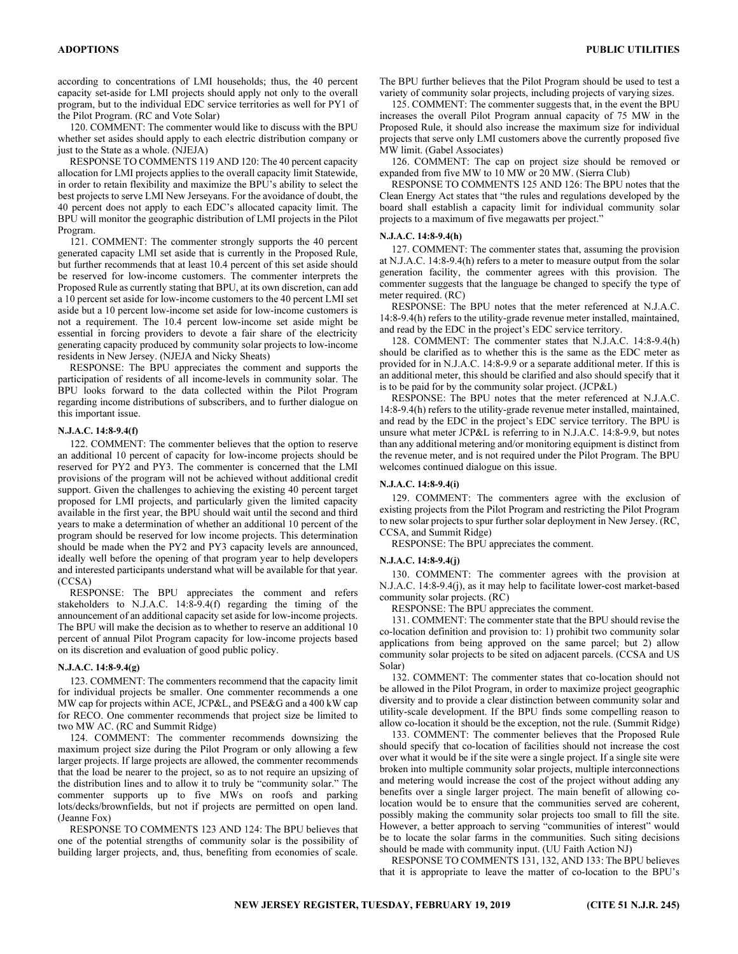according to concentrations of LMI households; thus, the 40 percent capacity set-aside for LMI projects should apply not only to the overall program, but to the individual EDC service territories as well for PY1 of the Pilot Program. (RC and Vote Solar)

120. COMMENT: The commenter would like to discuss with the BPU whether set asides should apply to each electric distribution company or just to the State as a whole. (NJEJA)

RESPONSE TO COMMENTS 119 AND 120: The 40 percent capacity allocation for LMI projects applies to the overall capacity limit Statewide, in order to retain flexibility and maximize the BPU's ability to select the best projects to serve LMI New Jerseyans. For the avoidance of doubt, the 40 percent does not apply to each EDC's allocated capacity limit. The BPU will monitor the geographic distribution of LMI projects in the Pilot Program.

121. COMMENT: The commenter strongly supports the 40 percent generated capacity LMI set aside that is currently in the Proposed Rule, but further recommends that at least 10.4 percent of this set aside should be reserved for low-income customers. The commenter interprets the Proposed Rule as currently stating that BPU, at its own discretion, can add a 10 percent set aside for low-income customers to the 40 percent LMI set aside but a 10 percent low-income set aside for low-income customers is not a requirement. The 10.4 percent low-income set aside might be essential in forcing providers to devote a fair share of the electricity generating capacity produced by community solar projects to low-income residents in New Jersey. (NJEJA and Nicky Sheats)

RESPONSE: The BPU appreciates the comment and supports the participation of residents of all income-levels in community solar. The BPU looks forward to the data collected within the Pilot Program regarding income distributions of subscribers, and to further dialogue on this important issue.

#### N.J.A.C. 14:8-9.4(f)

122. COMMENT: The commenter believes that the option to reserve an additional 10 percent of capacity for low-income projects should be reserved for PY2 and PY3. The commenter is concerned that the LMI provisions of the program will not be achieved without additional credit support. Given the challenges to achieving the existing 40 percent target proposed for LMI projects, and particularly given the limited capacity available in the first year, the BPU should wait until the second and third years to make a determination of whether an additional 10 percent of the program should be reserved for low income projects. This determination should be made when the PY2 and PY3 capacity levels are announced, ideally well before the opening of that program year to help developers and interested participants understand what will be available for that year. (CCSA)

RESPONSE: The BPU appreciates the comment and refers stakeholders to N.J.A.C. 14:8-9.4(f) regarding the timing of the announcement of an additional capacity set aside for low-income projects. The BPU will make the decision as to whether to reserve an additional 10 percent of annual Pilot Program capacity for low-income projects based on its discretion and evaluation of good public policy.

## N.J.A.C. 14:8-9.4(g)

123. COMMENT: The commenters recommend that the capacity limit for individual projects be smaller. One commenter recommends a one MW cap for projects within ACE, JCP&L, and PSE&G and a 400 kW cap for RECO. One commenter recommends that project size be limited to two MW AC. (RC and Summit Ridge)

124. COMMENT: The commenter recommends downsizing the maximum project size during the Pilot Program or only allowing a few larger projects. If large projects are allowed, the commenter recommends that the load be nearer to the project, so as to not require an upsizing of the distribution lines and to allow it to truly be "community solar." The commenter supports up to five MWs on roofs and parking lots/decks/brownfields, but not if projects are permitted on open land. (Jeanne Fox)

RESPONSE TO COMMENTS 123 AND 124: The BPU believes that one of the potential strengths of community solar is the possibility of building larger projects, and, thus, benefiting from economies of scale.

The BPU further believes that the Pilot Program should be used to test a variety of community solar projects, including projects of varying sizes.

125. COMMENT: The commenter suggests that, in the event the BPU increases the overall Pilot Program annual capacity of 75 MW in the Proposed Rule, it should also increase the maximum size for individual projects that serve only LMI customers above the currently proposed five MW limit. (Gabel Associates)

126. COMMENT: The cap on project size should be removed or expanded from five MW to 10 MW or 20 MW. (Sierra Club)

RESPONSE TO COMMENTS 125 AND 126: The BPU notes that the Clean Energy Act states that "the rules and regulations developed by the board shall establish a capacity limit for individual community solar projects to a maximum of five megawatts per project."

## N.J.A.C. 14:8-9.4(h)

127. COMMENT: The commenter states that, assuming the provision at N.J.A.C. 14:8-9.4(h) refers to a meter to measure output from the solar generation facility, the commenter agrees with this provision. The commenter suggests that the language be changed to specify the type of meter required. (RC)

RESPONSE: The BPU notes that the meter referenced at N.J.A.C. 14:8-9.4(h) refers to the utility-grade revenue meter installed, maintained, and read by the EDC in the project's EDC service territory.

128. COMMENT: The commenter states that N.J.A.C. 14:8-9.4(h) should be clarified as to whether this is the same as the EDC meter as provided for in N.J.A.C. 14:8-9.9 or a separate additional meter. If this is an additional meter, this should be clarified and also should specify that it is to be paid for by the community solar project. (JCP&L)

RESPONSE: The BPU notes that the meter referenced at N.J.A.C. 14:8-9.4(h) refers to the utility-grade revenue meter installed, maintained, and read by the EDC in the project's EDC service territory. The BPU is unsure what meter JCP&L is referring to in N.J.A.C. 14:8-9.9, but notes than any additional metering and/or monitoring equipment is distinct from the revenue meter, and is not required under the Pilot Program. The BPU welcomes continued dialogue on this issue.

#### N.J.A.C. 14:8-9.4(i)

129. COMMENT: The commenters agree with the exclusion of existing projects from the Pilot Program and restricting the Pilot Program to new solar projects to spur further solar deployment in New Jersey. (RC, CCSA, and Summit Ridge)

RESPONSE: The BPU appreciates the comment.

## N.J.A.C. 14:8-9.4(j)

130. COMMENT: The commenter agrees with the provision at N.J.A.C. 14:8-9.4(j), as it may help to facilitate lower-cost market-based community solar projects. (RC)

RESPONSE: The BPU appreciates the comment.

131. COMMENT: The commenter state that the BPU should revise the co-location definition and provision to: 1) prohibit two community solar applications from being approved on the same parcel; but 2) allow community solar projects to be sited on adjacent parcels. (CCSA and US Solar)

132. COMMENT: The commenter states that co-location should not be allowed in the Pilot Program, in order to maximize project geographic diversity and to provide a clear distinction between community solar and utility-scale development. If the BPU finds some compelling reason to allow co-location it should be the exception, not the rule. (Summit Ridge)

133. COMMENT: The commenter believes that the Proposed Rule should specify that co-location of facilities should not increase the cost over what it would be if the site were a single project. If a single site were broken into multiple community solar projects, multiple interconnections and metering would increase the cost of the project without adding any benefits over a single larger project. The main benefit of allowing colocation would be to ensure that the communities served are coherent, possibly making the community solar projects too small to fill the site. However, a better approach to serving "communities of interest" would be to locate the solar farms in the communities. Such siting decisions should be made with community input. (UU Faith Action NJ)

RESPONSE TO COMMENTS 131, 132, AND 133: The BPU believes that it is appropriate to leave the matter of co-location to the BPU's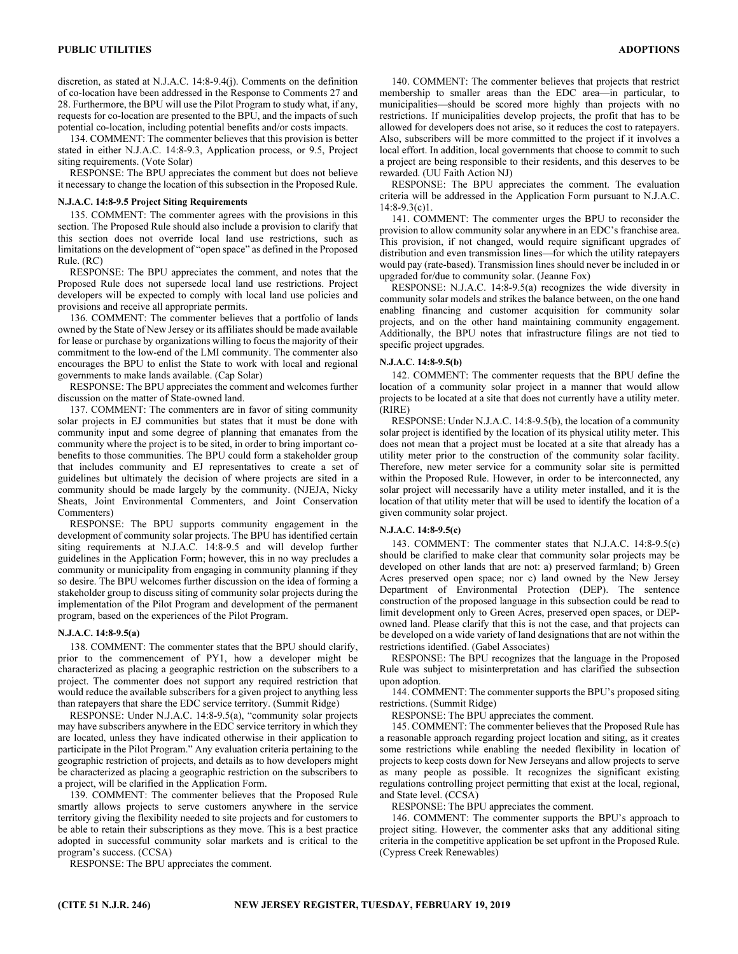discretion, as stated at N.J.A.C. 14:8-9.4(j). Comments on the definition of co-location have been addressed in the Response to Comments 27 and 28. Furthermore, the BPU will use the Pilot Program to study what, if any, requests for co-location are presented to the BPU, and the impacts of such potential co-location, including potential benefits and/or costs impacts.

134. COMMENT: The commenter believes that this provision is better stated in either N.J.A.C. 14:8-9.3, Application process, or 9.5, Project siting requirements. (Vote Solar)

RESPONSE: The BPU appreciates the comment but does not believe it necessary to change the location of this subsection in the Proposed Rule.

#### N.J.A.C. 14:8-9.5 Project Siting Requirements

135. COMMENT: The commenter agrees with the provisions in this section. The Proposed Rule should also include a provision to clarify that this section does not override local land use restrictions, such as limitations on the development of "open space" as defined in the Proposed Rule. (RC)

RESPONSE: The BPU appreciates the comment, and notes that the Proposed Rule does not supersede local land use restrictions. Project developers will be expected to comply with local land use policies and provisions and receive all appropriate permits.

136. COMMENT: The commenter believes that a portfolio of lands owned by the State of New Jersey or its affiliates should be made available for lease or purchase by organizations willing to focus the majority of their commitment to the low-end of the LMI community. The commenter also encourages the BPU to enlist the State to work with local and regional governments to make lands available. (Cap Solar)

RESPONSE: The BPU appreciates the comment and welcomes further discussion on the matter of State-owned land.

137. COMMENT: The commenters are in favor of siting community solar projects in EJ communities but states that it must be done with community input and some degree of planning that emanates from the community where the project is to be sited, in order to bring important cobenefits to those communities. The BPU could form a stakeholder group that includes community and EJ representatives to create a set of guidelines but ultimately the decision of where projects are sited in a community should be made largely by the community. (NJEJA, Nicky Sheats, Joint Environmental Commenters, and Joint Conservation Commenters)

RESPONSE: The BPU supports community engagement in the development of community solar projects. The BPU has identified certain siting requirements at N.J.A.C. 14:8-9.5 and will develop further guidelines in the Application Form; however, this in no way precludes a community or municipality from engaging in community planning if they so desire. The BPU welcomes further discussion on the idea of forming a stakeholder group to discuss siting of community solar projects during the implementation of the Pilot Program and development of the permanent program, based on the experiences of the Pilot Program.

#### N.J.A.C. 14:8-9.5(a)

138. COMMENT: The commenter states that the BPU should clarify, prior to the commencement of PY1, how a developer might be characterized as placing a geographic restriction on the subscribers to a project. The commenter does not support any required restriction that would reduce the available subscribers for a given project to anything less than ratepayers that share the EDC service territory. (Summit Ridge)

RESPONSE: Under N.J.A.C. 14:8-9.5(a), "community solar projects may have subscribers anywhere in the EDC service territory in which they are located, unless they have indicated otherwise in their application to participate in the Pilot Program." Any evaluation criteria pertaining to the geographic restriction of projects, and details as to how developers might be characterized as placing a geographic restriction on the subscribers to a project, will be clarified in the Application Form.

139. COMMENT: The commenter believes that the Proposed Rule smartly allows projects to serve customers anywhere in the service territory giving the flexibility needed to site projects and for customers to be able to retain their subscriptions as they move. This is a best practice adopted in successful community solar markets and is critical to the program's success. (CCSA)

RESPONSE: The BPU appreciates the comment.

140. COMMENT: The commenter believes that projects that restrict membership to smaller areas than the EDC area—in particular, to municipalities—should be scored more highly than projects with no restrictions. If municipalities develop projects, the profit that has to be allowed for developers does not arise, so it reduces the cost to ratepayers. Also, subscribers will be more committed to the project if it involves a local effort. In addition, local governments that choose to commit to such a project are being responsible to their residents, and this deserves to be rewarded. (UU Faith Action NJ)

RESPONSE: The BPU appreciates the comment. The evaluation criteria will be addressed in the Application Form pursuant to N.J.A.C.  $14:8-9.3(c)1$ .

141. COMMENT: The commenter urges the BPU to reconsider the provision to allow community solar anywhere in an EDC's franchise area. This provision, if not changed, would require significant upgrades of distribution and even transmission lines—for which the utility ratepayers would pay (rate-based). Transmission lines should never be included in or upgraded for/due to community solar. (Jeanne Fox)

RESPONSE: N.J.A.C. 14:8-9.5(a) recognizes the wide diversity in community solar models and strikes the balance between, on the one hand enabling financing and customer acquisition for community solar projects, and on the other hand maintaining community engagement. Additionally, the BPU notes that infrastructure filings are not tied to specific project upgrades.

## N.J.A.C. 14:8-9.5(b)

142. COMMENT: The commenter requests that the BPU define the location of a community solar project in a manner that would allow projects to be located at a site that does not currently have a utility meter. (RIRE)

RESPONSE: Under N.J.A.C. 14:8-9.5(b), the location of a community solar project is identified by the location of its physical utility meter. This does not mean that a project must be located at a site that already has a utility meter prior to the construction of the community solar facility. Therefore, new meter service for a community solar site is permitted within the Proposed Rule. However, in order to be interconnected, any solar project will necessarily have a utility meter installed, and it is the location of that utility meter that will be used to identify the location of a given community solar project.

#### N.J.A.C. 14:8-9.5(c)

143. COMMENT: The commenter states that N.J.A.C. 14:8-9.5(c) should be clarified to make clear that community solar projects may be developed on other lands that are not: a) preserved farmland; b) Green Acres preserved open space; nor c) land owned by the New Jersey Department of Environmental Protection (DEP). The sentence construction of the proposed language in this subsection could be read to limit development only to Green Acres, preserved open spaces, or DEPowned land. Please clarify that this is not the case, and that projects can be developed on a wide variety of land designations that are not within the restrictions identified. (Gabel Associates)

RESPONSE: The BPU recognizes that the language in the Proposed Rule was subject to misinterpretation and has clarified the subsection upon adoption.

144. COMMENT: The commenter supports the BPU's proposed siting restrictions. (Summit Ridge)

RESPONSE: The BPU appreciates the comment.

145. COMMENT: The commenter believes that the Proposed Rule has a reasonable approach regarding project location and siting, as it creates some restrictions while enabling the needed flexibility in location of projects to keep costs down for New Jerseyans and allow projects to serve as many people as possible. It recognizes the significant existing regulations controlling project permitting that exist at the local, regional, and State level. (CCSA)

RESPONSE: The BPU appreciates the comment.

146. COMMENT: The commenter supports the BPU's approach to project siting. However, the commenter asks that any additional siting criteria in the competitive application be set upfront in the Proposed Rule. (Cypress Creek Renewables)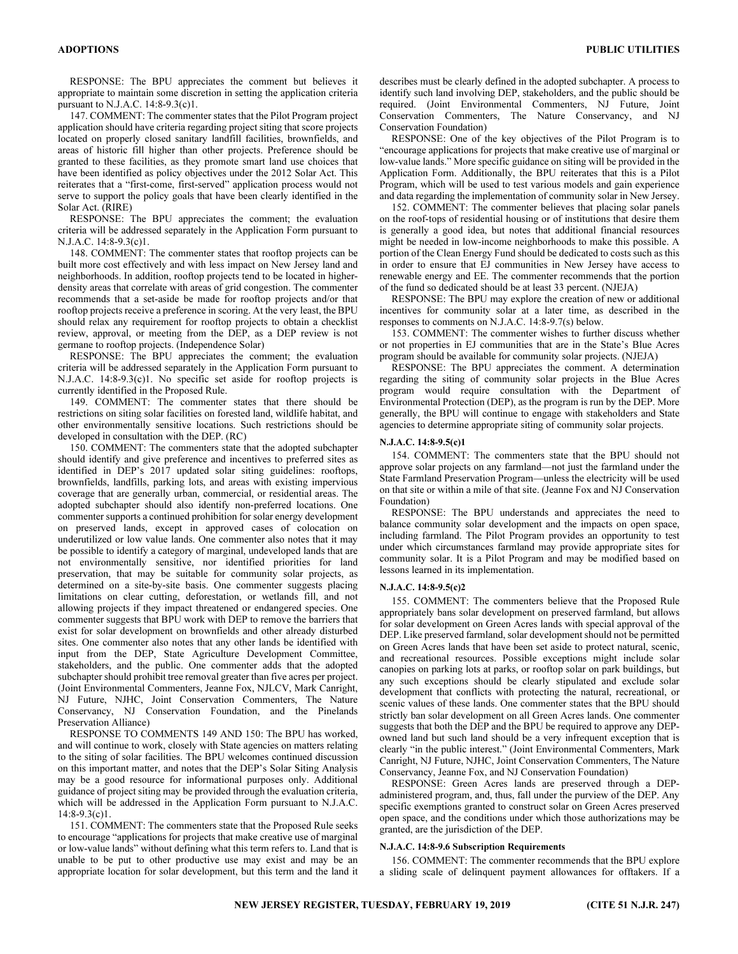RESPONSE: The BPU appreciates the comment but believes it appropriate to maintain some discretion in setting the application criteria pursuant to N.J.A.C. 14:8-9.3(c)1.

147. COMMENT: The commenter states that the Pilot Program project application should have criteria regarding project siting that score projects located on properly closed sanitary landfill facilities, brownfields, and areas of historic fill higher than other projects. Preference should be granted to these facilities, as they promote smart land use choices that have been identified as policy objectives under the 2012 Solar Act. This reiterates that a "first-come, first-served" application process would not serve to support the policy goals that have been clearly identified in the Solar Act. (RIRE)

RESPONSE: The BPU appreciates the comment; the evaluation criteria will be addressed separately in the Application Form pursuant to N.J.A.C. 14:8-9.3(c)1.

148. COMMENT: The commenter states that rooftop projects can be built more cost effectively and with less impact on New Jersey land and neighborhoods. In addition, rooftop projects tend to be located in higherdensity areas that correlate with areas of grid congestion. The commenter recommends that a set-aside be made for rooftop projects and/or that rooftop projects receive a preference in scoring. At the very least, the BPU should relax any requirement for rooftop projects to obtain a checklist review, approval, or meeting from the DEP, as a DEP review is not germane to rooftop projects. (Independence Solar)

RESPONSE: The BPU appreciates the comment; the evaluation criteria will be addressed separately in the Application Form pursuant to N.J.A.C. 14:8-9.3(c)1. No specific set aside for rooftop projects is currently identified in the Proposed Rule.

149. COMMENT: The commenter states that there should be restrictions on siting solar facilities on forested land, wildlife habitat, and other environmentally sensitive locations. Such restrictions should be developed in consultation with the DEP. (RC)

150. COMMENT: The commenters state that the adopted subchapter should identify and give preference and incentives to preferred sites as identified in DEP's 2017 updated solar siting guidelines: rooftops, brownfields, landfills, parking lots, and areas with existing impervious coverage that are generally urban, commercial, or residential areas. The adopted subchapter should also identify non-preferred locations. One commenter supports a continued prohibition for solar energy development on preserved lands, except in approved cases of colocation on underutilized or low value lands. One commenter also notes that it may be possible to identify a category of marginal, undeveloped lands that are not environmentally sensitive, nor identified priorities for land preservation, that may be suitable for community solar projects, as determined on a site-by-site basis. One commenter suggests placing limitations on clear cutting, deforestation, or wetlands fill, and not allowing projects if they impact threatened or endangered species. One commenter suggests that BPU work with DEP to remove the barriers that exist for solar development on brownfields and other already disturbed sites. One commenter also notes that any other lands be identified with input from the DEP, State Agriculture Development Committee, stakeholders, and the public. One commenter adds that the adopted subchapter should prohibit tree removal greater than five acres per project. (Joint Environmental Commenters, Jeanne Fox, NJLCV, Mark Canright, NJ Future, NJHC, Joint Conservation Commenters, The Nature Conservancy, NJ Conservation Foundation, and the Pinelands Preservation Alliance)

RESPONSE TO COMMENTS 149 AND 150: The BPU has worked, and will continue to work, closely with State agencies on matters relating to the siting of solar facilities. The BPU welcomes continued discussion on this important matter, and notes that the DEP's Solar Siting Analysis may be a good resource for informational purposes only. Additional guidance of project siting may be provided through the evaluation criteria, which will be addressed in the Application Form pursuant to N.J.A.C. 14:8-9.3(c)1.

151. COMMENT: The commenters state that the Proposed Rule seeks to encourage "applications for projects that make creative use of marginal or low-value lands" without defining what this term refers to. Land that is unable to be put to other productive use may exist and may be an appropriate location for solar development, but this term and the land it describes must be clearly defined in the adopted subchapter. A process to identify such land involving DEP, stakeholders, and the public should be required. (Joint Environmental Commenters, NJ Future, Joint Conservation Commenters, The Nature Conservancy, and NJ Conservation Foundation)

RESPONSE: One of the key objectives of the Pilot Program is to "encourage applications for projects that make creative use of marginal or low-value lands." More specific guidance on siting will be provided in the Application Form. Additionally, the BPU reiterates that this is a Pilot Program, which will be used to test various models and gain experience and data regarding the implementation of community solar in New Jersey.

152. COMMENT: The commenter believes that placing solar panels on the roof-tops of residential housing or of institutions that desire them is generally a good idea, but notes that additional financial resources might be needed in low-income neighborhoods to make this possible. A portion of the Clean Energy Fund should be dedicated to costs such as this in order to ensure that EJ communities in New Jersey have access to renewable energy and EE. The commenter recommends that the portion of the fund so dedicated should be at least 33 percent. (NJEJA)

RESPONSE: The BPU may explore the creation of new or additional incentives for community solar at a later time, as described in the responses to comments on N.J.A.C. 14:8-9.7(s) below.

153. COMMENT: The commenter wishes to further discuss whether or not properties in EJ communities that are in the State's Blue Acres program should be available for community solar projects. (NJEJA)

RESPONSE: The BPU appreciates the comment. A determination regarding the siting of community solar projects in the Blue Acres program would require consultation with the Department of Environmental Protection (DEP), as the program is run by the DEP. More generally, the BPU will continue to engage with stakeholders and State agencies to determine appropriate siting of community solar projects.

## N.J.A.C. 14:8-9.5(c)1

154. COMMENT: The commenters state that the BPU should not approve solar projects on any farmland—not just the farmland under the State Farmland Preservation Program—unless the electricity will be used on that site or within a mile of that site. (Jeanne Fox and NJ Conservation Foundation)

RESPONSE: The BPU understands and appreciates the need to balance community solar development and the impacts on open space, including farmland. The Pilot Program provides an opportunity to test under which circumstances farmland may provide appropriate sites for community solar. It is a Pilot Program and may be modified based on lessons learned in its implementation.

## N.J.A.C. 14:8-9.5(c)2

155. COMMENT: The commenters believe that the Proposed Rule appropriately bans solar development on preserved farmland, but allows for solar development on Green Acres lands with special approval of the DEP. Like preserved farmland, solar development should not be permitted on Green Acres lands that have been set aside to protect natural, scenic, and recreational resources. Possible exceptions might include solar canopies on parking lots at parks, or rooftop solar on park buildings, but any such exceptions should be clearly stipulated and exclude solar development that conflicts with protecting the natural, recreational, or scenic values of these lands. One commenter states that the BPU should strictly ban solar development on all Green Acres lands. One commenter suggests that both the DEP and the BPU be required to approve any DEPowned land but such land should be a very infrequent exception that is clearly "in the public interest." (Joint Environmental Commenters, Mark Canright, NJ Future, NJHC, Joint Conservation Commenters, The Nature Conservancy, Jeanne Fox, and NJ Conservation Foundation)

RESPONSE: Green Acres lands are preserved through a DEPadministered program, and, thus, fall under the purview of the DEP. Any specific exemptions granted to construct solar on Green Acres preserved open space, and the conditions under which those authorizations may be granted, are the jurisdiction of the DEP.

## N.J.A.C. 14:8-9.6 Subscription Requirements

156. COMMENT: The commenter recommends that the BPU explore a sliding scale of delinquent payment allowances for offtakers. If a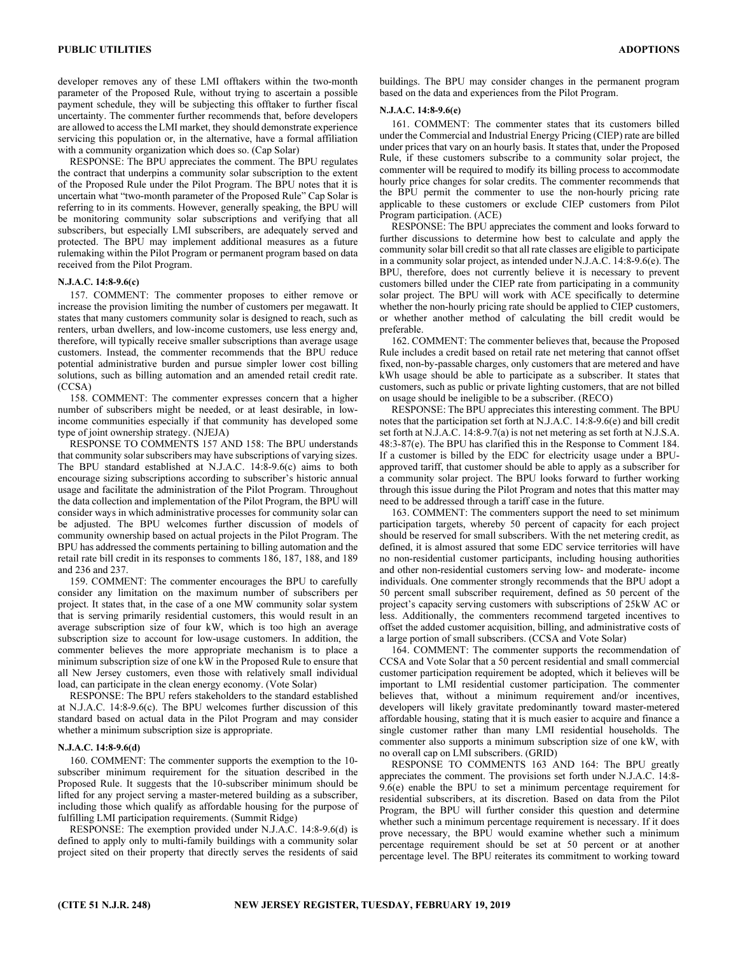developer removes any of these LMI offtakers within the two-month parameter of the Proposed Rule, without trying to ascertain a possible payment schedule, they will be subjecting this offtaker to further fiscal uncertainty. The commenter further recommends that, before developers are allowed to access the LMI market, they should demonstrate experience servicing this population or, in the alternative, have a formal affiliation with a community organization which does so. (Cap Solar)

RESPONSE: The BPU appreciates the comment. The BPU regulates the contract that underpins a community solar subscription to the extent of the Proposed Rule under the Pilot Program. The BPU notes that it is uncertain what "two-month parameter of the Proposed Rule" Cap Solar is referring to in its comments. However, generally speaking, the BPU will be monitoring community solar subscriptions and verifying that all subscribers, but especially LMI subscribers, are adequately served and protected. The BPU may implement additional measures as a future rulemaking within the Pilot Program or permanent program based on data received from the Pilot Program.

## N.J.A.C. 14:8-9.6(c)

157. COMMENT: The commenter proposes to either remove or increase the provision limiting the number of customers per megawatt. It states that many customers community solar is designed to reach, such as renters, urban dwellers, and low-income customers, use less energy and, therefore, will typically receive smaller subscriptions than average usage customers. Instead, the commenter recommends that the BPU reduce potential administrative burden and pursue simpler lower cost billing solutions, such as billing automation and an amended retail credit rate. (CCSA)

158. COMMENT: The commenter expresses concern that a higher number of subscribers might be needed, or at least desirable, in lowincome communities especially if that community has developed some type of joint ownership strategy. (NJEJA)

RESPONSE TO COMMENTS 157 AND 158: The BPU understands that community solar subscribers may have subscriptions of varying sizes. The BPU standard established at N.J.A.C. 14:8-9.6(c) aims to both encourage sizing subscriptions according to subscriber's historic annual usage and facilitate the administration of the Pilot Program. Throughout the data collection and implementation of the Pilot Program, the BPU will consider ways in which administrative processes for community solar can be adjusted. The BPU welcomes further discussion of models of community ownership based on actual projects in the Pilot Program. The BPU has addressed the comments pertaining to billing automation and the retail rate bill credit in its responses to comments 186, 187, 188, and 189 and 236 and 237.

159. COMMENT: The commenter encourages the BPU to carefully consider any limitation on the maximum number of subscribers per project. It states that, in the case of a one MW community solar system that is serving primarily residential customers, this would result in an average subscription size of four kW, which is too high an average subscription size to account for low-usage customers. In addition, the commenter believes the more appropriate mechanism is to place a minimum subscription size of one kW in the Proposed Rule to ensure that all New Jersey customers, even those with relatively small individual load, can participate in the clean energy economy. (Vote Solar)

RESPONSE: The BPU refers stakeholders to the standard established at N.J.A.C. 14:8-9.6(c). The BPU welcomes further discussion of this standard based on actual data in the Pilot Program and may consider whether a minimum subscription size is appropriate.

## N.J.A.C. 14:8-9.6(d)

160. COMMENT: The commenter supports the exemption to the 10 subscriber minimum requirement for the situation described in the Proposed Rule. It suggests that the 10-subscriber minimum should be lifted for any project serving a master-metered building as a subscriber, including those which qualify as affordable housing for the purpose of fulfilling LMI participation requirements. (Summit Ridge)

RESPONSE: The exemption provided under N.J.A.C. 14:8-9.6(d) is defined to apply only to multi-family buildings with a community solar project sited on their property that directly serves the residents of said buildings. The BPU may consider changes in the permanent program based on the data and experiences from the Pilot Program.

## N.J.A.C. 14:8-9.6(e)

161. COMMENT: The commenter states that its customers billed under the Commercial and Industrial Energy Pricing (CIEP) rate are billed under prices that vary on an hourly basis. It states that, under the Proposed Rule, if these customers subscribe to a community solar project, the commenter will be required to modify its billing process to accommodate hourly price changes for solar credits. The commenter recommends that the BPU permit the commenter to use the non-hourly pricing rate applicable to these customers or exclude CIEP customers from Pilot Program participation. (ACE)

RESPONSE: The BPU appreciates the comment and looks forward to further discussions to determine how best to calculate and apply the community solar bill credit so that all rate classes are eligible to participate in a community solar project, as intended under N.J.A.C. 14:8-9.6(e). The BPU, therefore, does not currently believe it is necessary to prevent customers billed under the CIEP rate from participating in a community solar project. The BPU will work with ACE specifically to determine whether the non-hourly pricing rate should be applied to CIEP customers, or whether another method of calculating the bill credit would be preferable.

162. COMMENT: The commenter believes that, because the Proposed Rule includes a credit based on retail rate net metering that cannot offset fixed, non-by-passable charges, only customers that are metered and have kWh usage should be able to participate as a subscriber. It states that customers, such as public or private lighting customers, that are not billed on usage should be ineligible to be a subscriber. (RECO)

RESPONSE: The BPU appreciates this interesting comment. The BPU notes that the participation set forth at N.J.A.C. 14:8-9.6(e) and bill credit set forth at N.J.A.C. 14:8-9.7(a) is not net metering as set forth at N.J.S.A. 48:3-87(e). The BPU has clarified this in the Response to Comment 184. If a customer is billed by the EDC for electricity usage under a BPUapproved tariff, that customer should be able to apply as a subscriber for a community solar project. The BPU looks forward to further working through this issue during the Pilot Program and notes that this matter may need to be addressed through a tariff case in the future.

163. COMMENT: The commenters support the need to set minimum participation targets, whereby 50 percent of capacity for each project should be reserved for small subscribers. With the net metering credit, as defined, it is almost assured that some EDC service territories will have no non-residential customer participants, including housing authorities and other non-residential customers serving low- and moderate- income individuals. One commenter strongly recommends that the BPU adopt a 50 percent small subscriber requirement, defined as 50 percent of the project's capacity serving customers with subscriptions of 25kW AC or less. Additionally, the commenters recommend targeted incentives to offset the added customer acquisition, billing, and administrative costs of a large portion of small subscribers. (CCSA and Vote Solar)

164. COMMENT: The commenter supports the recommendation of CCSA and Vote Solar that a 50 percent residential and small commercial customer participation requirement be adopted, which it believes will be important to LMI residential customer participation. The commenter believes that, without a minimum requirement and/or incentives, developers will likely gravitate predominantly toward master-metered affordable housing, stating that it is much easier to acquire and finance a single customer rather than many LMI residential households. The commenter also supports a minimum subscription size of one kW, with no overall cap on LMI subscribers. (GRID)

RESPONSE TO COMMENTS 163 AND 164: The BPU greatly appreciates the comment. The provisions set forth under N.J.A.C. 14:8- 9.6(e) enable the BPU to set a minimum percentage requirement for residential subscribers, at its discretion. Based on data from the Pilot Program, the BPU will further consider this question and determine whether such a minimum percentage requirement is necessary. If it does prove necessary, the BPU would examine whether such a minimum percentage requirement should be set at 50 percent or at another percentage level. The BPU reiterates its commitment to working toward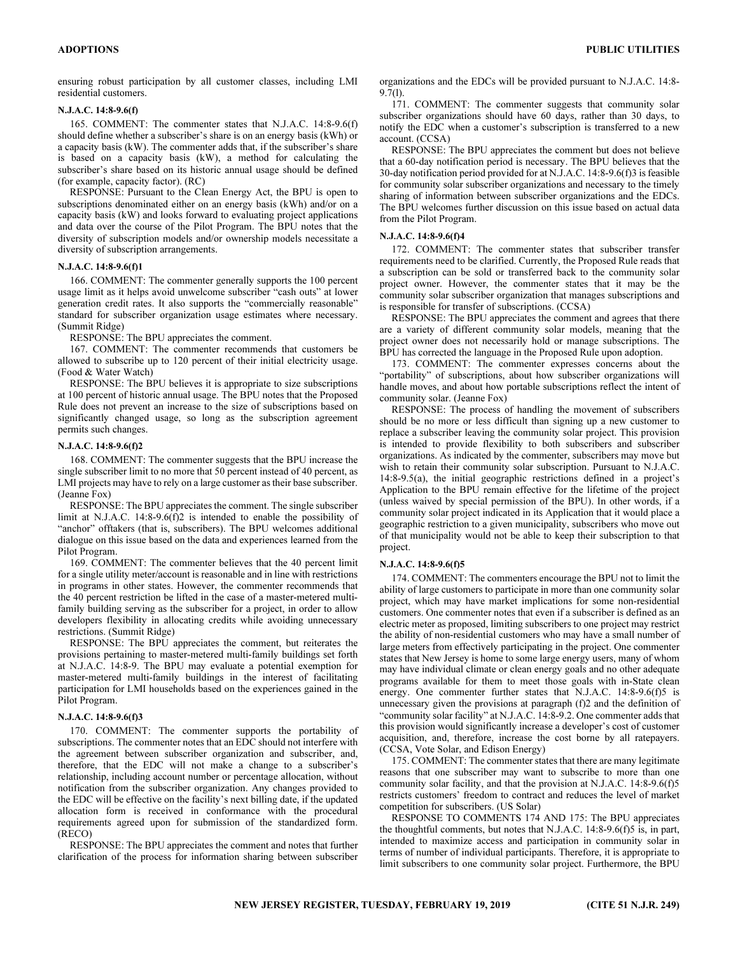ensuring robust participation by all customer classes, including LMI residential customers.

## N.J.A.C. 14:8-9.6(f)

165. COMMENT: The commenter states that N.J.A.C. 14:8-9.6(f) should define whether a subscriber's share is on an energy basis (kWh) or a capacity basis (kW). The commenter adds that, if the subscriber's share is based on a capacity basis (kW), a method for calculating the subscriber's share based on its historic annual usage should be defined (for example, capacity factor). (RC)

RESPONSE: Pursuant to the Clean Energy Act, the BPU is open to subscriptions denominated either on an energy basis (kWh) and/or on a capacity basis (kW) and looks forward to evaluating project applications and data over the course of the Pilot Program. The BPU notes that the diversity of subscription models and/or ownership models necessitate a diversity of subscription arrangements.

## N.J.A.C. 14:8-9.6(f)1

166. COMMENT: The commenter generally supports the 100 percent usage limit as it helps avoid unwelcome subscriber "cash outs" at lower generation credit rates. It also supports the "commercially reasonable" standard for subscriber organization usage estimates where necessary. (Summit Ridge)

RESPONSE: The BPU appreciates the comment.

167. COMMENT: The commenter recommends that customers be allowed to subscribe up to 120 percent of their initial electricity usage. (Food & Water Watch)

RESPONSE: The BPU believes it is appropriate to size subscriptions at 100 percent of historic annual usage. The BPU notes that the Proposed Rule does not prevent an increase to the size of subscriptions based on significantly changed usage, so long as the subscription agreement permits such changes.

#### N.J.A.C. 14:8-9.6(f)2

168. COMMENT: The commenter suggests that the BPU increase the single subscriber limit to no more that 50 percent instead of 40 percent, as LMI projects may have to rely on a large customer as their base subscriber. (Jeanne Fox)

RESPONSE: The BPU appreciates the comment. The single subscriber limit at N.J.A.C. 14:8-9.6(f)2 is intended to enable the possibility of "anchor" offtakers (that is, subscribers). The BPU welcomes additional dialogue on this issue based on the data and experiences learned from the Pilot Program.

169. COMMENT: The commenter believes that the 40 percent limit for a single utility meter/account is reasonable and in line with restrictions in programs in other states. However, the commenter recommends that the 40 percent restriction be lifted in the case of a master-metered multifamily building serving as the subscriber for a project, in order to allow developers flexibility in allocating credits while avoiding unnecessary restrictions. (Summit Ridge)

RESPONSE: The BPU appreciates the comment, but reiterates the provisions pertaining to master-metered multi-family buildings set forth at N.J.A.C. 14:8-9. The BPU may evaluate a potential exemption for master-metered multi-family buildings in the interest of facilitating participation for LMI households based on the experiences gained in the Pilot Program.

#### N.J.A.C. 14:8-9.6(f)3

170. COMMENT: The commenter supports the portability of subscriptions. The commenter notes that an EDC should not interfere with the agreement between subscriber organization and subscriber, and, therefore, that the EDC will not make a change to a subscriber's relationship, including account number or percentage allocation, without notification from the subscriber organization. Any changes provided to the EDC will be effective on the facility's next billing date, if the updated allocation form is received in conformance with the procedural requirements agreed upon for submission of the standardized form. (RECO)

RESPONSE: The BPU appreciates the comment and notes that further clarification of the process for information sharing between subscriber organizations and the EDCs will be provided pursuant to N.J.A.C. 14:8- 9.7(l).

171. COMMENT: The commenter suggests that community solar subscriber organizations should have 60 days, rather than 30 days, to notify the EDC when a customer's subscription is transferred to a new account. (CCSA)

RESPONSE: The BPU appreciates the comment but does not believe that a 60-day notification period is necessary. The BPU believes that the 30-day notification period provided for at N.J.A.C. 14:8-9.6(f)3 is feasible for community solar subscriber organizations and necessary to the timely sharing of information between subscriber organizations and the EDCs. The BPU welcomes further discussion on this issue based on actual data from the Pilot Program.

## N.J.A.C. 14:8-9.6(f)4

172. COMMENT: The commenter states that subscriber transfer requirements need to be clarified. Currently, the Proposed Rule reads that a subscription can be sold or transferred back to the community solar project owner. However, the commenter states that it may be the community solar subscriber organization that manages subscriptions and is responsible for transfer of subscriptions. (CCSA)

RESPONSE: The BPU appreciates the comment and agrees that there are a variety of different community solar models, meaning that the project owner does not necessarily hold or manage subscriptions. The BPU has corrected the language in the Proposed Rule upon adoption.

173. COMMENT: The commenter expresses concerns about the "portability" of subscriptions, about how subscriber organizations will handle moves, and about how portable subscriptions reflect the intent of community solar. (Jeanne Fox)

RESPONSE: The process of handling the movement of subscribers should be no more or less difficult than signing up a new customer to replace a subscriber leaving the community solar project. This provision is intended to provide flexibility to both subscribers and subscriber organizations. As indicated by the commenter, subscribers may move but wish to retain their community solar subscription. Pursuant to N.J.A.C. 14:8-9.5(a), the initial geographic restrictions defined in a project's Application to the BPU remain effective for the lifetime of the project (unless waived by special permission of the BPU). In other words, if a community solar project indicated in its Application that it would place a geographic restriction to a given municipality, subscribers who move out of that municipality would not be able to keep their subscription to that project.

## N.J.A.C. 14:8-9.6(f)5

174. COMMENT: The commenters encourage the BPU not to limit the ability of large customers to participate in more than one community solar project, which may have market implications for some non-residential customers. One commenter notes that even if a subscriber is defined as an electric meter as proposed, limiting subscribers to one project may restrict the ability of non-residential customers who may have a small number of large meters from effectively participating in the project. One commenter states that New Jersey is home to some large energy users, many of whom may have individual climate or clean energy goals and no other adequate programs available for them to meet those goals with in-State clean energy. One commenter further states that N.J.A.C. 14:8-9.6(f)5 is unnecessary given the provisions at paragraph (f)2 and the definition of "community solar facility" at N.J.A.C. 14:8-9.2. One commenter adds that this provision would significantly increase a developer's cost of customer acquisition, and, therefore, increase the cost borne by all ratepayers. (CCSA, Vote Solar, and Edison Energy)

175. COMMENT: The commenter states that there are many legitimate reasons that one subscriber may want to subscribe to more than one community solar facility, and that the provision at N.J.A.C. 14:8-9.6(f)5 restricts customers' freedom to contract and reduces the level of market competition for subscribers. (US Solar)

RESPONSE TO COMMENTS 174 AND 175: The BPU appreciates the thoughtful comments, but notes that N.J.A.C. 14:8-9.6(f)5 is, in part, intended to maximize access and participation in community solar in terms of number of individual participants. Therefore, it is appropriate to limit subscribers to one community solar project. Furthermore, the BPU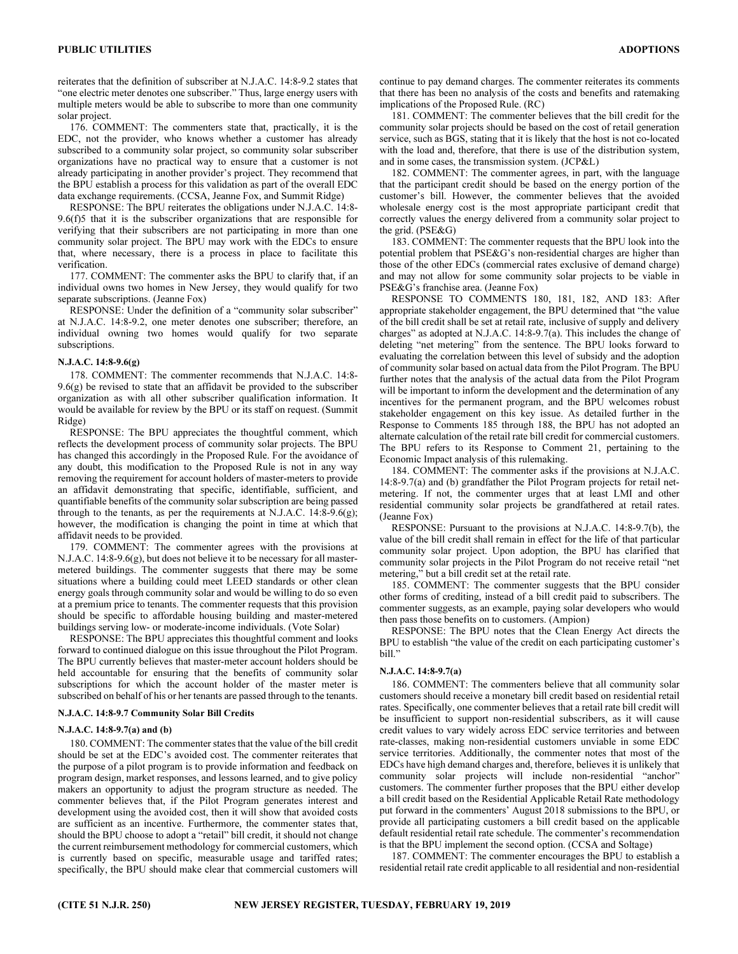reiterates that the definition of subscriber at N.J.A.C. 14:8-9.2 states that "one electric meter denotes one subscriber." Thus, large energy users with multiple meters would be able to subscribe to more than one community solar project.

176. COMMENT: The commenters state that, practically, it is the EDC, not the provider, who knows whether a customer has already subscribed to a community solar project, so community solar subscriber organizations have no practical way to ensure that a customer is not already participating in another provider's project. They recommend that the BPU establish a process for this validation as part of the overall EDC data exchange requirements. (CCSA, Jeanne Fox, and Summit Ridge)

RESPONSE: The BPU reiterates the obligations under N.J.A.C. 14:8- 9.6(f)5 that it is the subscriber organizations that are responsible for verifying that their subscribers are not participating in more than one community solar project. The BPU may work with the EDCs to ensure that, where necessary, there is a process in place to facilitate this verification.

177. COMMENT: The commenter asks the BPU to clarify that, if an individual owns two homes in New Jersey, they would qualify for two separate subscriptions. (Jeanne Fox)

RESPONSE: Under the definition of a "community solar subscriber" at N.J.A.C. 14:8-9.2, one meter denotes one subscriber; therefore, an individual owning two homes would qualify for two separate subscriptions.

## N.J.A.C. 14:8-9.6(g)

178. COMMENT: The commenter recommends that N.J.A.C. 14:8- 9.6(g) be revised to state that an affidavit be provided to the subscriber organization as with all other subscriber qualification information. It would be available for review by the BPU or its staff on request. (Summit Ridge)

RESPONSE: The BPU appreciates the thoughtful comment, which reflects the development process of community solar projects. The BPU has changed this accordingly in the Proposed Rule. For the avoidance of any doubt, this modification to the Proposed Rule is not in any way removing the requirement for account holders of master-meters to provide an affidavit demonstrating that specific, identifiable, sufficient, and quantifiable benefits of the community solar subscription are being passed through to the tenants, as per the requirements at N.J.A.C. 14:8-9.6(g); however, the modification is changing the point in time at which that affidavit needs to be provided.

179. COMMENT: The commenter agrees with the provisions at N.J.A.C. 14:8-9.6(g), but does not believe it to be necessary for all mastermetered buildings. The commenter suggests that there may be some situations where a building could meet LEED standards or other clean energy goals through community solar and would be willing to do so even at a premium price to tenants. The commenter requests that this provision should be specific to affordable housing building and master-metered buildings serving low- or moderate-income individuals. (Vote Solar)

RESPONSE: The BPU appreciates this thoughtful comment and looks forward to continued dialogue on this issue throughout the Pilot Program. The BPU currently believes that master-meter account holders should be held accountable for ensuring that the benefits of community solar subscriptions for which the account holder of the master meter is subscribed on behalf of his or her tenants are passed through to the tenants.

## N.J.A.C. 14:8-9.7 Community Solar Bill Credits

#### N.J.A.C. 14:8-9.7(a) and (b)

180. COMMENT: The commenter states that the value of the bill credit should be set at the EDC's avoided cost. The commenter reiterates that the purpose of a pilot program is to provide information and feedback on program design, market responses, and lessons learned, and to give policy makers an opportunity to adjust the program structure as needed. The commenter believes that, if the Pilot Program generates interest and development using the avoided cost, then it will show that avoided costs are sufficient as an incentive. Furthermore, the commenter states that, should the BPU choose to adopt a "retail" bill credit, it should not change the current reimbursement methodology for commercial customers, which is currently based on specific, measurable usage and tariffed rates; specifically, the BPU should make clear that commercial customers will

continue to pay demand charges. The commenter reiterates its comments that there has been no analysis of the costs and benefits and ratemaking implications of the Proposed Rule. (RC)

181. COMMENT: The commenter believes that the bill credit for the community solar projects should be based on the cost of retail generation service, such as BGS, stating that it is likely that the host is not co-located with the load and, therefore, that there is use of the distribution system, and in some cases, the transmission system. (JCP&L)

182. COMMENT: The commenter agrees, in part, with the language that the participant credit should be based on the energy portion of the customer's bill. However, the commenter believes that the avoided wholesale energy cost is the most appropriate participant credit that correctly values the energy delivered from a community solar project to the grid. (PSE&G)

183. COMMENT: The commenter requests that the BPU look into the potential problem that PSE&G's non-residential charges are higher than those of the other EDCs (commercial rates exclusive of demand charge) and may not allow for some community solar projects to be viable in PSE&G's franchise area. (Jeanne Fox)

RESPONSE TO COMMENTS 180, 181, 182, AND 183: After appropriate stakeholder engagement, the BPU determined that "the value of the bill credit shall be set at retail rate, inclusive of supply and delivery charges" as adopted at N.J.A.C. 14:8-9.7(a). This includes the change of deleting "net metering" from the sentence. The BPU looks forward to evaluating the correlation between this level of subsidy and the adoption of community solar based on actual data from the Pilot Program. The BPU further notes that the analysis of the actual data from the Pilot Program will be important to inform the development and the determination of any incentives for the permanent program, and the BPU welcomes robust stakeholder engagement on this key issue. As detailed further in the Response to Comments 185 through 188, the BPU has not adopted an alternate calculation of the retail rate bill credit for commercial customers. The BPU refers to its Response to Comment 21, pertaining to the Economic Impact analysis of this rulemaking.

184. COMMENT: The commenter asks if the provisions at N.J.A.C. 14:8-9.7(a) and (b) grandfather the Pilot Program projects for retail netmetering. If not, the commenter urges that at least LMI and other residential community solar projects be grandfathered at retail rates. (Jeanne Fox)

RESPONSE: Pursuant to the provisions at N.J.A.C. 14:8-9.7(b), the value of the bill credit shall remain in effect for the life of that particular community solar project. Upon adoption, the BPU has clarified that community solar projects in the Pilot Program do not receive retail "net metering," but a bill credit set at the retail rate.

185. COMMENT: The commenter suggests that the BPU consider other forms of crediting, instead of a bill credit paid to subscribers. The commenter suggests, as an example, paying solar developers who would then pass those benefits on to customers. (Ampion)

RESPONSE: The BPU notes that the Clean Energy Act directs the BPU to establish "the value of the credit on each participating customer's bill."

#### N.J.A.C. 14:8-9.7(a)

186. COMMENT: The commenters believe that all community solar customers should receive a monetary bill credit based on residential retail rates. Specifically, one commenter believes that a retail rate bill credit will be insufficient to support non-residential subscribers, as it will cause credit values to vary widely across EDC service territories and between rate-classes, making non-residential customers unviable in some EDC service territories. Additionally, the commenter notes that most of the EDCs have high demand charges and, therefore, believes it is unlikely that community solar projects will include non-residential "anchor" customers. The commenter further proposes that the BPU either develop a bill credit based on the Residential Applicable Retail Rate methodology put forward in the commenters' August 2018 submissions to the BPU, or provide all participating customers a bill credit based on the applicable default residential retail rate schedule. The commenter's recommendation is that the BPU implement the second option. (CCSA and Soltage)

187. COMMENT: The commenter encourages the BPU to establish a residential retail rate credit applicable to all residential and non-residential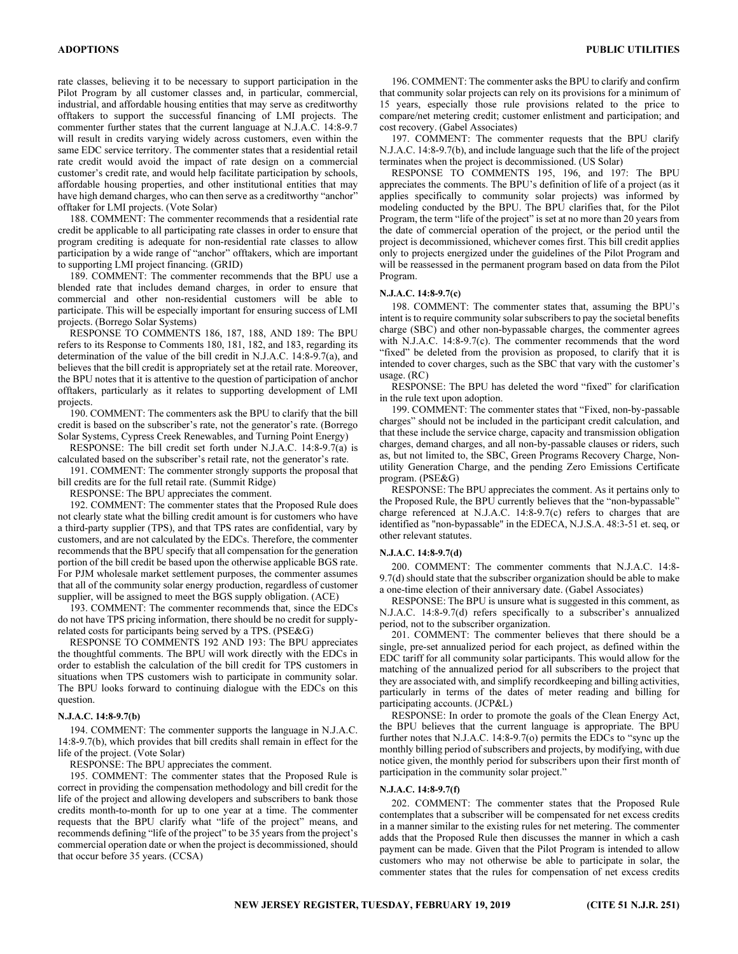rate classes, believing it to be necessary to support participation in the Pilot Program by all customer classes and, in particular, commercial, industrial, and affordable housing entities that may serve as creditworthy offtakers to support the successful financing of LMI projects. The commenter further states that the current language at N.J.A.C. 14:8-9.7 will result in credits varying widely across customers, even within the same EDC service territory. The commenter states that a residential retail rate credit would avoid the impact of rate design on a commercial customer's credit rate, and would help facilitate participation by schools, affordable housing properties, and other institutional entities that may have high demand charges, who can then serve as a creditworthy "anchor" offtaker for LMI projects. (Vote Solar)

188. COMMENT: The commenter recommends that a residential rate credit be applicable to all participating rate classes in order to ensure that program crediting is adequate for non-residential rate classes to allow participation by a wide range of "anchor" offtakers, which are important to supporting LMI project financing. (GRID)

189. COMMENT: The commenter recommends that the BPU use a blended rate that includes demand charges, in order to ensure that commercial and other non-residential customers will be able to participate. This will be especially important for ensuring success of LMI projects. (Borrego Solar Systems)

RESPONSE TO COMMENTS 186, 187, 188, AND 189: The BPU refers to its Response to Comments 180, 181, 182, and 183, regarding its determination of the value of the bill credit in N.J.A.C. 14:8-9.7(a), and believes that the bill credit is appropriately set at the retail rate. Moreover, the BPU notes that it is attentive to the question of participation of anchor offtakers, particularly as it relates to supporting development of LMI projects.

190. COMMENT: The commenters ask the BPU to clarify that the bill credit is based on the subscriber's rate, not the generator's rate. (Borrego Solar Systems, Cypress Creek Renewables, and Turning Point Energy)

RESPONSE: The bill credit set forth under N.J.A.C. 14:8-9.7(a) is calculated based on the subscriber's retail rate, not the generator's rate.

191. COMMENT: The commenter strongly supports the proposal that bill credits are for the full retail rate. (Summit Ridge)

RESPONSE: The BPU appreciates the comment.

192. COMMENT: The commenter states that the Proposed Rule does not clearly state what the billing credit amount is for customers who have a third-party supplier (TPS), and that TPS rates are confidential, vary by customers, and are not calculated by the EDCs. Therefore, the commenter recommends that the BPU specify that all compensation for the generation portion of the bill credit be based upon the otherwise applicable BGS rate. For PJM wholesale market settlement purposes, the commenter assumes that all of the community solar energy production, regardless of customer supplier, will be assigned to meet the BGS supply obligation. (ACE)

193. COMMENT: The commenter recommends that, since the EDCs do not have TPS pricing information, there should be no credit for supplyrelated costs for participants being served by a TPS. (PSE&G)

RESPONSE TO COMMENTS 192 AND 193: The BPU appreciates the thoughtful comments. The BPU will work directly with the EDCs in order to establish the calculation of the bill credit for TPS customers in situations when TPS customers wish to participate in community solar. The BPU looks forward to continuing dialogue with the EDCs on this question.

## N.J.A.C. 14:8-9.7(b)

194. COMMENT: The commenter supports the language in N.J.A.C. 14:8-9.7(b), which provides that bill credits shall remain in effect for the life of the project. (Vote Solar)

RESPONSE: The BPU appreciates the comment.

195. COMMENT: The commenter states that the Proposed Rule is correct in providing the compensation methodology and bill credit for the life of the project and allowing developers and subscribers to bank those credits month-to-month for up to one year at a time. The commenter requests that the BPU clarify what "life of the project" means, and recommends defining "life of the project" to be 35 years from the project's commercial operation date or when the project is decommissioned, should that occur before 35 years. (CCSA)

196. COMMENT: The commenter asks the BPU to clarify and confirm that community solar projects can rely on its provisions for a minimum of 15 years, especially those rule provisions related to the price to compare/net metering credit; customer enlistment and participation; and cost recovery. (Gabel Associates)

197. COMMENT: The commenter requests that the BPU clarify N.J.A.C. 14:8-9.7(b), and include language such that the life of the project terminates when the project is decommissioned. (US Solar)

RESPONSE TO COMMENTS 195, 196, and 197: The BPU appreciates the comments. The BPU's definition of life of a project (as it applies specifically to community solar projects) was informed by modeling conducted by the BPU. The BPU clarifies that, for the Pilot Program, the term "life of the project" is set at no more than 20 years from the date of commercial operation of the project, or the period until the project is decommissioned, whichever comes first. This bill credit applies only to projects energized under the guidelines of the Pilot Program and will be reassessed in the permanent program based on data from the Pilot Program.

## N.J.A.C. 14:8-9.7(c)

198. COMMENT: The commenter states that, assuming the BPU's intent is to require community solar subscribers to pay the societal benefits charge (SBC) and other non-bypassable charges, the commenter agrees with N.J.A.C. 14:8-9.7(c). The commenter recommends that the word "fixed" be deleted from the provision as proposed, to clarify that it is intended to cover charges, such as the SBC that vary with the customer's usage. (RC)

RESPONSE: The BPU has deleted the word "fixed" for clarification in the rule text upon adoption.

199. COMMENT: The commenter states that "Fixed, non-by-passable charges" should not be included in the participant credit calculation, and that these include the service charge, capacity and transmission obligation charges, demand charges, and all non-by-passable clauses or riders, such as, but not limited to, the SBC, Green Programs Recovery Charge, Nonutility Generation Charge, and the pending Zero Emissions Certificate program. (PSE&G)

RESPONSE: The BPU appreciates the comment. As it pertains only to the Proposed Rule, the BPU currently believes that the "non-bypassable" charge referenced at N.J.A.C. 14:8-9.7(c) refers to charges that are identified as "non-bypassable" in the EDECA, N.J.S.A. 48:3-51 et. seq, or other relevant statutes.

#### N.J.A.C. 14:8-9.7(d)

200. COMMENT: The commenter comments that N.J.A.C. 14:8- 9.7(d) should state that the subscriber organization should be able to make a one-time election of their anniversary date. (Gabel Associates)

RESPONSE: The BPU is unsure what is suggested in this comment, as N.J.A.C. 14:8-9.7(d) refers specifically to a subscriber's annualized period, not to the subscriber organization.

201. COMMENT: The commenter believes that there should be a single, pre-set annualized period for each project, as defined within the EDC tariff for all community solar participants. This would allow for the matching of the annualized period for all subscribers to the project that they are associated with, and simplify recordkeeping and billing activities, particularly in terms of the dates of meter reading and billing for participating accounts. (JCP&L)

RESPONSE: In order to promote the goals of the Clean Energy Act, the BPU believes that the current language is appropriate. The BPU further notes that N.J.A.C. 14:8-9.7(o) permits the EDCs to "sync up the monthly billing period of subscribers and projects, by modifying, with due notice given, the monthly period for subscribers upon their first month of participation in the community solar project."

#### N.J.A.C. 14:8-9.7(f)

202. COMMENT: The commenter states that the Proposed Rule contemplates that a subscriber will be compensated for net excess credits in a manner similar to the existing rules for net metering. The commenter adds that the Proposed Rule then discusses the manner in which a cash payment can be made. Given that the Pilot Program is intended to allow customers who may not otherwise be able to participate in solar, the commenter states that the rules for compensation of net excess credits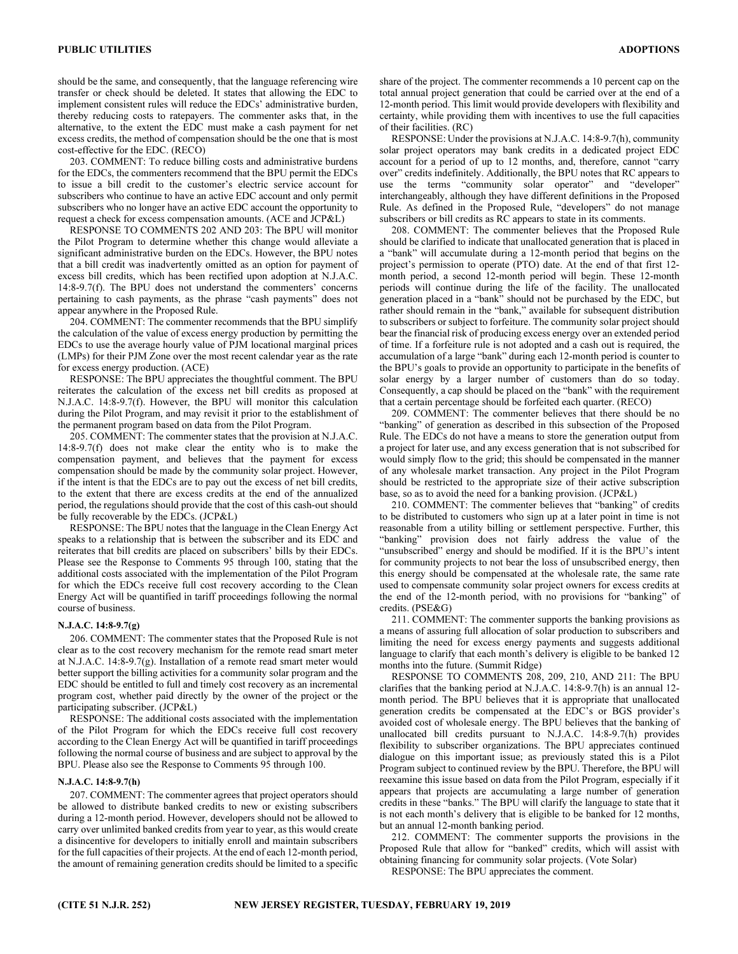should be the same, and consequently, that the language referencing wire transfer or check should be deleted. It states that allowing the EDC to implement consistent rules will reduce the EDCs' administrative burden, thereby reducing costs to ratepayers. The commenter asks that, in the alternative, to the extent the EDC must make a cash payment for net excess credits, the method of compensation should be the one that is most cost-effective for the EDC. (RECO)

203. COMMENT: To reduce billing costs and administrative burdens for the EDCs, the commenters recommend that the BPU permit the EDCs to issue a bill credit to the customer's electric service account for subscribers who continue to have an active EDC account and only permit subscribers who no longer have an active EDC account the opportunity to request a check for excess compensation amounts. (ACE and JCP&L)

RESPONSE TO COMMENTS 202 AND 203: The BPU will monitor the Pilot Program to determine whether this change would alleviate a significant administrative burden on the EDCs. However, the BPU notes that a bill credit was inadvertently omitted as an option for payment of excess bill credits, which has been rectified upon adoption at N.J.A.C. 14:8-9.7(f). The BPU does not understand the commenters' concerns pertaining to cash payments, as the phrase "cash payments" does not appear anywhere in the Proposed Rule.

204. COMMENT: The commenter recommends that the BPU simplify the calculation of the value of excess energy production by permitting the EDCs to use the average hourly value of PJM locational marginal prices (LMPs) for their PJM Zone over the most recent calendar year as the rate for excess energy production. (ACE)

RESPONSE: The BPU appreciates the thoughtful comment. The BPU reiterates the calculation of the excess net bill credits as proposed at N.J.A.C. 14:8-9.7(f). However, the BPU will monitor this calculation during the Pilot Program, and may revisit it prior to the establishment of the permanent program based on data from the Pilot Program.

205. COMMENT: The commenter states that the provision at N.J.A.C. 14:8-9.7(f) does not make clear the entity who is to make the compensation payment, and believes that the payment for excess compensation should be made by the community solar project. However, if the intent is that the EDCs are to pay out the excess of net bill credits, to the extent that there are excess credits at the end of the annualized period, the regulations should provide that the cost of this cash-out should be fully recoverable by the EDCs. (JCP&L)

RESPONSE: The BPU notes that the language in the Clean Energy Act speaks to a relationship that is between the subscriber and its EDC and reiterates that bill credits are placed on subscribers' bills by their EDCs. Please see the Response to Comments 95 through 100, stating that the additional costs associated with the implementation of the Pilot Program for which the EDCs receive full cost recovery according to the Clean Energy Act will be quantified in tariff proceedings following the normal course of business.

## N.J.A.C. 14:8-9.7(g)

206. COMMENT: The commenter states that the Proposed Rule is not clear as to the cost recovery mechanism for the remote read smart meter at N.J.A.C. 14:8-9.7(g). Installation of a remote read smart meter would better support the billing activities for a community solar program and the EDC should be entitled to full and timely cost recovery as an incremental program cost, whether paid directly by the owner of the project or the participating subscriber. (JCP&L)

RESPONSE: The additional costs associated with the implementation of the Pilot Program for which the EDCs receive full cost recovery according to the Clean Energy Act will be quantified in tariff proceedings following the normal course of business and are subject to approval by the BPU. Please also see the Response to Comments 95 through 100.

## N.J.A.C. 14:8-9.7(h)

207. COMMENT: The commenter agrees that project operators should be allowed to distribute banked credits to new or existing subscribers during a 12-month period. However, developers should not be allowed to carry over unlimited banked credits from year to year, as this would create a disincentive for developers to initially enroll and maintain subscribers for the full capacities of their projects. At the end of each 12-month period, the amount of remaining generation credits should be limited to a specific

share of the project. The commenter recommends a 10 percent cap on the total annual project generation that could be carried over at the end of a 12-month period. This limit would provide developers with flexibility and certainty, while providing them with incentives to use the full capacities of their facilities. (RC)

RESPONSE: Under the provisions at N.J.A.C. 14:8-9.7(h), community solar project operators may bank credits in a dedicated project EDC account for a period of up to 12 months, and, therefore, cannot "carry over" credits indefinitely. Additionally, the BPU notes that RC appears to use the terms "community solar operator" and "developer" interchangeably, although they have different definitions in the Proposed Rule. As defined in the Proposed Rule, "developers" do not manage subscribers or bill credits as RC appears to state in its comments.

208. COMMENT: The commenter believes that the Proposed Rule should be clarified to indicate that unallocated generation that is placed in a "bank" will accumulate during a 12-month period that begins on the project's permission to operate (PTO) date. At the end of that first 12 month period, a second 12-month period will begin. These 12-month periods will continue during the life of the facility. The unallocated generation placed in a "bank" should not be purchased by the EDC, but rather should remain in the "bank," available for subsequent distribution to subscribers or subject to forfeiture. The community solar project should bear the financial risk of producing excess energy over an extended period of time. If a forfeiture rule is not adopted and a cash out is required, the accumulation of a large "bank" during each 12-month period is counter to the BPU's goals to provide an opportunity to participate in the benefits of solar energy by a larger number of customers than do so today. Consequently, a cap should be placed on the "bank" with the requirement that a certain percentage should be forfeited each quarter. (RECO)

209. COMMENT: The commenter believes that there should be no "banking" of generation as described in this subsection of the Proposed Rule. The EDCs do not have a means to store the generation output from a project for later use, and any excess generation that is not subscribed for would simply flow to the grid; this should be compensated in the manner of any wholesale market transaction. Any project in the Pilot Program should be restricted to the appropriate size of their active subscription base, so as to avoid the need for a banking provision. (JCP&L)

210. COMMENT: The commenter believes that "banking" of credits to be distributed to customers who sign up at a later point in time is not reasonable from a utility billing or settlement perspective. Further, this "banking" provision does not fairly address the value of the "unsubscribed" energy and should be modified. If it is the BPU's intent for community projects to not bear the loss of unsubscribed energy, then this energy should be compensated at the wholesale rate, the same rate used to compensate community solar project owners for excess credits at the end of the 12-month period, with no provisions for "banking" of credits. (PSE&G)

211. COMMENT: The commenter supports the banking provisions as a means of assuring full allocation of solar production to subscribers and limiting the need for excess energy payments and suggests additional language to clarify that each month's delivery is eligible to be banked 12 months into the future. (Summit Ridge)

RESPONSE TO COMMENTS 208, 209, 210, AND 211: The BPU clarifies that the banking period at N.J.A.C. 14:8-9.7(h) is an annual 12 month period. The BPU believes that it is appropriate that unallocated generation credits be compensated at the EDC's or BGS provider's avoided cost of wholesale energy. The BPU believes that the banking of unallocated bill credits pursuant to N.J.A.C. 14:8-9.7(h) provides flexibility to subscriber organizations. The BPU appreciates continued dialogue on this important issue; as previously stated this is a Pilot Program subject to continued review by the BPU. Therefore, the BPU will reexamine this issue based on data from the Pilot Program, especially if it appears that projects are accumulating a large number of generation credits in these "banks." The BPU will clarify the language to state that it is not each month's delivery that is eligible to be banked for 12 months, but an annual 12-month banking period.

212. COMMENT: The commenter supports the provisions in the Proposed Rule that allow for "banked" credits, which will assist with obtaining financing for community solar projects. (Vote Solar) RESPONSE: The BPU appreciates the comment.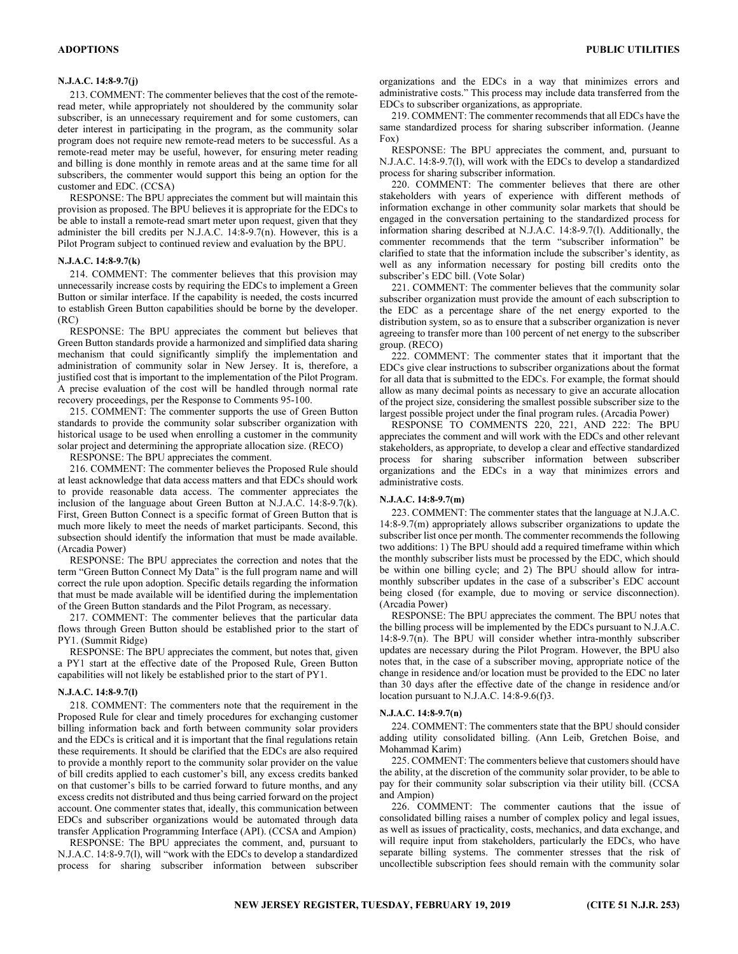213. COMMENT: The commenter believes that the cost of the remoteread meter, while appropriately not shouldered by the community solar subscriber, is an unnecessary requirement and for some customers, can deter interest in participating in the program, as the community solar program does not require new remote-read meters to be successful. As a remote-read meter may be useful, however, for ensuring meter reading and billing is done monthly in remote areas and at the same time for all subscribers, the commenter would support this being an option for the customer and EDC. (CCSA)

RESPONSE: The BPU appreciates the comment but will maintain this provision as proposed. The BPU believes it is appropriate for the EDCs to be able to install a remote-read smart meter upon request, given that they administer the bill credits per N.J.A.C. 14:8-9.7(n). However, this is a Pilot Program subject to continued review and evaluation by the BPU.

#### N.J.A.C. 14:8-9.7(k)

214. COMMENT: The commenter believes that this provision may unnecessarily increase costs by requiring the EDCs to implement a Green Button or similar interface. If the capability is needed, the costs incurred to establish Green Button capabilities should be borne by the developer. (RC)

RESPONSE: The BPU appreciates the comment but believes that Green Button standards provide a harmonized and simplified data sharing mechanism that could significantly simplify the implementation and administration of community solar in New Jersey. It is, therefore, a justified cost that is important to the implementation of the Pilot Program. A precise evaluation of the cost will be handled through normal rate recovery proceedings, per the Response to Comments 95-100.

215. COMMENT: The commenter supports the use of Green Button standards to provide the community solar subscriber organization with historical usage to be used when enrolling a customer in the community solar project and determining the appropriate allocation size. (RECO)

RESPONSE: The BPU appreciates the comment.

216. COMMENT: The commenter believes the Proposed Rule should at least acknowledge that data access matters and that EDCs should work to provide reasonable data access. The commenter appreciates the inclusion of the language about Green Button at N.J.A.C. 14:8-9.7(k). First, Green Button Connect is a specific format of Green Button that is much more likely to meet the needs of market participants. Second, this subsection should identify the information that must be made available. (Arcadia Power)

RESPONSE: The BPU appreciates the correction and notes that the term "Green Button Connect My Data" is the full program name and will correct the rule upon adoption. Specific details regarding the information that must be made available will be identified during the implementation of the Green Button standards and the Pilot Program, as necessary.

217. COMMENT: The commenter believes that the particular data flows through Green Button should be established prior to the start of PY1. (Summit Ridge)

RESPONSE: The BPU appreciates the comment, but notes that, given a PY1 start at the effective date of the Proposed Rule, Green Button capabilities will not likely be established prior to the start of PY1.

#### N.J.A.C. 14:8-9.7(l)

218. COMMENT: The commenters note that the requirement in the Proposed Rule for clear and timely procedures for exchanging customer billing information back and forth between community solar providers and the EDCs is critical and it is important that the final regulations retain these requirements. It should be clarified that the EDCs are also required to provide a monthly report to the community solar provider on the value of bill credits applied to each customer's bill, any excess credits banked on that customer's bills to be carried forward to future months, and any excess credits not distributed and thus being carried forward on the project account. One commenter states that, ideally, this communication between EDCs and subscriber organizations would be automated through data transfer Application Programming Interface (API). (CCSA and Ampion)

RESPONSE: The BPU appreciates the comment, and, pursuant to N.J.A.C. 14:8-9.7(l), will "work with the EDCs to develop a standardized process for sharing subscriber information between subscriber organizations and the EDCs in a way that minimizes errors and administrative costs." This process may include data transferred from the EDCs to subscriber organizations, as appropriate.

219. COMMENT: The commenter recommends that all EDCs have the same standardized process for sharing subscriber information. (Jeanne Fox)

RESPONSE: The BPU appreciates the comment, and, pursuant to N.J.A.C. 14:8-9.7(l), will work with the EDCs to develop a standardized process for sharing subscriber information.

220. COMMENT: The commenter believes that there are other stakeholders with years of experience with different methods of information exchange in other community solar markets that should be engaged in the conversation pertaining to the standardized process for information sharing described at N.J.A.C. 14:8-9.7(l). Additionally, the commenter recommends that the term "subscriber information" be clarified to state that the information include the subscriber's identity, as well as any information necessary for posting bill credits onto the subscriber's EDC bill. (Vote Solar)

221. COMMENT: The commenter believes that the community solar subscriber organization must provide the amount of each subscription to the EDC as a percentage share of the net energy exported to the distribution system, so as to ensure that a subscriber organization is never agreeing to transfer more than 100 percent of net energy to the subscriber group. (RECO)

222. COMMENT: The commenter states that it important that the EDCs give clear instructions to subscriber organizations about the format for all data that is submitted to the EDCs. For example, the format should allow as many decimal points as necessary to give an accurate allocation of the project size, considering the smallest possible subscriber size to the largest possible project under the final program rules. (Arcadia Power)

RESPONSE TO COMMENTS 220, 221, AND 222: The BPU appreciates the comment and will work with the EDCs and other relevant stakeholders, as appropriate, to develop a clear and effective standardized process for sharing subscriber information between subscriber organizations and the EDCs in a way that minimizes errors and administrative costs.

#### N.J.A.C. 14:8-9.7(m)

223. COMMENT: The commenter states that the language at N.J.A.C. 14:8-9.7(m) appropriately allows subscriber organizations to update the subscriber list once per month. The commenter recommends the following two additions: 1) The BPU should add a required timeframe within which the monthly subscriber lists must be processed by the EDC, which should be within one billing cycle; and 2) The BPU should allow for intramonthly subscriber updates in the case of a subscriber's EDC account being closed (for example, due to moving or service disconnection). (Arcadia Power)

RESPONSE: The BPU appreciates the comment. The BPU notes that the billing process will be implemented by the EDCs pursuant to N.J.A.C. 14:8-9.7(n). The BPU will consider whether intra-monthly subscriber updates are necessary during the Pilot Program. However, the BPU also notes that, in the case of a subscriber moving, appropriate notice of the change in residence and/or location must be provided to the EDC no later than 30 days after the effective date of the change in residence and/or location pursuant to N.J.A.C. 14:8-9.6(f)3.

#### N.J.A.C. 14:8-9.7(n)

224. COMMENT: The commenters state that the BPU should consider adding utility consolidated billing. (Ann Leib, Gretchen Boise, and Mohammad Karim)

225. COMMENT: The commenters believe that customers should have the ability, at the discretion of the community solar provider, to be able to pay for their community solar subscription via their utility bill. (CCSA and Ampion)

226. COMMENT: The commenter cautions that the issue of consolidated billing raises a number of complex policy and legal issues, as well as issues of practicality, costs, mechanics, and data exchange, and will require input from stakeholders, particularly the EDCs, who have separate billing systems. The commenter stresses that the risk of uncollectible subscription fees should remain with the community solar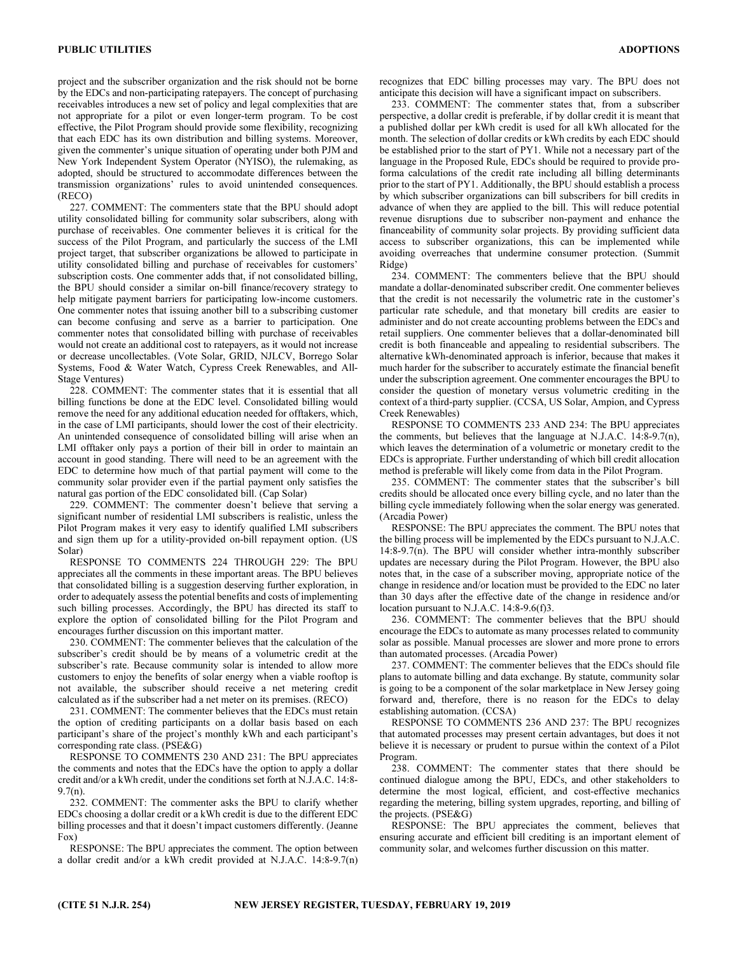project and the subscriber organization and the risk should not be borne by the EDCs and non-participating ratepayers. The concept of purchasing receivables introduces a new set of policy and legal complexities that are not appropriate for a pilot or even longer-term program. To be cost effective, the Pilot Program should provide some flexibility, recognizing that each EDC has its own distribution and billing systems. Moreover, given the commenter's unique situation of operating under both PJM and New York Independent System Operator (NYISO), the rulemaking, as adopted, should be structured to accommodate differences between the transmission organizations' rules to avoid unintended consequences. (RECO)

227. COMMENT: The commenters state that the BPU should adopt utility consolidated billing for community solar subscribers, along with purchase of receivables. One commenter believes it is critical for the success of the Pilot Program, and particularly the success of the LMI project target, that subscriber organizations be allowed to participate in utility consolidated billing and purchase of receivables for customers' subscription costs. One commenter adds that, if not consolidated billing, the BPU should consider a similar on-bill finance/recovery strategy to help mitigate payment barriers for participating low-income customers. One commenter notes that issuing another bill to a subscribing customer can become confusing and serve as a barrier to participation. One commenter notes that consolidated billing with purchase of receivables would not create an additional cost to ratepayers, as it would not increase or decrease uncollectables. (Vote Solar, GRID, NJLCV, Borrego Solar Systems, Food & Water Watch, Cypress Creek Renewables, and All-Stage Ventures)

228. COMMENT: The commenter states that it is essential that all billing functions be done at the EDC level. Consolidated billing would remove the need for any additional education needed for offtakers, which, in the case of LMI participants, should lower the cost of their electricity. An unintended consequence of consolidated billing will arise when an LMI offtaker only pays a portion of their bill in order to maintain an account in good standing. There will need to be an agreement with the EDC to determine how much of that partial payment will come to the community solar provider even if the partial payment only satisfies the natural gas portion of the EDC consolidated bill. (Cap Solar)

229. COMMENT: The commenter doesn't believe that serving a significant number of residential LMI subscribers is realistic, unless the Pilot Program makes it very easy to identify qualified LMI subscribers and sign them up for a utility-provided on-bill repayment option. (US Solar)

RESPONSE TO COMMENTS 224 THROUGH 229: The BPU appreciates all the comments in these important areas. The BPU believes that consolidated billing is a suggestion deserving further exploration, in order to adequately assess the potential benefits and costs of implementing such billing processes. Accordingly, the BPU has directed its staff to explore the option of consolidated billing for the Pilot Program and encourages further discussion on this important matter.

230. COMMENT: The commenter believes that the calculation of the subscriber's credit should be by means of a volumetric credit at the subscriber's rate. Because community solar is intended to allow more customers to enjoy the benefits of solar energy when a viable rooftop is not available, the subscriber should receive a net metering credit calculated as if the subscriber had a net meter on its premises. (RECO)

231. COMMENT: The commenter believes that the EDCs must retain the option of crediting participants on a dollar basis based on each participant's share of the project's monthly kWh and each participant's corresponding rate class. (PSE&G)

RESPONSE TO COMMENTS 230 AND 231: The BPU appreciates the comments and notes that the EDCs have the option to apply a dollar credit and/or a kWh credit, under the conditions set forth at N.J.A.C. 14:8- 9.7(n).

232. COMMENT: The commenter asks the BPU to clarify whether EDCs choosing a dollar credit or a kWh credit is due to the different EDC billing processes and that it doesn't impact customers differently. (Jeanne Fox)

RESPONSE: The BPU appreciates the comment. The option between a dollar credit and/or a kWh credit provided at N.J.A.C. 14:8-9.7(n) recognizes that EDC billing processes may vary. The BPU does not anticipate this decision will have a significant impact on subscribers.

233. COMMENT: The commenter states that, from a subscriber perspective, a dollar credit is preferable, if by dollar credit it is meant that a published dollar per kWh credit is used for all kWh allocated for the month. The selection of dollar credits or kWh credits by each EDC should be established prior to the start of PY1. While not a necessary part of the language in the Proposed Rule, EDCs should be required to provide proforma calculations of the credit rate including all billing determinants prior to the start of PY1. Additionally, the BPU should establish a process by which subscriber organizations can bill subscribers for bill credits in advance of when they are applied to the bill. This will reduce potential revenue disruptions due to subscriber non-payment and enhance the financeability of community solar projects. By providing sufficient data access to subscriber organizations, this can be implemented while avoiding overreaches that undermine consumer protection. (Summit Ridge)

234. COMMENT: The commenters believe that the BPU should mandate a dollar-denominated subscriber credit. One commenter believes that the credit is not necessarily the volumetric rate in the customer's particular rate schedule, and that monetary bill credits are easier to administer and do not create accounting problems between the EDCs and retail suppliers. One commenter believes that a dollar-denominated bill credit is both financeable and appealing to residential subscribers. The alternative kWh-denominated approach is inferior, because that makes it much harder for the subscriber to accurately estimate the financial benefit under the subscription agreement. One commenter encourages the BPU to consider the question of monetary versus volumetric crediting in the context of a third-party supplier. (CCSA, US Solar, Ampion, and Cypress Creek Renewables)

RESPONSE TO COMMENTS 233 AND 234: The BPU appreciates the comments, but believes that the language at N.J.A.C. 14:8-9.7(n), which leaves the determination of a volumetric or monetary credit to the EDCs is appropriate. Further understanding of which bill credit allocation method is preferable will likely come from data in the Pilot Program.

235. COMMENT: The commenter states that the subscriber's bill credits should be allocated once every billing cycle, and no later than the billing cycle immediately following when the solar energy was generated. (Arcadia Power)

RESPONSE: The BPU appreciates the comment. The BPU notes that the billing process will be implemented by the EDCs pursuant to N.J.A.C. 14:8-9.7(n). The BPU will consider whether intra-monthly subscriber updates are necessary during the Pilot Program. However, the BPU also notes that, in the case of a subscriber moving, appropriate notice of the change in residence and/or location must be provided to the EDC no later than 30 days after the effective date of the change in residence and/or location pursuant to N.J.A.C. 14:8-9.6(f)3.

236. COMMENT: The commenter believes that the BPU should encourage the EDCs to automate as many processes related to community solar as possible. Manual processes are slower and more prone to errors than automated processes. (Arcadia Power)

237. COMMENT: The commenter believes that the EDCs should file plans to automate billing and data exchange. By statute, community solar is going to be a component of the solar marketplace in New Jersey going forward and, therefore, there is no reason for the EDCs to delay establishing automation. (CCSA)

RESPONSE TO COMMENTS 236 AND 237: The BPU recognizes that automated processes may present certain advantages, but does it not believe it is necessary or prudent to pursue within the context of a Pilot Program.

238. COMMENT: The commenter states that there should be continued dialogue among the BPU, EDCs, and other stakeholders to determine the most logical, efficient, and cost-effective mechanics regarding the metering, billing system upgrades, reporting, and billing of the projects. (PSE&G)

RESPONSE: The BPU appreciates the comment, believes that ensuring accurate and efficient bill crediting is an important element of community solar, and welcomes further discussion on this matter.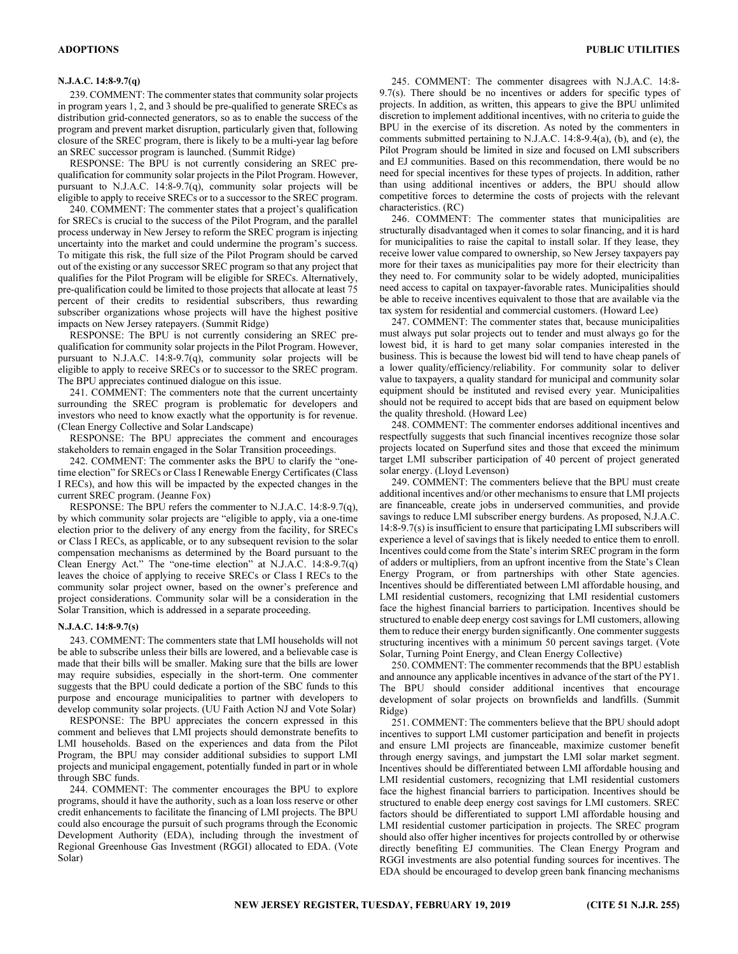## N.J.A.C. 14:8-9.7(q)

239. COMMENT: The commenter states that community solar projects in program years 1, 2, and 3 should be pre-qualified to generate SRECs as distribution grid-connected generators, so as to enable the success of the program and prevent market disruption, particularly given that, following closure of the SREC program, there is likely to be a multi-year lag before an SREC successor program is launched. (Summit Ridge)

RESPONSE: The BPU is not currently considering an SREC prequalification for community solar projects in the Pilot Program. However, pursuant to N.J.A.C. 14:8-9.7(q), community solar projects will be eligible to apply to receive SRECs or to a successor to the SREC program.

240. COMMENT: The commenter states that a project's qualification for SRECs is crucial to the success of the Pilot Program, and the parallel process underway in New Jersey to reform the SREC program is injecting uncertainty into the market and could undermine the program's success. To mitigate this risk, the full size of the Pilot Program should be carved out of the existing or any successor SREC program so that any project that qualifies for the Pilot Program will be eligible for SRECs. Alternatively, pre-qualification could be limited to those projects that allocate at least 75 percent of their credits to residential subscribers, thus rewarding subscriber organizations whose projects will have the highest positive impacts on New Jersey ratepayers. (Summit Ridge)

RESPONSE: The BPU is not currently considering an SREC prequalification for community solar projects in the Pilot Program. However, pursuant to N.J.A.C. 14:8-9.7(q), community solar projects will be eligible to apply to receive SRECs or to successor to the SREC program. The BPU appreciates continued dialogue on this issue.

241. COMMENT: The commenters note that the current uncertainty surrounding the SREC program is problematic for developers and investors who need to know exactly what the opportunity is for revenue. (Clean Energy Collective and Solar Landscape)

RESPONSE: The BPU appreciates the comment and encourages stakeholders to remain engaged in the Solar Transition proceedings.

242. COMMENT: The commenter asks the BPU to clarify the "onetime election" for SRECs or Class I Renewable Energy Certificates (Class I RECs), and how this will be impacted by the expected changes in the current SREC program. (Jeanne Fox)

RESPONSE: The BPU refers the commenter to N.J.A.C. 14:8-9.7(q), by which community solar projects are "eligible to apply, via a one-time election prior to the delivery of any energy from the facility, for SRECs or Class I RECs, as applicable, or to any subsequent revision to the solar compensation mechanisms as determined by the Board pursuant to the Clean Energy Act." The "one-time election" at N.J.A.C. 14:8-9.7(q) leaves the choice of applying to receive SRECs or Class I RECs to the community solar project owner, based on the owner's preference and project considerations. Community solar will be a consideration in the Solar Transition, which is addressed in a separate proceeding.

## N.J.A.C. 14:8-9.7(s)

243. COMMENT: The commenters state that LMI households will not be able to subscribe unless their bills are lowered, and a believable case is made that their bills will be smaller. Making sure that the bills are lower may require subsidies, especially in the short-term. One commenter suggests that the BPU could dedicate a portion of the SBC funds to this purpose and encourage municipalities to partner with developers to develop community solar projects. (UU Faith Action NJ and Vote Solar)

RESPONSE: The BPU appreciates the concern expressed in this comment and believes that LMI projects should demonstrate benefits to LMI households. Based on the experiences and data from the Pilot Program, the BPU may consider additional subsidies to support LMI projects and municipal engagement, potentially funded in part or in whole through SBC funds.

244. COMMENT: The commenter encourages the BPU to explore programs, should it have the authority, such as a loan loss reserve or other credit enhancements to facilitate the financing of LMI projects. The BPU could also encourage the pursuit of such programs through the Economic Development Authority (EDA), including through the investment of Regional Greenhouse Gas Investment (RGGI) allocated to EDA. (Vote Solar)

245. COMMENT: The commenter disagrees with N.J.A.C. 14:8- 9.7(s). There should be no incentives or adders for specific types of projects. In addition, as written, this appears to give the BPU unlimited discretion to implement additional incentives, with no criteria to guide the BPU in the exercise of its discretion. As noted by the commenters in comments submitted pertaining to N.J.A.C. 14:8-9.4(a), (b), and (e), the Pilot Program should be limited in size and focused on LMI subscribers and EJ communities. Based on this recommendation, there would be no need for special incentives for these types of projects. In addition, rather than using additional incentives or adders, the BPU should allow competitive forces to determine the costs of projects with the relevant characteristics. (RC)

246. COMMENT: The commenter states that municipalities are structurally disadvantaged when it comes to solar financing, and it is hard for municipalities to raise the capital to install solar. If they lease, they receive lower value compared to ownership, so New Jersey taxpayers pay more for their taxes as municipalities pay more for their electricity than they need to. For community solar to be widely adopted, municipalities need access to capital on taxpayer-favorable rates. Municipalities should be able to receive incentives equivalent to those that are available via the tax system for residential and commercial customers. (Howard Lee)

247. COMMENT: The commenter states that, because municipalities must always put solar projects out to tender and must always go for the lowest bid, it is hard to get many solar companies interested in the business. This is because the lowest bid will tend to have cheap panels of a lower quality/efficiency/reliability. For community solar to deliver value to taxpayers, a quality standard for municipal and community solar equipment should be instituted and revised every year. Municipalities should not be required to accept bids that are based on equipment below the quality threshold. (Howard Lee)

248. COMMENT: The commenter endorses additional incentives and respectfully suggests that such financial incentives recognize those solar projects located on Superfund sites and those that exceed the minimum target LMI subscriber participation of 40 percent of project generated solar energy. (Lloyd Levenson)

249. COMMENT: The commenters believe that the BPU must create additional incentives and/or other mechanisms to ensure that LMI projects are financeable, create jobs in underserved communities, and provide savings to reduce LMI subscriber energy burdens. As proposed, N.J.A.C. 14:8-9.7(s) is insufficient to ensure that participating LMI subscribers will experience a level of savings that is likely needed to entice them to enroll. Incentives could come from the State's interim SREC program in the form of adders or multipliers, from an upfront incentive from the State's Clean Energy Program, or from partnerships with other State agencies. Incentives should be differentiated between LMI affordable housing, and LMI residential customers, recognizing that LMI residential customers face the highest financial barriers to participation. Incentives should be structured to enable deep energy cost savings for LMI customers, allowing them to reduce their energy burden significantly. One commenter suggests structuring incentives with a minimum 50 percent savings target. (Vote Solar, Turning Point Energy, and Clean Energy Collective)

250. COMMENT: The commenter recommends that the BPU establish and announce any applicable incentives in advance of the start of the PY1. The BPU should consider additional incentives that encourage development of solar projects on brownfields and landfills. (Summit Ridge)

251. COMMENT: The commenters believe that the BPU should adopt incentives to support LMI customer participation and benefit in projects and ensure LMI projects are financeable, maximize customer benefit through energy savings, and jumpstart the LMI solar market segment. Incentives should be differentiated between LMI affordable housing and LMI residential customers, recognizing that LMI residential customers face the highest financial barriers to participation. Incentives should be structured to enable deep energy cost savings for LMI customers. SREC factors should be differentiated to support LMI affordable housing and LMI residential customer participation in projects. The SREC program should also offer higher incentives for projects controlled by or otherwise directly benefiting EJ communities. The Clean Energy Program and RGGI investments are also potential funding sources for incentives. The EDA should be encouraged to develop green bank financing mechanisms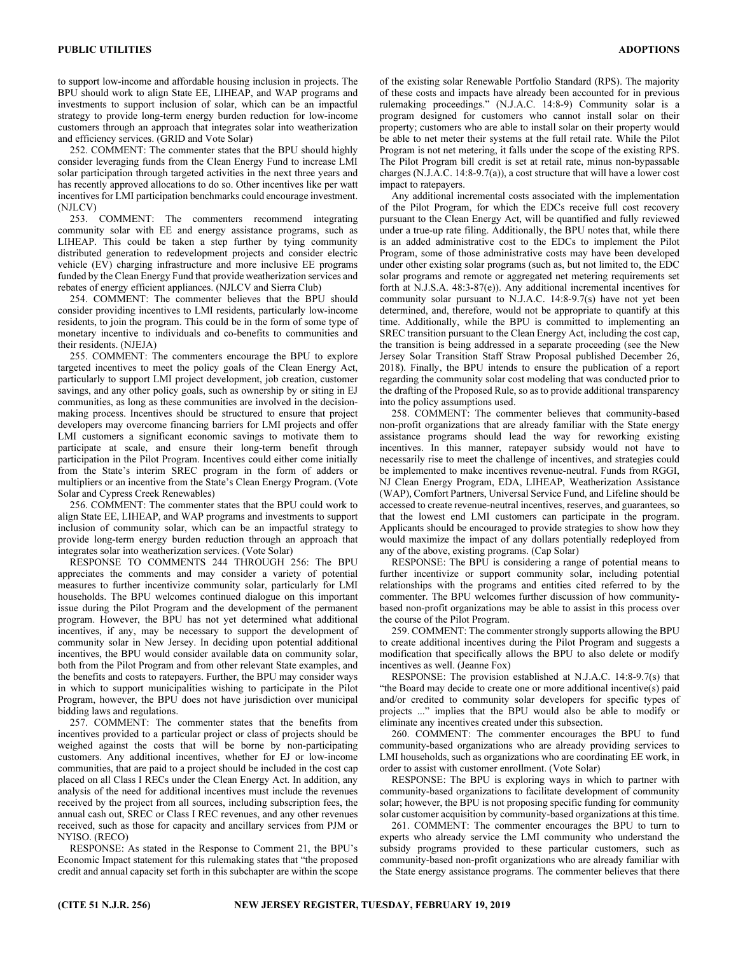to support low-income and affordable housing inclusion in projects. The BPU should work to align State EE, LIHEAP, and WAP programs and investments to support inclusion of solar, which can be an impactful strategy to provide long-term energy burden reduction for low-income customers through an approach that integrates solar into weatherization and efficiency services. (GRID and Vote Solar)

252. COMMENT: The commenter states that the BPU should highly consider leveraging funds from the Clean Energy Fund to increase LMI solar participation through targeted activities in the next three years and has recently approved allocations to do so. Other incentives like per watt incentives for LMI participation benchmarks could encourage investment. (NJLCV)

253. COMMENT: The commenters recommend integrating community solar with EE and energy assistance programs, such as LIHEAP. This could be taken a step further by tying community distributed generation to redevelopment projects and consider electric vehicle (EV) charging infrastructure and more inclusive EE programs funded by the Clean Energy Fund that provide weatherization services and rebates of energy efficient appliances. (NJLCV and Sierra Club)

254. COMMENT: The commenter believes that the BPU should consider providing incentives to LMI residents, particularly low-income residents, to join the program. This could be in the form of some type of monetary incentive to individuals and co-benefits to communities and their residents. (NJEJA)

255. COMMENT: The commenters encourage the BPU to explore targeted incentives to meet the policy goals of the Clean Energy Act, particularly to support LMI project development, job creation, customer savings, and any other policy goals, such as ownership by or siting in EJ communities, as long as these communities are involved in the decisionmaking process. Incentives should be structured to ensure that project developers may overcome financing barriers for LMI projects and offer LMI customers a significant economic savings to motivate them to participate at scale, and ensure their long-term benefit through participation in the Pilot Program. Incentives could either come initially from the State's interim SREC program in the form of adders or multipliers or an incentive from the State's Clean Energy Program. (Vote Solar and Cypress Creek Renewables)

256. COMMENT: The commenter states that the BPU could work to align State EE, LIHEAP, and WAP programs and investments to support inclusion of community solar, which can be an impactful strategy to provide long-term energy burden reduction through an approach that integrates solar into weatherization services. (Vote Solar)

RESPONSE TO COMMENTS 244 THROUGH 256: The BPU appreciates the comments and may consider a variety of potential measures to further incentivize community solar, particularly for LMI households. The BPU welcomes continued dialogue on this important issue during the Pilot Program and the development of the permanent program. However, the BPU has not yet determined what additional incentives, if any, may be necessary to support the development of community solar in New Jersey. In deciding upon potential additional incentives, the BPU would consider available data on community solar, both from the Pilot Program and from other relevant State examples, and the benefits and costs to ratepayers. Further, the BPU may consider ways in which to support municipalities wishing to participate in the Pilot Program, however, the BPU does not have jurisdiction over municipal bidding laws and regulations.

257. COMMENT: The commenter states that the benefits from incentives provided to a particular project or class of projects should be weighed against the costs that will be borne by non-participating customers. Any additional incentives, whether for EJ or low-income communities, that are paid to a project should be included in the cost cap placed on all Class I RECs under the Clean Energy Act. In addition, any analysis of the need for additional incentives must include the revenues received by the project from all sources, including subscription fees, the annual cash out, SREC or Class I REC revenues, and any other revenues received, such as those for capacity and ancillary services from PJM or NYISO. (RECO)

RESPONSE: As stated in the Response to Comment 21, the BPU's Economic Impact statement for this rulemaking states that "the proposed credit and annual capacity set forth in this subchapter are within the scope of the existing solar Renewable Portfolio Standard (RPS). The majority of these costs and impacts have already been accounted for in previous rulemaking proceedings." (N.J.A.C. 14:8-9) Community solar is a program designed for customers who cannot install solar on their property; customers who are able to install solar on their property would be able to net meter their systems at the full retail rate. While the Pilot Program is not net metering, it falls under the scope of the existing RPS. The Pilot Program bill credit is set at retail rate, minus non-bypassable charges (N.J.A.C. 14:8-9.7(a)), a cost structure that will have a lower cost impact to ratepayers.

Any additional incremental costs associated with the implementation of the Pilot Program, for which the EDCs receive full cost recovery pursuant to the Clean Energy Act, will be quantified and fully reviewed under a true-up rate filing. Additionally, the BPU notes that, while there is an added administrative cost to the EDCs to implement the Pilot Program, some of those administrative costs may have been developed under other existing solar programs (such as, but not limited to, the EDC solar programs and remote or aggregated net metering requirements set forth at N.J.S.A. 48:3-87(e)). Any additional incremental incentives for community solar pursuant to N.J.A.C. 14:8-9.7(s) have not yet been determined, and, therefore, would not be appropriate to quantify at this time. Additionally, while the BPU is committed to implementing an SREC transition pursuant to the Clean Energy Act, including the cost cap, the transition is being addressed in a separate proceeding (see the New Jersey Solar Transition Staff Straw Proposal published December 26, 2018). Finally, the BPU intends to ensure the publication of a report regarding the community solar cost modeling that was conducted prior to the drafting of the Proposed Rule, so as to provide additional transparency into the policy assumptions used.

258. COMMENT: The commenter believes that community-based non-profit organizations that are already familiar with the State energy assistance programs should lead the way for reworking existing incentives. In this manner, ratepayer subsidy would not have to necessarily rise to meet the challenge of incentives, and strategies could be implemented to make incentives revenue-neutral. Funds from RGGI, NJ Clean Energy Program, EDA, LIHEAP, Weatherization Assistance (WAP), Comfort Partners, Universal Service Fund, and Lifeline should be accessed to create revenue-neutral incentives, reserves, and guarantees, so that the lowest end LMI customers can participate in the program. Applicants should be encouraged to provide strategies to show how they would maximize the impact of any dollars potentially redeployed from any of the above, existing programs. (Cap Solar)

RESPONSE: The BPU is considering a range of potential means to further incentivize or support community solar, including potential relationships with the programs and entities cited referred to by the commenter. The BPU welcomes further discussion of how communitybased non-profit organizations may be able to assist in this process over the course of the Pilot Program.

259. COMMENT: The commenter strongly supports allowing the BPU to create additional incentives during the Pilot Program and suggests a modification that specifically allows the BPU to also delete or modify incentives as well. (Jeanne Fox)

RESPONSE: The provision established at N.J.A.C. 14:8-9.7(s) that "the Board may decide to create one or more additional incentive(s) paid and/or credited to community solar developers for specific types of projects ..." implies that the BPU would also be able to modify or eliminate any incentives created under this subsection.

260. COMMENT: The commenter encourages the BPU to fund community-based organizations who are already providing services to LMI households, such as organizations who are coordinating EE work, in order to assist with customer enrollment. (Vote Solar)

RESPONSE: The BPU is exploring ways in which to partner with community-based organizations to facilitate development of community solar; however, the BPU is not proposing specific funding for community solar customer acquisition by community-based organizations at this time.

261. COMMENT: The commenter encourages the BPU to turn to experts who already service the LMI community who understand the subsidy programs provided to these particular customers, such as community-based non-profit organizations who are already familiar with the State energy assistance programs. The commenter believes that there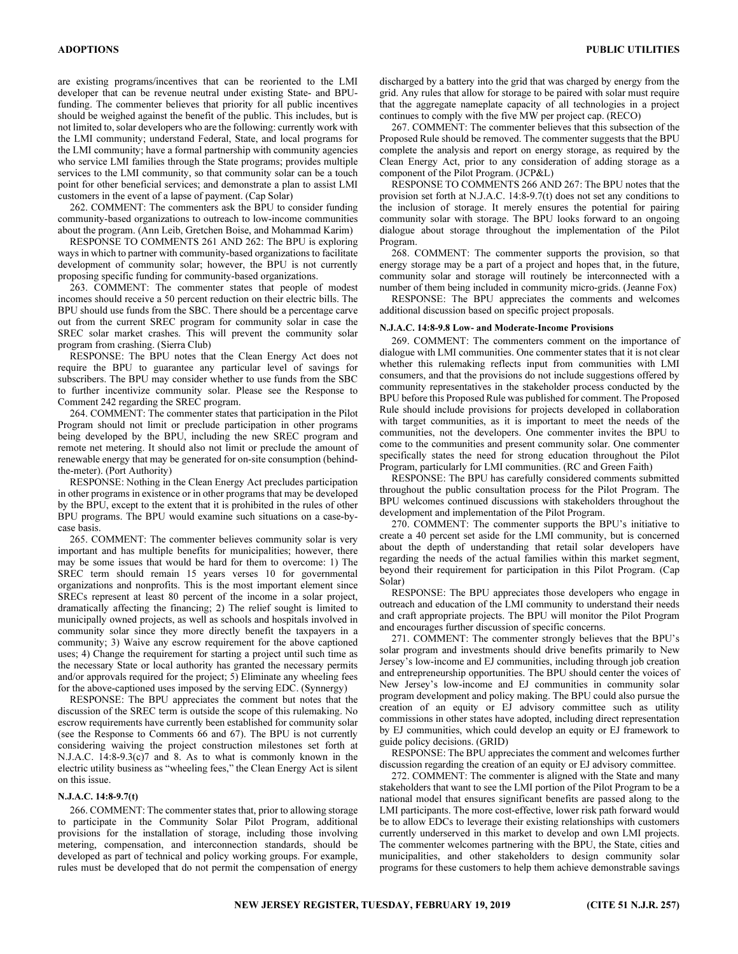are existing programs/incentives that can be reoriented to the LMI developer that can be revenue neutral under existing State- and BPUfunding. The commenter believes that priority for all public incentives should be weighed against the benefit of the public. This includes, but is not limited to, solar developers who are the following: currently work with the LMI community; understand Federal, State, and local programs for the LMI community; have a formal partnership with community agencies who service LMI families through the State programs; provides multiple services to the LMI community, so that community solar can be a touch point for other beneficial services; and demonstrate a plan to assist LMI customers in the event of a lapse of payment. (Cap Solar)

262. COMMENT: The commenters ask the BPU to consider funding community-based organizations to outreach to low-income communities about the program. (Ann Leib, Gretchen Boise, and Mohammad Karim)

RESPONSE TO COMMENTS 261 AND 262: The BPU is exploring ways in which to partner with community-based organizations to facilitate development of community solar; however, the BPU is not currently proposing specific funding for community-based organizations.

263. COMMENT: The commenter states that people of modest incomes should receive a 50 percent reduction on their electric bills. The BPU should use funds from the SBC. There should be a percentage carve out from the current SREC program for community solar in case the SREC solar market crashes. This will prevent the community solar program from crashing. (Sierra Club)

RESPONSE: The BPU notes that the Clean Energy Act does not require the BPU to guarantee any particular level of savings for subscribers. The BPU may consider whether to use funds from the SBC to further incentivize community solar. Please see the Response to Comment 242 regarding the SREC program.

264. COMMENT: The commenter states that participation in the Pilot Program should not limit or preclude participation in other programs being developed by the BPU, including the new SREC program and remote net metering. It should also not limit or preclude the amount of renewable energy that may be generated for on-site consumption (behindthe-meter). (Port Authority)

RESPONSE: Nothing in the Clean Energy Act precludes participation in other programs in existence or in other programs that may be developed by the BPU, except to the extent that it is prohibited in the rules of other BPU programs. The BPU would examine such situations on a case-bycase basis.

265. COMMENT: The commenter believes community solar is very important and has multiple benefits for municipalities; however, there may be some issues that would be hard for them to overcome: 1) The SREC term should remain 15 years verses 10 for governmental organizations and nonprofits. This is the most important element since SRECs represent at least 80 percent of the income in a solar project, dramatically affecting the financing; 2) The relief sought is limited to municipally owned projects, as well as schools and hospitals involved in community solar since they more directly benefit the taxpayers in a community; 3) Waive any escrow requirement for the above captioned uses; 4) Change the requirement for starting a project until such time as the necessary State or local authority has granted the necessary permits and/or approvals required for the project; 5) Eliminate any wheeling fees for the above-captioned uses imposed by the serving EDC. (Synnergy)

RESPONSE: The BPU appreciates the comment but notes that the discussion of the SREC term is outside the scope of this rulemaking. No escrow requirements have currently been established for community solar (see the Response to Comments 66 and 67). The BPU is not currently considering waiving the project construction milestones set forth at N.J.A.C. 14:8-9.3(c)7 and 8. As to what is commonly known in the electric utility business as "wheeling fees," the Clean Energy Act is silent on this issue.

## N.J.A.C. 14:8-9.7(t)

266. COMMENT: The commenter states that, prior to allowing storage to participate in the Community Solar Pilot Program, additional provisions for the installation of storage, including those involving metering, compensation, and interconnection standards, should be developed as part of technical and policy working groups. For example, rules must be developed that do not permit the compensation of energy discharged by a battery into the grid that was charged by energy from the grid. Any rules that allow for storage to be paired with solar must require that the aggregate nameplate capacity of all technologies in a project continues to comply with the five MW per project cap. (RECO)

267. COMMENT: The commenter believes that this subsection of the Proposed Rule should be removed. The commenter suggests that the BPU complete the analysis and report on energy storage, as required by the Clean Energy Act, prior to any consideration of adding storage as a component of the Pilot Program. (JCP&L)

RESPONSE TO COMMENTS 266 AND 267: The BPU notes that the provision set forth at N.J.A.C. 14:8-9.7(t) does not set any conditions to the inclusion of storage. It merely ensures the potential for pairing community solar with storage. The BPU looks forward to an ongoing dialogue about storage throughout the implementation of the Pilot Program.

268. COMMENT: The commenter supports the provision, so that energy storage may be a part of a project and hopes that, in the future, community solar and storage will routinely be interconnected with a number of them being included in community micro-grids. (Jeanne Fox)

RESPONSE: The BPU appreciates the comments and welcomes additional discussion based on specific project proposals.

## N.J.A.C. 14:8-9.8 Low- and Moderate-Income Provisions

269. COMMENT: The commenters comment on the importance of dialogue with LMI communities. One commenter states that it is not clear whether this rulemaking reflects input from communities with LMI consumers, and that the provisions do not include suggestions offered by community representatives in the stakeholder process conducted by the BPU before this Proposed Rule was published for comment. The Proposed Rule should include provisions for projects developed in collaboration with target communities, as it is important to meet the needs of the communities, not the developers. One commenter invites the BPU to come to the communities and present community solar. One commenter specifically states the need for strong education throughout the Pilot Program, particularly for LMI communities. (RC and Green Faith)

RESPONSE: The BPU has carefully considered comments submitted throughout the public consultation process for the Pilot Program. The BPU welcomes continued discussions with stakeholders throughout the development and implementation of the Pilot Program.

270. COMMENT: The commenter supports the BPU's initiative to create a 40 percent set aside for the LMI community, but is concerned about the depth of understanding that retail solar developers have regarding the needs of the actual families within this market segment, beyond their requirement for participation in this Pilot Program. (Cap Solar)

RESPONSE: The BPU appreciates those developers who engage in outreach and education of the LMI community to understand their needs and craft appropriate projects. The BPU will monitor the Pilot Program and encourages further discussion of specific concerns.

271. COMMENT: The commenter strongly believes that the BPU's solar program and investments should drive benefits primarily to New Jersey's low-income and EJ communities, including through job creation and entrepreneurship opportunities. The BPU should center the voices of New Jersey's low-income and EJ communities in community solar program development and policy making. The BPU could also pursue the creation of an equity or EJ advisory committee such as utility commissions in other states have adopted, including direct representation by EJ communities, which could develop an equity or EJ framework to guide policy decisions. (GRID)

RESPONSE: The BPU appreciates the comment and welcomes further discussion regarding the creation of an equity or EJ advisory committee.

272. COMMENT: The commenter is aligned with the State and many stakeholders that want to see the LMI portion of the Pilot Program to be a national model that ensures significant benefits are passed along to the LMI participants. The more cost-effective, lower risk path forward would be to allow EDCs to leverage their existing relationships with customers currently underserved in this market to develop and own LMI projects. The commenter welcomes partnering with the BPU, the State, cities and municipalities, and other stakeholders to design community solar programs for these customers to help them achieve demonstrable savings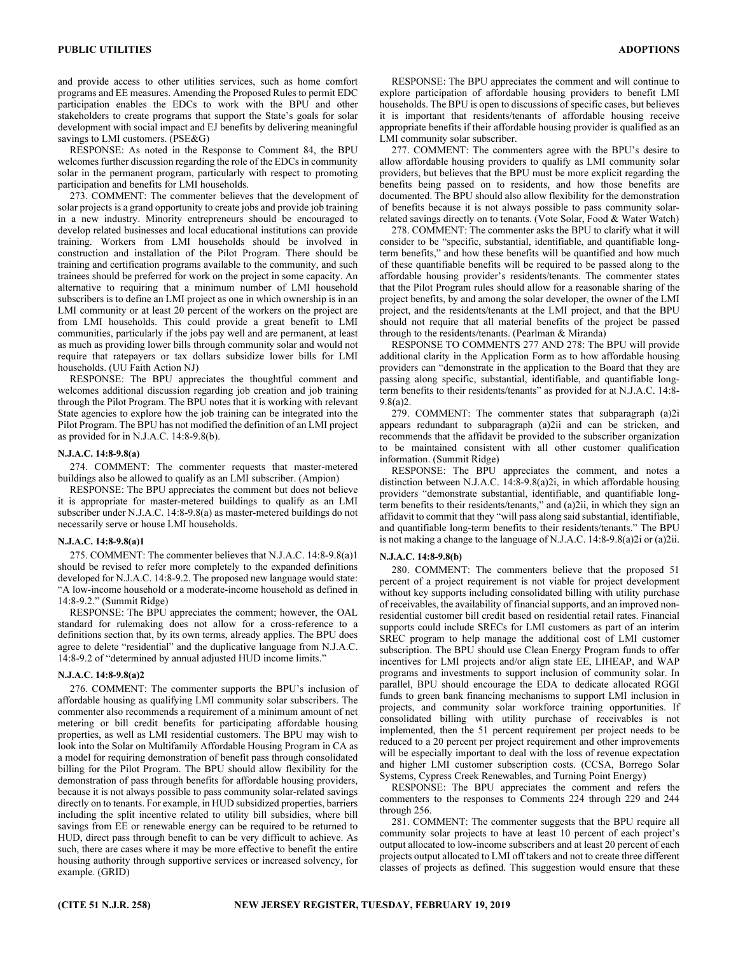savings to LMI customers. (PSE&G) RESPONSE: As noted in the Response to Comment 84, the BPU welcomes further discussion regarding the role of the EDCs in community solar in the permanent program, particularly with respect to promoting participation and benefits for LMI households.

273. COMMENT: The commenter believes that the development of solar projects is a grand opportunity to create jobs and provide job training in a new industry. Minority entrepreneurs should be encouraged to develop related businesses and local educational institutions can provide training. Workers from LMI households should be involved in construction and installation of the Pilot Program. There should be training and certification programs available to the community, and such trainees should be preferred for work on the project in some capacity. An alternative to requiring that a minimum number of LMI household subscribers is to define an LMI project as one in which ownership is in an LMI community or at least 20 percent of the workers on the project are from LMI households. This could provide a great benefit to LMI communities, particularly if the jobs pay well and are permanent, at least as much as providing lower bills through community solar and would not require that ratepayers or tax dollars subsidize lower bills for LMI households. (UU Faith Action NJ)

RESPONSE: The BPU appreciates the thoughtful comment and welcomes additional discussion regarding job creation and job training through the Pilot Program. The BPU notes that it is working with relevant State agencies to explore how the job training can be integrated into the Pilot Program. The BPU has not modified the definition of an LMI project as provided for in N.J.A.C. 14:8-9.8(b).

## N.J.A.C. 14:8-9.8(a)

274. COMMENT: The commenter requests that master-metered buildings also be allowed to qualify as an LMI subscriber. (Ampion)

RESPONSE: The BPU appreciates the comment but does not believe it is appropriate for master-metered buildings to qualify as an LMI subscriber under N.J.A.C. 14:8-9.8(a) as master-metered buildings do not necessarily serve or house LMI households.

## N.J.A.C. 14:8-9.8(a)1

275. COMMENT: The commenter believes that N.J.A.C. 14:8-9.8(a)1 should be revised to refer more completely to the expanded definitions developed for N.J.A.C. 14:8-9.2. The proposed new language would state: "A low-income household or a moderate-income household as defined in 14:8-9.2." (Summit Ridge)

RESPONSE: The BPU appreciates the comment; however, the OAL standard for rulemaking does not allow for a cross-reference to a definitions section that, by its own terms, already applies. The BPU does agree to delete "residential" and the duplicative language from N.J.A.C. 14:8-9.2 of "determined by annual adjusted HUD income limits."

## N.J.A.C. 14:8-9.8(a)2

276. COMMENT: The commenter supports the BPU's inclusion of affordable housing as qualifying LMI community solar subscribers. The commenter also recommends a requirement of a minimum amount of net metering or bill credit benefits for participating affordable housing properties, as well as LMI residential customers. The BPU may wish to look into the Solar on Multifamily Affordable Housing Program in CA as a model for requiring demonstration of benefit pass through consolidated billing for the Pilot Program. The BPU should allow flexibility for the demonstration of pass through benefits for affordable housing providers, because it is not always possible to pass community solar-related savings directly on to tenants. For example, in HUD subsidized properties, barriers including the split incentive related to utility bill subsidies, where bill savings from EE or renewable energy can be required to be returned to HUD, direct pass through benefit to can be very difficult to achieve. As such, there are cases where it may be more effective to benefit the entire housing authority through supportive services or increased solvency, for example. (GRID)

RESPONSE: The BPU appreciates the comment and will continue to explore participation of affordable housing providers to benefit LMI households. The BPU is open to discussions of specific cases, but believes it is important that residents/tenants of affordable housing receive appropriate benefits if their affordable housing provider is qualified as an LMI community solar subscriber.

277. COMMENT: The commenters agree with the BPU's desire to allow affordable housing providers to qualify as LMI community solar providers, but believes that the BPU must be more explicit regarding the benefits being passed on to residents, and how those benefits are documented. The BPU should also allow flexibility for the demonstration of benefits because it is not always possible to pass community solarrelated savings directly on to tenants. (Vote Solar, Food & Water Watch)

278. COMMENT: The commenter asks the BPU to clarify what it will consider to be "specific, substantial, identifiable, and quantifiable longterm benefits," and how these benefits will be quantified and how much of these quantifiable benefits will be required to be passed along to the affordable housing provider's residents/tenants. The commenter states that the Pilot Program rules should allow for a reasonable sharing of the project benefits, by and among the solar developer, the owner of the LMI project, and the residents/tenants at the LMI project, and that the BPU should not require that all material benefits of the project be passed through to the residents/tenants. (Pearlman & Miranda)

RESPONSE TO COMMENTS 277 AND 278: The BPU will provide additional clarity in the Application Form as to how affordable housing providers can "demonstrate in the application to the Board that they are passing along specific, substantial, identifiable, and quantifiable longterm benefits to their residents/tenants" as provided for at N.J.A.C. 14:8- 9.8(a)2.

279. COMMENT: The commenter states that subparagraph (a)2i appears redundant to subparagraph (a)2ii and can be stricken, and recommends that the affidavit be provided to the subscriber organization to be maintained consistent with all other customer qualification information. (Summit Ridge)

RESPONSE: The BPU appreciates the comment, and notes a distinction between N.J.A.C. 14:8-9.8(a)2i, in which affordable housing providers "demonstrate substantial, identifiable, and quantifiable longterm benefits to their residents/tenants," and (a)2ii, in which they sign an affidavit to commit that they "will pass along said substantial, identifiable, and quantifiable long-term benefits to their residents/tenants." The BPU is not making a change to the language of N.J.A.C. 14:8-9.8(a)2i or (a)2ii.

#### N.J.A.C. 14:8-9.8(b)

280. COMMENT: The commenters believe that the proposed 51 percent of a project requirement is not viable for project development without key supports including consolidated billing with utility purchase of receivables, the availability of financial supports, and an improved nonresidential customer bill credit based on residential retail rates. Financial supports could include SRECs for LMI customers as part of an interim SREC program to help manage the additional cost of LMI customer subscription. The BPU should use Clean Energy Program funds to offer incentives for LMI projects and/or align state EE, LIHEAP, and WAP programs and investments to support inclusion of community solar. In parallel, BPU should encourage the EDA to dedicate allocated RGGI funds to green bank financing mechanisms to support LMI inclusion in projects, and community solar workforce training opportunities. If consolidated billing with utility purchase of receivables is not implemented, then the 51 percent requirement per project needs to be reduced to a 20 percent per project requirement and other improvements will be especially important to deal with the loss of revenue expectation and higher LMI customer subscription costs. (CCSA, Borrego Solar Systems, Cypress Creek Renewables, and Turning Point Energy)

RESPONSE: The BPU appreciates the comment and refers the commenters to the responses to Comments 224 through 229 and 244 through 256.

281. COMMENT: The commenter suggests that the BPU require all community solar projects to have at least 10 percent of each project's output allocated to low-income subscribers and at least 20 percent of each projects output allocated to LMI off takers and not to create three different classes of projects as defined. This suggestion would ensure that these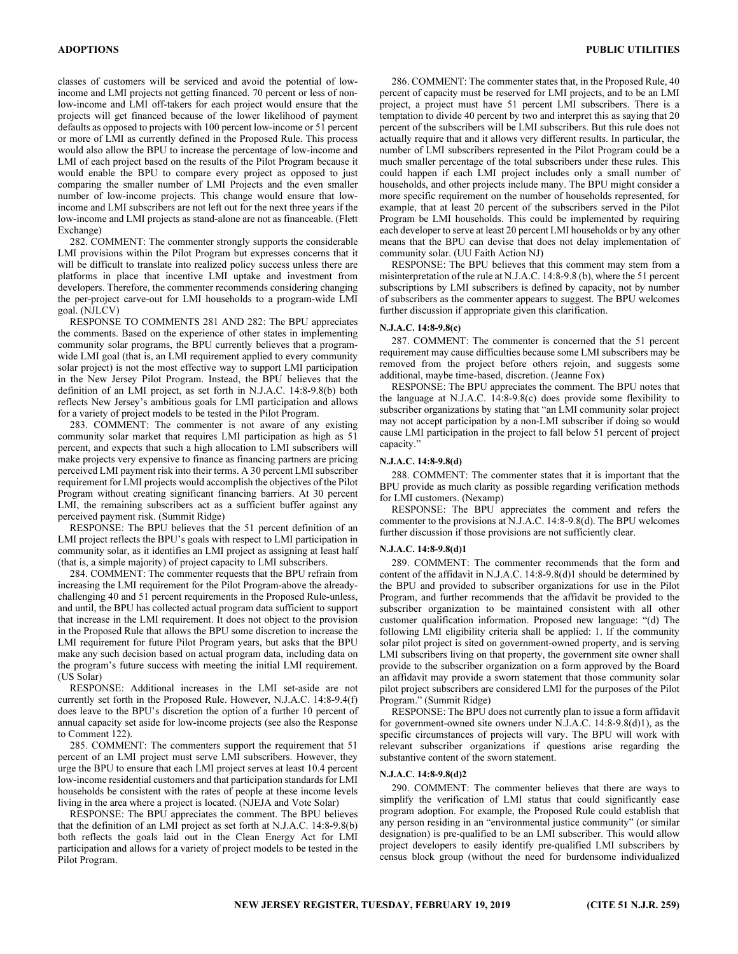classes of customers will be serviced and avoid the potential of lowincome and LMI projects not getting financed. 70 percent or less of nonlow-income and LMI off-takers for each project would ensure that the projects will get financed because of the lower likelihood of payment defaults as opposed to projects with 100 percent low-income or 51 percent or more of LMI as currently defined in the Proposed Rule. This process would also allow the BPU to increase the percentage of low-income and LMI of each project based on the results of the Pilot Program because it would enable the BPU to compare every project as opposed to just comparing the smaller number of LMI Projects and the even smaller number of low-income projects. This change would ensure that lowincome and LMI subscribers are not left out for the next three years if the low-income and LMI projects as stand-alone are not as financeable. (Flett Exchange)

282. COMMENT: The commenter strongly supports the considerable LMI provisions within the Pilot Program but expresses concerns that it will be difficult to translate into realized policy success unless there are platforms in place that incentive LMI uptake and investment from developers. Therefore, the commenter recommends considering changing the per-project carve-out for LMI households to a program-wide LMI goal. (NJLCV)

RESPONSE TO COMMENTS 281 AND 282: The BPU appreciates the comments. Based on the experience of other states in implementing community solar programs, the BPU currently believes that a programwide LMI goal (that is, an LMI requirement applied to every community solar project) is not the most effective way to support LMI participation in the New Jersey Pilot Program. Instead, the BPU believes that the definition of an LMI project, as set forth in N.J.A.C. 14:8-9.8(b) both reflects New Jersey's ambitious goals for LMI participation and allows for a variety of project models to be tested in the Pilot Program.

283. COMMENT: The commenter is not aware of any existing community solar market that requires LMI participation as high as 51 percent, and expects that such a high allocation to LMI subscribers will make projects very expensive to finance as financing partners are pricing perceived LMI payment risk into their terms. A 30 percent LMI subscriber requirement for LMI projects would accomplish the objectives of the Pilot Program without creating significant financing barriers. At 30 percent LMI, the remaining subscribers act as a sufficient buffer against any perceived payment risk. (Summit Ridge)

RESPONSE: The BPU believes that the 51 percent definition of an LMI project reflects the BPU's goals with respect to LMI participation in community solar, as it identifies an LMI project as assigning at least half (that is, a simple majority) of project capacity to LMI subscribers.

284. COMMENT: The commenter requests that the BPU refrain from increasing the LMI requirement for the Pilot Program-above the alreadychallenging 40 and 51 percent requirements in the Proposed Rule-unless, and until, the BPU has collected actual program data sufficient to support that increase in the LMI requirement. It does not object to the provision in the Proposed Rule that allows the BPU some discretion to increase the LMI requirement for future Pilot Program years, but asks that the BPU make any such decision based on actual program data, including data on the program's future success with meeting the initial LMI requirement. (US Solar)

RESPONSE: Additional increases in the LMI set-aside are not currently set forth in the Proposed Rule. However, N.J.A.C. 14:8-9.4(f) does leave to the BPU's discretion the option of a further 10 percent of annual capacity set aside for low-income projects (see also the Response to Comment 122).

285. COMMENT: The commenters support the requirement that 51 percent of an LMI project must serve LMI subscribers. However, they urge the BPU to ensure that each LMI project serves at least 10.4 percent low-income residential customers and that participation standards for LMI households be consistent with the rates of people at these income levels living in the area where a project is located. (NJEJA and Vote Solar)

RESPONSE: The BPU appreciates the comment. The BPU believes that the definition of an LMI project as set forth at N.J.A.C. 14:8-9.8(b) both reflects the goals laid out in the Clean Energy Act for LMI participation and allows for a variety of project models to be tested in the Pilot Program.

286. COMMENT: The commenter states that, in the Proposed Rule, 40 percent of capacity must be reserved for LMI projects, and to be an LMI project, a project must have 51 percent LMI subscribers. There is a temptation to divide 40 percent by two and interpret this as saying that 20 percent of the subscribers will be LMI subscribers. But this rule does not actually require that and it allows very different results. In particular, the number of LMI subscribers represented in the Pilot Program could be a much smaller percentage of the total subscribers under these rules. This could happen if each LMI project includes only a small number of households, and other projects include many. The BPU might consider a more specific requirement on the number of households represented, for example, that at least 20 percent of the subscribers served in the Pilot Program be LMI households. This could be implemented by requiring each developer to serve at least 20 percent LMI households or by any other means that the BPU can devise that does not delay implementation of community solar. (UU Faith Action NJ)

RESPONSE: The BPU believes that this comment may stem from a misinterpretation of the rule at N.J.A.C. 14:8-9.8 (b), where the 51 percent subscriptions by LMI subscribers is defined by capacity, not by number of subscribers as the commenter appears to suggest. The BPU welcomes further discussion if appropriate given this clarification.

## N.J.A.C. 14:8-9.8(c)

287. COMMENT: The commenter is concerned that the 51 percent requirement may cause difficulties because some LMI subscribers may be removed from the project before others rejoin, and suggests some additional, maybe time-based, discretion. (Jeanne Fox)

RESPONSE: The BPU appreciates the comment. The BPU notes that the language at N.J.A.C. 14:8-9.8(c) does provide some flexibility to subscriber organizations by stating that "an LMI community solar project may not accept participation by a non-LMI subscriber if doing so would cause LMI participation in the project to fall below 51 percent of project capacity.'

## N.J.A.C. 14:8-9.8(d)

288. COMMENT: The commenter states that it is important that the BPU provide as much clarity as possible regarding verification methods for LMI customers. (Nexamp)

RESPONSE: The BPU appreciates the comment and refers the commenter to the provisions at N.J.A.C. 14:8-9.8(d). The BPU welcomes further discussion if those provisions are not sufficiently clear.

## N.J.A.C. 14:8-9.8(d)1

289. COMMENT: The commenter recommends that the form and content of the affidavit in N.J.A.C. 14:8-9.8(d)1 should be determined by the BPU and provided to subscriber organizations for use in the Pilot Program, and further recommends that the affidavit be provided to the subscriber organization to be maintained consistent with all other customer qualification information. Proposed new language: "(d) The following LMI eligibility criteria shall be applied: 1. If the community solar pilot project is sited on government-owned property, and is serving LMI subscribers living on that property, the government site owner shall provide to the subscriber organization on a form approved by the Board an affidavit may provide a sworn statement that those community solar pilot project subscribers are considered LMI for the purposes of the Pilot Program." (Summit Ridge)

RESPONSE: The BPU does not currently plan to issue a form affidavit for government-owned site owners under N.J.A.C. 14:8-9.8(d)1), as the specific circumstances of projects will vary. The BPU will work with relevant subscriber organizations if questions arise regarding the substantive content of the sworn statement.

## N.J.A.C. 14:8-9.8(d)2

290. COMMENT: The commenter believes that there are ways to simplify the verification of LMI status that could significantly ease program adoption. For example, the Proposed Rule could establish that any person residing in an "environmental justice community" (or similar designation) is pre-qualified to be an LMI subscriber. This would allow project developers to easily identify pre-qualified LMI subscribers by census block group (without the need for burdensome individualized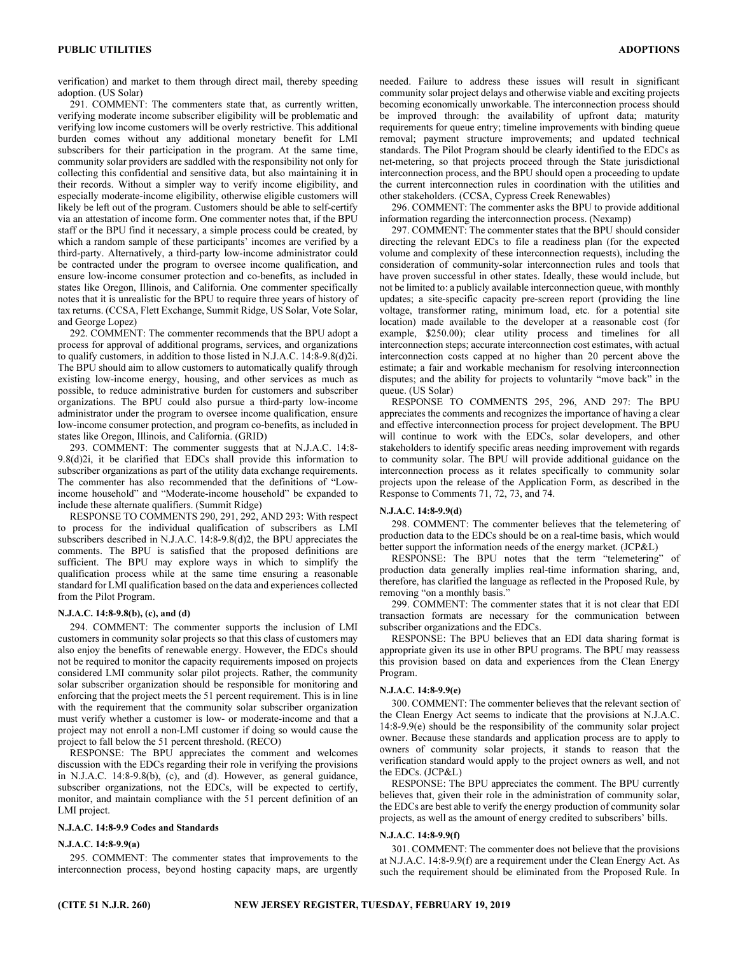verification) and market to them through direct mail, thereby speeding adoption. (US Solar)

291. COMMENT: The commenters state that, as currently written, verifying moderate income subscriber eligibility will be problematic and verifying low income customers will be overly restrictive. This additional burden comes without any additional monetary benefit for LMI subscribers for their participation in the program. At the same time, community solar providers are saddled with the responsibility not only for collecting this confidential and sensitive data, but also maintaining it in their records. Without a simpler way to verify income eligibility, and especially moderate-income eligibility, otherwise eligible customers will likely be left out of the program. Customers should be able to self-certify via an attestation of income form. One commenter notes that, if the BPU staff or the BPU find it necessary, a simple process could be created, by which a random sample of these participants' incomes are verified by a third-party. Alternatively, a third-party low-income administrator could be contracted under the program to oversee income qualification, and ensure low-income consumer protection and co-benefits, as included in states like Oregon, Illinois, and California. One commenter specifically notes that it is unrealistic for the BPU to require three years of history of tax returns. (CCSA, Flett Exchange, Summit Ridge, US Solar, Vote Solar, and George Lopez)

292. COMMENT: The commenter recommends that the BPU adopt a process for approval of additional programs, services, and organizations to qualify customers, in addition to those listed in N.J.A.C. 14:8-9.8(d)2i. The BPU should aim to allow customers to automatically qualify through existing low-income energy, housing, and other services as much as possible, to reduce administrative burden for customers and subscriber organizations. The BPU could also pursue a third-party low-income administrator under the program to oversee income qualification, ensure low-income consumer protection, and program co-benefits, as included in states like Oregon, Illinois, and California. (GRID)

293. COMMENT: The commenter suggests that at N.J.A.C. 14:8- 9.8(d)2i, it be clarified that EDCs shall provide this information to subscriber organizations as part of the utility data exchange requirements. The commenter has also recommended that the definitions of "Lowincome household" and "Moderate-income household" be expanded to include these alternate qualifiers. (Summit Ridge)

RESPONSE TO COMMENTS 290, 291, 292, AND 293: With respect to process for the individual qualification of subscribers as LMI subscribers described in N.J.A.C. 14:8-9.8(d)2, the BPU appreciates the comments. The BPU is satisfied that the proposed definitions are sufficient. The BPU may explore ways in which to simplify the qualification process while at the same time ensuring a reasonable standard for LMI qualification based on the data and experiences collected from the Pilot Program.

## N.J.A.C. 14:8-9.8(b), (c), and (d)

294. COMMENT: The commenter supports the inclusion of LMI customers in community solar projects so that this class of customers may also enjoy the benefits of renewable energy. However, the EDCs should not be required to monitor the capacity requirements imposed on projects considered LMI community solar pilot projects. Rather, the community solar subscriber organization should be responsible for monitoring and enforcing that the project meets the 51 percent requirement. This is in line with the requirement that the community solar subscriber organization must verify whether a customer is low- or moderate-income and that a project may not enroll a non-LMI customer if doing so would cause the project to fall below the 51 percent threshold. (RECO)

RESPONSE: The BPU appreciates the comment and welcomes discussion with the EDCs regarding their role in verifying the provisions in N.J.A.C. 14:8-9.8(b), (c), and (d). However, as general guidance, subscriber organizations, not the EDCs, will be expected to certify, monitor, and maintain compliance with the 51 percent definition of an LMI project.

## N.J.A.C. 14:8-9.9 Codes and Standards

## N.J.A.C. 14:8-9.9(a)

295. COMMENT: The commenter states that improvements to the interconnection process, beyond hosting capacity maps, are urgently needed. Failure to address these issues will result in significant community solar project delays and otherwise viable and exciting projects becoming economically unworkable. The interconnection process should be improved through: the availability of upfront data; maturity requirements for queue entry; timeline improvements with binding queue removal; payment structure improvements; and updated technical standards. The Pilot Program should be clearly identified to the EDCs as net-metering, so that projects proceed through the State jurisdictional interconnection process, and the BPU should open a proceeding to update the current interconnection rules in coordination with the utilities and other stakeholders. (CCSA, Cypress Creek Renewables)

296. COMMENT: The commenter asks the BPU to provide additional information regarding the interconnection process. (Nexamp)

297. COMMENT: The commenter states that the BPU should consider directing the relevant EDCs to file a readiness plan (for the expected volume and complexity of these interconnection requests), including the consideration of community-solar interconnection rules and tools that have proven successful in other states. Ideally, these would include, but not be limited to: a publicly available interconnection queue, with monthly updates; a site-specific capacity pre-screen report (providing the line voltage, transformer rating, minimum load, etc. for a potential site location) made available to the developer at a reasonable cost (for example, \$250.00); clear utility process and timelines for all interconnection steps; accurate interconnection cost estimates, with actual interconnection costs capped at no higher than 20 percent above the estimate; a fair and workable mechanism for resolving interconnection disputes; and the ability for projects to voluntarily "move back" in the queue. (US Solar)

RESPONSE TO COMMENTS 295, 296, AND 297: The BPU appreciates the comments and recognizes the importance of having a clear and effective interconnection process for project development. The BPU will continue to work with the EDCs, solar developers, and other stakeholders to identify specific areas needing improvement with regards to community solar. The BPU will provide additional guidance on the interconnection process as it relates specifically to community solar projects upon the release of the Application Form, as described in the Response to Comments 71, 72, 73, and 74.

## N.J.A.C. 14:8-9.9(d)

298. COMMENT: The commenter believes that the telemetering of production data to the EDCs should be on a real-time basis, which would better support the information needs of the energy market. (JCP&L)

RESPONSE: The BPU notes that the term "telemetering" of production data generally implies real-time information sharing, and, therefore, has clarified the language as reflected in the Proposed Rule, by removing "on a monthly basis."

299. COMMENT: The commenter states that it is not clear that EDI transaction formats are necessary for the communication between subscriber organizations and the EDCs.

RESPONSE: The BPU believes that an EDI data sharing format is appropriate given its use in other BPU programs. The BPU may reassess this provision based on data and experiences from the Clean Energy Program.

## N.J.A.C. 14:8-9.9(e)

300. COMMENT: The commenter believes that the relevant section of the Clean Energy Act seems to indicate that the provisions at N.J.A.C. 14:8-9.9(e) should be the responsibility of the community solar project owner. Because these standards and application process are to apply to owners of community solar projects, it stands to reason that the verification standard would apply to the project owners as well, and not the EDCs. (JCP&L)

RESPONSE: The BPU appreciates the comment. The BPU currently believes that, given their role in the administration of community solar, the EDCs are best able to verify the energy production of community solar projects, as well as the amount of energy credited to subscribers' bills.

## N.J.A.C. 14:8-9.9(f)

301. COMMENT: The commenter does not believe that the provisions at N.J.A.C. 14:8-9.9(f) are a requirement under the Clean Energy Act. As such the requirement should be eliminated from the Proposed Rule. In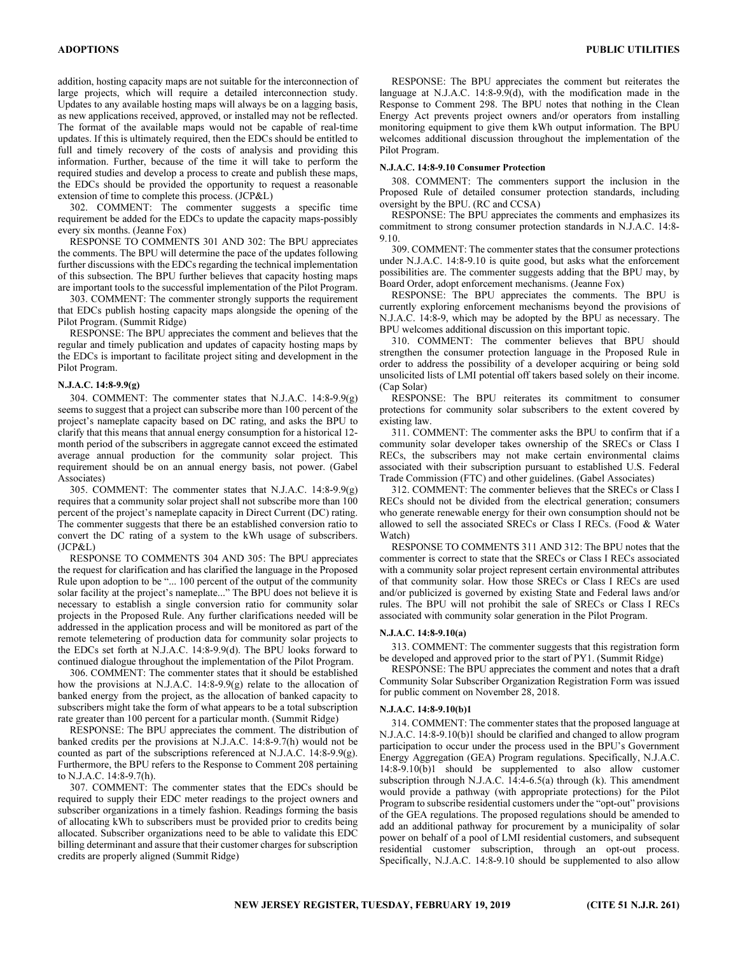ADOPTIONS PUBLIC UTILITIES

addition, hosting capacity maps are not suitable for the interconnection of large projects, which will require a detailed interconnection study. Updates to any available hosting maps will always be on a lagging basis, as new applications received, approved, or installed may not be reflected. The format of the available maps would not be capable of real-time updates. If this is ultimately required, then the EDCs should be entitled to full and timely recovery of the costs of analysis and providing this information. Further, because of the time it will take to perform the required studies and develop a process to create and publish these maps, the EDCs should be provided the opportunity to request a reasonable extension of time to complete this process. (JCP&L)

302. COMMENT: The commenter suggests a specific time requirement be added for the EDCs to update the capacity maps-possibly every six months. (Jeanne Fox)

RESPONSE TO COMMENTS 301 AND 302: The BPU appreciates the comments. The BPU will determine the pace of the updates following further discussions with the EDCs regarding the technical implementation of this subsection. The BPU further believes that capacity hosting maps are important tools to the successful implementation of the Pilot Program.

303. COMMENT: The commenter strongly supports the requirement that EDCs publish hosting capacity maps alongside the opening of the Pilot Program. (Summit Ridge)

RESPONSE: The BPU appreciates the comment and believes that the regular and timely publication and updates of capacity hosting maps by the EDCs is important to facilitate project siting and development in the Pilot Program.

## N.J.A.C. 14:8-9.9(g)

304. COMMENT: The commenter states that N.J.A.C. 14:8-9.9(g) seems to suggest that a project can subscribe more than 100 percent of the project's nameplate capacity based on DC rating, and asks the BPU to clarify that this means that annual energy consumption for a historical 12 month period of the subscribers in aggregate cannot exceed the estimated average annual production for the community solar project. This requirement should be on an annual energy basis, not power. (Gabel Associates)

305. COMMENT: The commenter states that N.J.A.C. 14:8-9.9(g) requires that a community solar project shall not subscribe more than 100 percent of the project's nameplate capacity in Direct Current (DC) rating. The commenter suggests that there be an established conversion ratio to convert the DC rating of a system to the kWh usage of subscribers. (JCP&L)

RESPONSE TO COMMENTS 304 AND 305: The BPU appreciates the request for clarification and has clarified the language in the Proposed Rule upon adoption to be "... 100 percent of the output of the community solar facility at the project's nameplate..." The BPU does not believe it is necessary to establish a single conversion ratio for community solar projects in the Proposed Rule. Any further clarifications needed will be addressed in the application process and will be monitored as part of the remote telemetering of production data for community solar projects to the EDCs set forth at N.J.A.C. 14:8-9.9(d). The BPU looks forward to continued dialogue throughout the implementation of the Pilot Program.

306. COMMENT: The commenter states that it should be established how the provisions at N.J.A.C. 14:8-9.9(g) relate to the allocation of banked energy from the project, as the allocation of banked capacity to subscribers might take the form of what appears to be a total subscription rate greater than 100 percent for a particular month. (Summit Ridge)

RESPONSE: The BPU appreciates the comment. The distribution of banked credits per the provisions at N.J.A.C. 14:8-9.7(h) would not be counted as part of the subscriptions referenced at N.J.A.C. 14:8-9.9(g). Furthermore, the BPU refers to the Response to Comment 208 pertaining to N.J.A.C. 14:8-9.7(h).

307. COMMENT: The commenter states that the EDCs should be required to supply their EDC meter readings to the project owners and subscriber organizations in a timely fashion. Readings forming the basis of allocating kWh to subscribers must be provided prior to credits being allocated. Subscriber organizations need to be able to validate this EDC billing determinant and assure that their customer charges for subscription credits are properly aligned (Summit Ridge)

RESPONSE: The BPU appreciates the comment but reiterates the language at N.J.A.C. 14:8-9.9(d), with the modification made in the Response to Comment 298. The BPU notes that nothing in the Clean Energy Act prevents project owners and/or operators from installing monitoring equipment to give them kWh output information. The BPU welcomes additional discussion throughout the implementation of the Pilot Program.

## N.J.A.C. 14:8-9.10 Consumer Protection

308. COMMENT: The commenters support the inclusion in the Proposed Rule of detailed consumer protection standards, including oversight by the BPU. (RC and CCSA)

RESPONSE: The BPU appreciates the comments and emphasizes its commitment to strong consumer protection standards in N.J.A.C. 14:8- 9.10.

309. COMMENT: The commenter states that the consumer protections under N.J.A.C. 14:8-9.10 is quite good, but asks what the enforcement possibilities are. The commenter suggests adding that the BPU may, by Board Order, adopt enforcement mechanisms. (Jeanne Fox)

RESPONSE: The BPU appreciates the comments. The BPU is currently exploring enforcement mechanisms beyond the provisions of N.J.A.C. 14:8-9, which may be adopted by the BPU as necessary. The BPU welcomes additional discussion on this important topic.

310. COMMENT: The commenter believes that BPU should strengthen the consumer protection language in the Proposed Rule in order to address the possibility of a developer acquiring or being sold unsolicited lists of LMI potential off takers based solely on their income. (Cap Solar)

RESPONSE: The BPU reiterates its commitment to consumer protections for community solar subscribers to the extent covered by existing law.

311. COMMENT: The commenter asks the BPU to confirm that if a community solar developer takes ownership of the SRECs or Class I RECs, the subscribers may not make certain environmental claims associated with their subscription pursuant to established U.S. Federal Trade Commission (FTC) and other guidelines. (Gabel Associates)

312. COMMENT: The commenter believes that the SRECs or Class I RECs should not be divided from the electrical generation; consumers who generate renewable energy for their own consumption should not be allowed to sell the associated SRECs or Class I RECs. (Food & Water Watch)

RESPONSE TO COMMENTS 311 AND 312: The BPU notes that the commenter is correct to state that the SRECs or Class I RECs associated with a community solar project represent certain environmental attributes of that community solar. How those SRECs or Class I RECs are used and/or publicized is governed by existing State and Federal laws and/or rules. The BPU will not prohibit the sale of SRECs or Class I RECs associated with community solar generation in the Pilot Program.

## N.J.A.C. 14:8-9.10(a)

313. COMMENT: The commenter suggests that this registration form be developed and approved prior to the start of PY1. (Summit Ridge)

RESPONSE: The BPU appreciates the comment and notes that a draft Community Solar Subscriber Organization Registration Form was issued for public comment on November 28, 2018.

## N.J.A.C. 14:8-9.10(b)1

314. COMMENT: The commenter states that the proposed language at N.J.A.C. 14:8-9.10(b)1 should be clarified and changed to allow program participation to occur under the process used in the BPU's Government Energy Aggregation (GEA) Program regulations. Specifically, N.J.A.C. 14:8-9.10(b)1 should be supplemented to also allow customer subscription through N.J.A.C. 14:4-6.5(a) through (k). This amendment would provide a pathway (with appropriate protections) for the Pilot Program to subscribe residential customers under the "opt-out" provisions of the GEA regulations. The proposed regulations should be amended to add an additional pathway for procurement by a municipality of solar power on behalf of a pool of LMI residential customers, and subsequent residential customer subscription, through an opt-out process. Specifically, N.J.A.C. 14:8-9.10 should be supplemented to also allow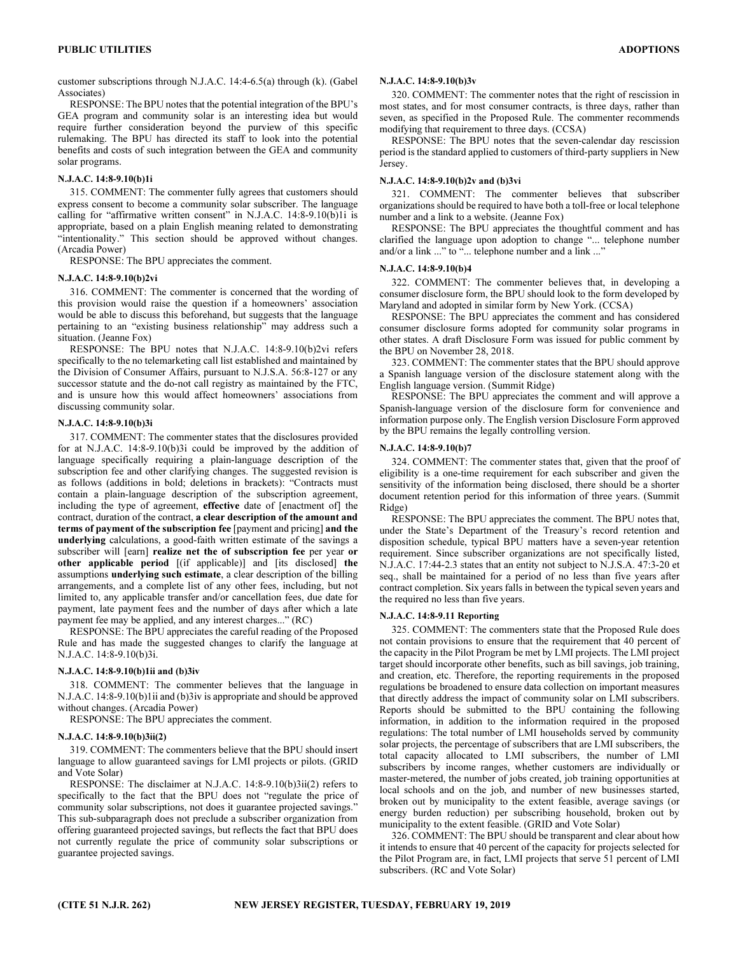customer subscriptions through N.J.A.C. 14:4-6.5(a) through (k). (Gabel Associates)

RESPONSE: The BPU notes that the potential integration of the BPU's GEA program and community solar is an interesting idea but would require further consideration beyond the purview of this specific rulemaking. The BPU has directed its staff to look into the potential benefits and costs of such integration between the GEA and community solar programs.

## N.J.A.C. 14:8-9.10(b)1i

315. COMMENT: The commenter fully agrees that customers should express consent to become a community solar subscriber. The language calling for "affirmative written consent" in N.J.A.C. 14:8-9.10(b)1i is appropriate, based on a plain English meaning related to demonstrating "intentionality." This section should be approved without changes. (Arcadia Power)

RESPONSE: The BPU appreciates the comment.

#### N.J.A.C. 14:8-9.10(b)2vi

316. COMMENT: The commenter is concerned that the wording of this provision would raise the question if a homeowners' association would be able to discuss this beforehand, but suggests that the language pertaining to an "existing business relationship" may address such a situation. (Jeanne Fox)

RESPONSE: The BPU notes that N.J.A.C. 14:8-9.10(b)2vi refers specifically to the no telemarketing call list established and maintained by the Division of Consumer Affairs, pursuant to N.J.S.A. 56:8-127 or any successor statute and the do-not call registry as maintained by the FTC, and is unsure how this would affect homeowners' associations from discussing community solar.

## N.J.A.C. 14:8-9.10(b)3i

317. COMMENT: The commenter states that the disclosures provided for at N.J.A.C. 14:8-9.10(b)3i could be improved by the addition of language specifically requiring a plain-language description of the subscription fee and other clarifying changes. The suggested revision is as follows (additions in bold; deletions in brackets): "Contracts must contain a plain-language description of the subscription agreement, including the type of agreement, effective date of [enactment of] the contract, duration of the contract, a clear description of the amount and terms of payment of the subscription fee [payment and pricing] and the underlying calculations, a good-faith written estimate of the savings a subscriber will [earn] realize net the of subscription fee per year or other applicable period [(if applicable)] and [its disclosed] the assumptions underlying such estimate, a clear description of the billing arrangements, and a complete list of any other fees, including, but not limited to, any applicable transfer and/or cancellation fees, due date for payment, late payment fees and the number of days after which a late payment fee may be applied, and any interest charges..." (RC)

RESPONSE: The BPU appreciates the careful reading of the Proposed Rule and has made the suggested changes to clarify the language at N.J.A.C. 14:8-9.10(b)3i.

## N.J.A.C. 14:8-9.10(b)1ii and (b)3iv

318. COMMENT: The commenter believes that the language in N.J.A.C. 14:8-9.10(b)1ii and (b)3iv is appropriate and should be approved without changes. (Arcadia Power)

RESPONSE: The BPU appreciates the comment.

## N.J.A.C. 14:8-9.10(b)3ii(2)

319. COMMENT: The commenters believe that the BPU should insert language to allow guaranteed savings for LMI projects or pilots. (GRID and Vote Solar)

RESPONSE: The disclaimer at N.J.A.C. 14:8-9.10(b)3ii(2) refers to specifically to the fact that the BPU does not "regulate the price of community solar subscriptions, not does it guarantee projected savings." This sub-subparagraph does not preclude a subscriber organization from offering guaranteed projected savings, but reflects the fact that BPU does not currently regulate the price of community solar subscriptions or guarantee projected savings.

## N.J.A.C. 14:8-9.10(b)3v

320. COMMENT: The commenter notes that the right of rescission in most states, and for most consumer contracts, is three days, rather than seven, as specified in the Proposed Rule. The commenter recommends modifying that requirement to three days. (CCSA)

RESPONSE: The BPU notes that the seven-calendar day rescission period is the standard applied to customers of third-party suppliers in New Jersey.

#### N.J.A.C. 14:8-9.10(b)2v and (b)3vi

321. COMMENT: The commenter believes that subscriber organizations should be required to have both a toll-free or local telephone number and a link to a website. (Jeanne Fox)

RESPONSE: The BPU appreciates the thoughtful comment and has clarified the language upon adoption to change "... telephone number and/or a link ..." to "... telephone number and a link ..."

## N.J.A.C. 14:8-9.10(b)4

322. COMMENT: The commenter believes that, in developing a consumer disclosure form, the BPU should look to the form developed by Maryland and adopted in similar form by New York. (CCSA)

RESPONSE: The BPU appreciates the comment and has considered consumer disclosure forms adopted for community solar programs in other states. A draft Disclosure Form was issued for public comment by the BPU on November 28, 2018.

323. COMMENT: The commenter states that the BPU should approve a Spanish language version of the disclosure statement along with the English language version. (Summit Ridge)

RESPONSE: The BPU appreciates the comment and will approve a Spanish-language version of the disclosure form for convenience and information purpose only. The English version Disclosure Form approved by the BPU remains the legally controlling version.

## N.J.A.C. 14:8-9.10(b)7

324. COMMENT: The commenter states that, given that the proof of eligibility is a one-time requirement for each subscriber and given the sensitivity of the information being disclosed, there should be a shorter document retention period for this information of three years. (Summit Ridge)

RESPONSE: The BPU appreciates the comment. The BPU notes that, under the State's Department of the Treasury's record retention and disposition schedule, typical BPU matters have a seven-year retention requirement. Since subscriber organizations are not specifically listed, N.J.A.C. 17:44-2.3 states that an entity not subject to N.J.S.A. 47:3-20 et seq., shall be maintained for a period of no less than five years after contract completion. Six years falls in between the typical seven years and the required no less than five years.

## N.J.A.C. 14:8-9.11 Reporting

325. COMMENT: The commenters state that the Proposed Rule does not contain provisions to ensure that the requirement that 40 percent of the capacity in the Pilot Program be met by LMI projects. The LMI project target should incorporate other benefits, such as bill savings, job training, and creation, etc. Therefore, the reporting requirements in the proposed regulations be broadened to ensure data collection on important measures that directly address the impact of community solar on LMI subscribers. Reports should be submitted to the BPU containing the following information, in addition to the information required in the proposed regulations: The total number of LMI households served by community solar projects, the percentage of subscribers that are LMI subscribers, the total capacity allocated to LMI subscribers, the number of LMI subscribers by income ranges, whether customers are individually or master-metered, the number of jobs created, job training opportunities at local schools and on the job, and number of new businesses started, broken out by municipality to the extent feasible, average savings (or energy burden reduction) per subscribing household, broken out by municipality to the extent feasible. (GRID and Vote Solar)

326. COMMENT: The BPU should be transparent and clear about how it intends to ensure that 40 percent of the capacity for projects selected for the Pilot Program are, in fact, LMI projects that serve 51 percent of LMI subscribers. (RC and Vote Solar)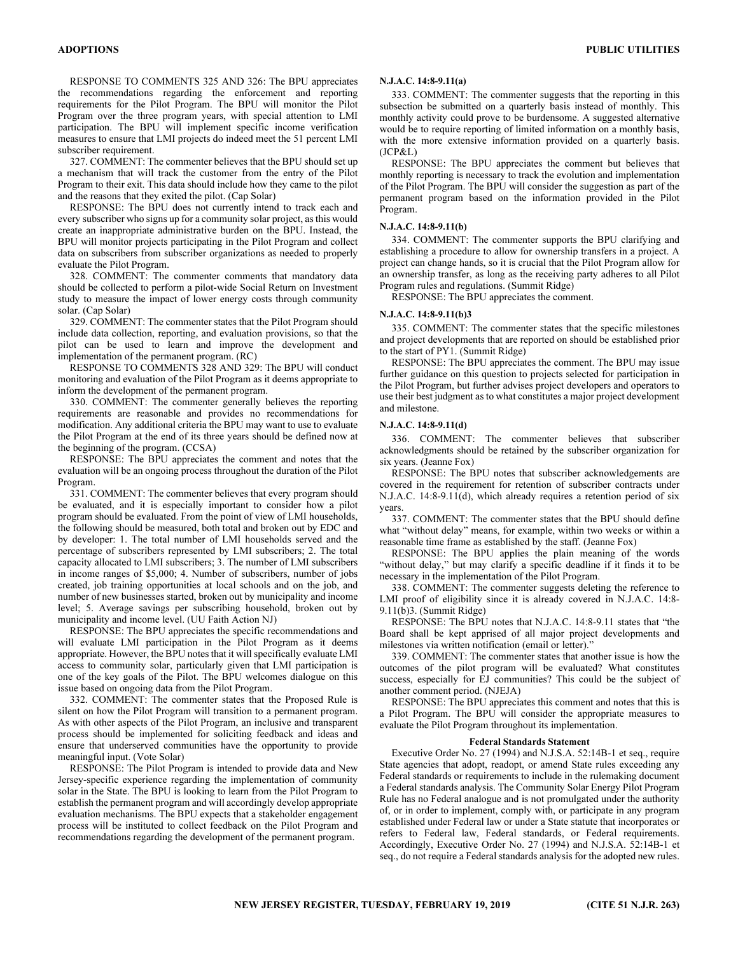RESPONSE TO COMMENTS 325 AND 326: The BPU appreciates the recommendations regarding the enforcement and reporting requirements for the Pilot Program. The BPU will monitor the Pilot Program over the three program years, with special attention to LMI participation. The BPU will implement specific income verification measures to ensure that LMI projects do indeed meet the 51 percent LMI subscriber requirement.

327. COMMENT: The commenter believes that the BPU should set up a mechanism that will track the customer from the entry of the Pilot Program to their exit. This data should include how they came to the pilot and the reasons that they exited the pilot. (Cap Solar)

RESPONSE: The BPU does not currently intend to track each and every subscriber who signs up for a community solar project, as this would create an inappropriate administrative burden on the BPU. Instead, the BPU will monitor projects participating in the Pilot Program and collect data on subscribers from subscriber organizations as needed to properly evaluate the Pilot Program.

328. COMMENT: The commenter comments that mandatory data should be collected to perform a pilot-wide Social Return on Investment study to measure the impact of lower energy costs through community solar. (Cap Solar)

329. COMMENT: The commenter states that the Pilot Program should include data collection, reporting, and evaluation provisions, so that the pilot can be used to learn and improve the development and implementation of the permanent program. (RC)

RESPONSE TO COMMENTS 328 AND 329: The BPU will conduct monitoring and evaluation of the Pilot Program as it deems appropriate to inform the development of the permanent program.

330. COMMENT: The commenter generally believes the reporting requirements are reasonable and provides no recommendations for modification. Any additional criteria the BPU may want to use to evaluate the Pilot Program at the end of its three years should be defined now at the beginning of the program. (CCSA)

RESPONSE: The BPU appreciates the comment and notes that the evaluation will be an ongoing process throughout the duration of the Pilot Program.

331. COMMENT: The commenter believes that every program should be evaluated, and it is especially important to consider how a pilot program should be evaluated. From the point of view of LMI households, the following should be measured, both total and broken out by EDC and by developer: 1. The total number of LMI households served and the percentage of subscribers represented by LMI subscribers; 2. The total capacity allocated to LMI subscribers; 3. The number of LMI subscribers in income ranges of \$5,000; 4. Number of subscribers, number of jobs created, job training opportunities at local schools and on the job, and number of new businesses started, broken out by municipality and income level; 5. Average savings per subscribing household, broken out by municipality and income level. (UU Faith Action NJ)

RESPONSE: The BPU appreciates the specific recommendations and will evaluate LMI participation in the Pilot Program as it deems appropriate. However, the BPU notes that it will specifically evaluate LMI access to community solar, particularly given that LMI participation is one of the key goals of the Pilot. The BPU welcomes dialogue on this issue based on ongoing data from the Pilot Program.

332. COMMENT: The commenter states that the Proposed Rule is silent on how the Pilot Program will transition to a permanent program. As with other aspects of the Pilot Program, an inclusive and transparent process should be implemented for soliciting feedback and ideas and ensure that underserved communities have the opportunity to provide meaningful input. (Vote Solar)

RESPONSE: The Pilot Program is intended to provide data and New Jersey-specific experience regarding the implementation of community solar in the State. The BPU is looking to learn from the Pilot Program to establish the permanent program and will accordingly develop appropriate evaluation mechanisms. The BPU expects that a stakeholder engagement process will be instituted to collect feedback on the Pilot Program and recommendations regarding the development of the permanent program.

#### N.J.A.C. 14:8-9.11(a)

333. COMMENT: The commenter suggests that the reporting in this subsection be submitted on a quarterly basis instead of monthly. This monthly activity could prove to be burdensome. A suggested alternative would be to require reporting of limited information on a monthly basis, with the more extensive information provided on a quarterly basis. (JCP&L)

RESPONSE: The BPU appreciates the comment but believes that monthly reporting is necessary to track the evolution and implementation of the Pilot Program. The BPU will consider the suggestion as part of the permanent program based on the information provided in the Pilot Program.

## N.J.A.C. 14:8-9.11(b)

334. COMMENT: The commenter supports the BPU clarifying and establishing a procedure to allow for ownership transfers in a project. A project can change hands, so it is crucial that the Pilot Program allow for an ownership transfer, as long as the receiving party adheres to all Pilot Program rules and regulations. (Summit Ridge)

RESPONSE: The BPU appreciates the comment.

#### N.J.A.C. 14:8-9.11(b)3

335. COMMENT: The commenter states that the specific milestones and project developments that are reported on should be established prior to the start of PY1. (Summit Ridge)

RESPONSE: The BPU appreciates the comment. The BPU may issue further guidance on this question to projects selected for participation in the Pilot Program, but further advises project developers and operators to use their best judgment as to what constitutes a major project development and milestone.

#### N.J.A.C. 14:8-9.11(d)

336. COMMENT: The commenter believes that subscriber acknowledgments should be retained by the subscriber organization for six years. (Jeanne Fox)

RESPONSE: The BPU notes that subscriber acknowledgements are covered in the requirement for retention of subscriber contracts under N.J.A.C. 14:8-9.11(d), which already requires a retention period of six years.

337. COMMENT: The commenter states that the BPU should define what "without delay" means, for example, within two weeks or within a reasonable time frame as established by the staff. (Jeanne Fox)

RESPONSE: The BPU applies the plain meaning of the words "without delay," but may clarify a specific deadline if it finds it to be necessary in the implementation of the Pilot Program.

338. COMMENT: The commenter suggests deleting the reference to LMI proof of eligibility since it is already covered in N.J.A.C. 14:8- 9.11(b)3. (Summit Ridge)

RESPONSE: The BPU notes that N.J.A.C. 14:8-9.11 states that "the Board shall be kept apprised of all major project developments and milestones via written notification (email or letter)."

339. COMMENT: The commenter states that another issue is how the outcomes of the pilot program will be evaluated? What constitutes success, especially for EJ communities? This could be the subject of another comment period. (NJEJA)

RESPONSE: The BPU appreciates this comment and notes that this is a Pilot Program. The BPU will consider the appropriate measures to evaluate the Pilot Program throughout its implementation.

#### Federal Standards Statement

Executive Order No. 27 (1994) and N.J.S.A. 52:14B-1 et seq., require State agencies that adopt, readopt, or amend State rules exceeding any Federal standards or requirements to include in the rulemaking document a Federal standards analysis. The Community Solar Energy Pilot Program Rule has no Federal analogue and is not promulgated under the authority of, or in order to implement, comply with, or participate in any program established under Federal law or under a State statute that incorporates or refers to Federal law, Federal standards, or Federal requirements. Accordingly, Executive Order No. 27 (1994) and N.J.S.A. 52:14B-1 et seq., do not require a Federal standards analysis for the adopted new rules.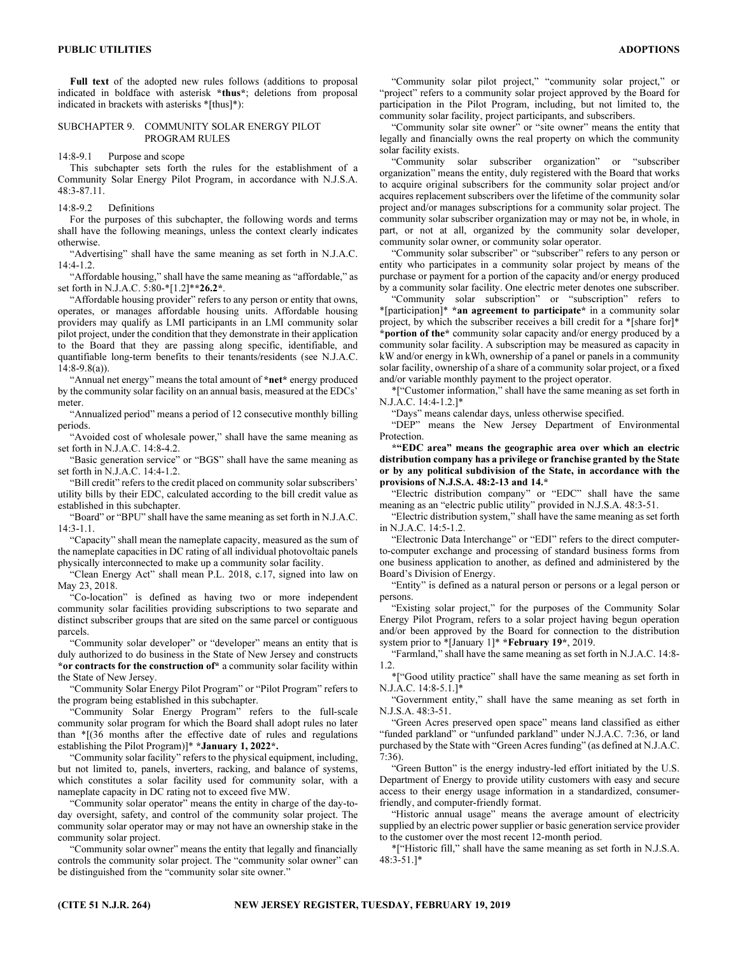Full text of the adopted new rules follows (additions to proposal indicated in boldface with asterisk \*thus\*; deletions from proposal indicated in brackets with asterisks \*[thus]\*):

## SUBCHAPTER 9. COMMUNITY SOLAR ENERGY PILOT PROGRAM RULES

14:8-9.1 Purpose and scope

This subchapter sets forth the rules for the establishment of a Community Solar Energy Pilot Program, in accordance with N.J.S.A. 48:3-87.11.

## 14:8-9.2 Definitions

For the purposes of this subchapter, the following words and terms shall have the following meanings, unless the context clearly indicates otherwise.

"Advertising" shall have the same meaning as set forth in N.J.A.C. 14:4-1.2.

"Affordable housing," shall have the same meaning as "affordable," as set forth in N.J.A.C. 5:80-\*[1.2]\*\*26.2\*.

"Affordable housing provider" refers to any person or entity that owns, operates, or manages affordable housing units. Affordable housing providers may qualify as LMI participants in an LMI community solar pilot project, under the condition that they demonstrate in their application to the Board that they are passing along specific, identifiable, and quantifiable long-term benefits to their tenants/residents (see N.J.A.C. 14:8-9.8(a)).

"Annual net energy" means the total amount of \*net\* energy produced by the community solar facility on an annual basis, measured at the EDCs' meter.

"Annualized period" means a period of 12 consecutive monthly billing periods.

"Avoided cost of wholesale power," shall have the same meaning as set forth in N.J.A.C. 14:8-4.2.

"Basic generation service" or "BGS" shall have the same meaning as set forth in N.J.A.C. 14:4-1.2.

"Bill credit" refers to the credit placed on community solar subscribers' utility bills by their EDC, calculated according to the bill credit value as established in this subchapter.

"Board" or "BPU" shall have the same meaning as set forth in N.J.A.C.  $14:3-1.1$ .

"Capacity" shall mean the nameplate capacity, measured as the sum of the nameplate capacities in DC rating of all individual photovoltaic panels physically interconnected to make up a community solar facility.

"Clean Energy Act" shall mean P.L. 2018, c.17, signed into law on May 23, 2018.

"Co-location" is defined as having two or more independent community solar facilities providing subscriptions to two separate and distinct subscriber groups that are sited on the same parcel or contiguous parcels.

"Community solar developer" or "developer" means an entity that is duly authorized to do business in the State of New Jersey and constructs \*or contracts for the construction of\* a community solar facility within the State of New Jersey.

"Community Solar Energy Pilot Program" or "Pilot Program" refers to the program being established in this subchapter.

"Community Solar Energy Program" refers to the full-scale community solar program for which the Board shall adopt rules no later than \*[(36 months after the effective date of rules and regulations establishing the Pilot Program)]\* \*January 1, 2022\*.

"Community solar facility" refers to the physical equipment, including, but not limited to, panels, inverters, racking, and balance of systems, which constitutes a solar facility used for community solar, with a nameplate capacity in DC rating not to exceed five MW.

"Community solar operator" means the entity in charge of the day-today oversight, safety, and control of the community solar project. The community solar operator may or may not have an ownership stake in the community solar project.

"Community solar owner" means the entity that legally and financially controls the community solar project. The "community solar owner" can be distinguished from the "community solar site owner."

"Community solar pilot project," "community solar project," or "project" refers to a community solar project approved by the Board for participation in the Pilot Program, including, but not limited to, the community solar facility, project participants, and subscribers.

"Community solar site owner" or "site owner" means the entity that legally and financially owns the real property on which the community solar facility exists.

"Community solar subscriber organization" or "subscriber organization" means the entity, duly registered with the Board that works to acquire original subscribers for the community solar project and/or acquires replacement subscribers over the lifetime of the community solar project and/or manages subscriptions for a community solar project. The community solar subscriber organization may or may not be, in whole, in part, or not at all, organized by the community solar developer, community solar owner, or community solar operator.

"Community solar subscriber" or "subscriber" refers to any person or entity who participates in a community solar project by means of the purchase or payment for a portion of the capacity and/or energy produced by a community solar facility. One electric meter denotes one subscriber.

"Community solar subscription" or "subscription" refers to \*[participation]\* \*an agreement to participate\* in a community solar project, by which the subscriber receives a bill credit for a \*[share for]\* \*portion of the\* community solar capacity and/or energy produced by a community solar facility. A subscription may be measured as capacity in kW and/or energy in kWh, ownership of a panel or panels in a community solar facility, ownership of a share of a community solar project, or a fixed and/or variable monthly payment to the project operator.

\*["Customer information," shall have the same meaning as set forth in N.J.A.C. 14:4-1.2.]\*

"Days" means calendar days, unless otherwise specified.

"DEP" means the New Jersey Department of Environmental Protection.

\*"EDC area" means the geographic area over which an electric distribution company has a privilege or franchise granted by the State or by any political subdivision of the State, in accordance with the provisions of N.J.S.A. 48:2-13 and 14.\*

"Electric distribution company" or "EDC" shall have the same meaning as an "electric public utility" provided in N.J.S.A. 48:3-51.

"Electric distribution system," shall have the same meaning as set forth in N.J.A.C. 14:5-1.2.

"Electronic Data Interchange" or "EDI" refers to the direct computerto-computer exchange and processing of standard business forms from one business application to another, as defined and administered by the Board's Division of Energy.

"Entity" is defined as a natural person or persons or a legal person or persons.

"Existing solar project," for the purposes of the Community Solar Energy Pilot Program, refers to a solar project having begun operation and/or been approved by the Board for connection to the distribution system prior to \*[January 1]\* \***February 19**\*, 2019.

"Farmland," shall have the same meaning as set forth in N.J.A.C. 14:8- 1.2.

\*["Good utility practice" shall have the same meaning as set forth in N.J.A.C. 14:8-5.1.]\*

"Government entity," shall have the same meaning as set forth in N.J.S.A. 48:3-51.

"Green Acres preserved open space" means land classified as either "funded parkland" or "unfunded parkland" under N.J.A.C. 7:36, or land purchased by the State with "Green Acres funding" (as defined at N.J.A.C. 7:36).

"Green Button" is the energy industry-led effort initiated by the U.S. Department of Energy to provide utility customers with easy and secure access to their energy usage information in a standardized, consumerfriendly, and computer-friendly format.

"Historic annual usage" means the average amount of electricity supplied by an electric power supplier or basic generation service provider to the customer over the most recent 12-month period.

\*["Historic fill," shall have the same meaning as set forth in N.J.S.A. 48:3-51.]\*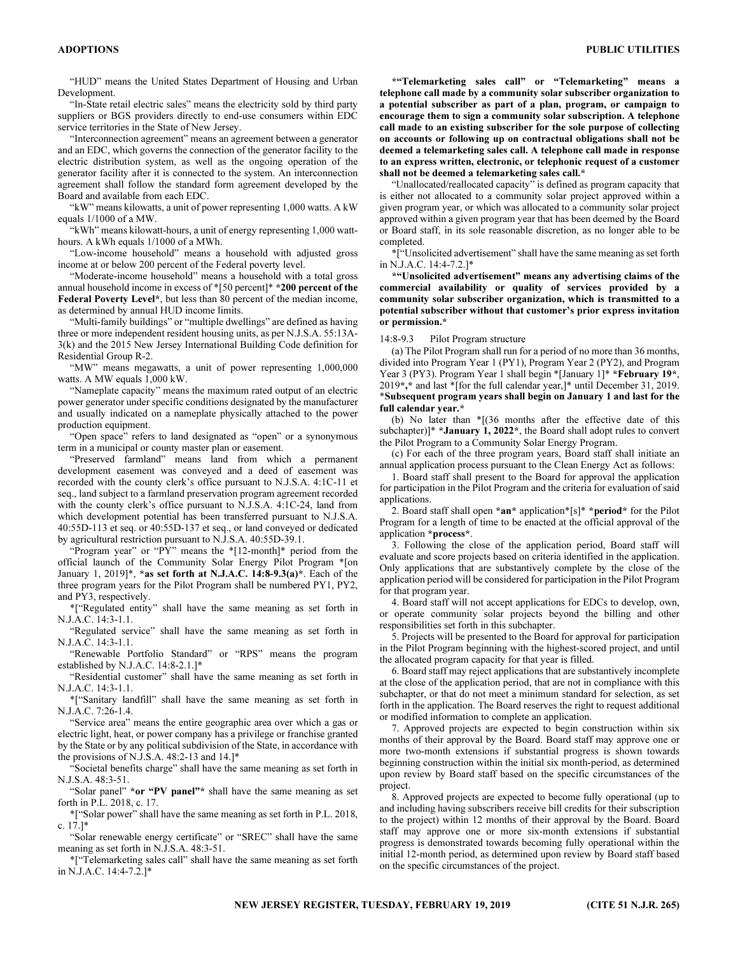"HUD" means the United States Department of Housing and Urban Development.

"In-State retail electric sales" means the electricity sold by third party suppliers or BGS providers directly to end-use consumers within EDC service territories in the State of New Jersey.

"Interconnection agreement" means an agreement between a generator and an EDC, which governs the connection of the generator facility to the electric distribution system, as well as the ongoing operation of the generator facility after it is connected to the system. An interconnection agreement shall follow the standard form agreement developed by the Board and available from each EDC.

"kW" means kilowatts, a unit of power representing 1,000 watts. A kW equals 1/1000 of a MW.

"kWh" means kilowatt-hours, a unit of energy representing 1,000 watthours. A kWh equals 1/1000 of a MWh.

"Low-income household" means a household with adjusted gross income at or below 200 percent of the Federal poverty level.

"Moderate-income household" means a household with a total gross annual household income in excess of \*[50 percent]\* \*200 percent of the Federal Poverty Level\*, but less than 80 percent of the median income, as determined by annual HUD income limits.

"Multi-family buildings" or "multiple dwellings" are defined as having three or more independent resident housing units, as per N.J.S.A. 55:13A-3(k) and the 2015 New Jersey International Building Code definition for Residential Group R-2.

"MW" means megawatts, a unit of power representing 1,000,000 watts. A MW equals 1,000 kW.

"Nameplate capacity" means the maximum rated output of an electric power generator under specific conditions designated by the manufacturer and usually indicated on a nameplate physically attached to the power production equipment.

"Open space" refers to land designated as "open" or a synonymous term in a municipal or county master plan or easement.

"Preserved farmland" means land from which a permanent development easement was conveyed and a deed of easement was recorded with the county clerk's office pursuant to N.J.S.A. 4:1C-11 et seq., land subject to a farmland preservation program agreement recorded with the county clerk's office pursuant to N.J.S.A. 4:1C-24, land from which development potential has been transferred pursuant to N.J.S.A. 40:55D-113 et seq. or 40:55D-137 et seq., or land conveyed or dedicated by agricultural restriction pursuant to N.J.S.A. 40:55D-39.1.

"Program year" or "PY" means the \*[12-month]\* period from the official launch of the Community Solar Energy Pilot Program \*[on January 1, 2019]\*, \*as set forth at N.J.A.C. 14:8-9.3(a)\*. Each of the three program years for the Pilot Program shall be numbered PY1, PY2, and PY3, respectively.

\*["Regulated entity" shall have the same meaning as set forth in N.J.A.C. 14:3-1.1.

"Regulated service" shall have the same meaning as set forth in N.J.A.C. 14:3-1.1.

"Renewable Portfolio Standard" or "RPS" means the program established by N.J.A.C. 14:8-2.1.]\*

"Residential customer" shall have the same meaning as set forth in N.J.A.C. 14:3-1.1.

\*["Sanitary landfill" shall have the same meaning as set forth in N.J.A.C. 7:26-1.4.

"Service area" means the entire geographic area over which a gas or electric light, heat, or power company has a privilege or franchise granted by the State or by any political subdivision of the State, in accordance with the provisions of N.J.S.A. 48:2-13 and 14.]\*

"Societal benefits charge" shall have the same meaning as set forth in N.J.S.A. 48:3-51.

"Solar panel" \*or "PV panel"\* shall have the same meaning as set forth in P.L. 2018, c. 17.

\*["Solar power" shall have the same meaning as set forth in P.L. 2018, c. 17.]\*

"Solar renewable energy certificate" or "SREC" shall have the same meaning as set forth in N.J.S.A. 48:3-51.

\*["Telemarketing sales call" shall have the same meaning as set forth in N.J.A.C. 14:4-7.2.]\*

\*"Telemarketing sales call" or "Telemarketing" means a telephone call made by a community solar subscriber organization to a potential subscriber as part of a plan, program, or campaign to encourage them to sign a community solar subscription. A telephone call made to an existing subscriber for the sole purpose of collecting on accounts or following up on contractual obligations shall not be deemed a telemarketing sales call. A telephone call made in response to an express written, electronic, or telephonic request of a customer shall not be deemed a telemarketing sales call.\*

"Unallocated/reallocated capacity" is defined as program capacity that is either not allocated to a community solar project approved within a given program year, or which was allocated to a community solar project approved within a given program year that has been deemed by the Board or Board staff, in its sole reasonable discretion, as no longer able to be completed.

\*["Unsolicited advertisement" shall have the same meaning as set forth in N.J.A.C. 14:4-7.2.]\*

\*"Unsolicited advertisement" means any advertising claims of the commercial availability or quality of services provided by a community solar subscriber organization, which is transmitted to a potential subscriber without that customer's prior express invitation or permission.\*

#### 14:8-9.3 Pilot Program structure

(a) The Pilot Program shall run for a period of no more than 36 months, divided into Program Year 1 (PY1), Program Year 2 (PY2), and Program Year 3 (PY3). Program Year 1 shall begin \*[January 1]\* \***February 19**\*, 2019\*,\* and last \*[for the full calendar year,]\* until December 31, 2019. \*Subsequent program years shall begin on January 1 and last for the full calendar year.\*

(b) No later than \*[(36 months after the effective date of this subchapter)]\* \*January 1, 2022\*, the Board shall adopt rules to convert the Pilot Program to a Community Solar Energy Program.

(c) For each of the three program years, Board staff shall initiate an annual application process pursuant to the Clean Energy Act as follows:

1. Board staff shall present to the Board for approval the application for participation in the Pilot Program and the criteria for evaluation of said applications.

2. Board staff shall open \*an\* application\*[s]\* \*period\* for the Pilot Program for a length of time to be enacted at the official approval of the application \*process\*.

3. Following the close of the application period, Board staff will evaluate and score projects based on criteria identified in the application. Only applications that are substantively complete by the close of the application period will be considered for participation in the Pilot Program for that program year.

4. Board staff will not accept applications for EDCs to develop, own, or operate community solar projects beyond the billing and other responsibilities set forth in this subchapter.

5. Projects will be presented to the Board for approval for participation in the Pilot Program beginning with the highest-scored project, and until the allocated program capacity for that year is filled.

6. Board staff may reject applications that are substantively incomplete at the close of the application period, that are not in compliance with this subchapter, or that do not meet a minimum standard for selection, as set forth in the application. The Board reserves the right to request additional or modified information to complete an application.

7. Approved projects are expected to begin construction within six months of their approval by the Board. Board staff may approve one or more two-month extensions if substantial progress is shown towards beginning construction within the initial six month-period, as determined upon review by Board staff based on the specific circumstances of the project.

8. Approved projects are expected to become fully operational (up to and including having subscribers receive bill credits for their subscription to the project) within 12 months of their approval by the Board. Board staff may approve one or more six-month extensions if substantial progress is demonstrated towards becoming fully operational within the initial 12-month period, as determined upon review by Board staff based on the specific circumstances of the project.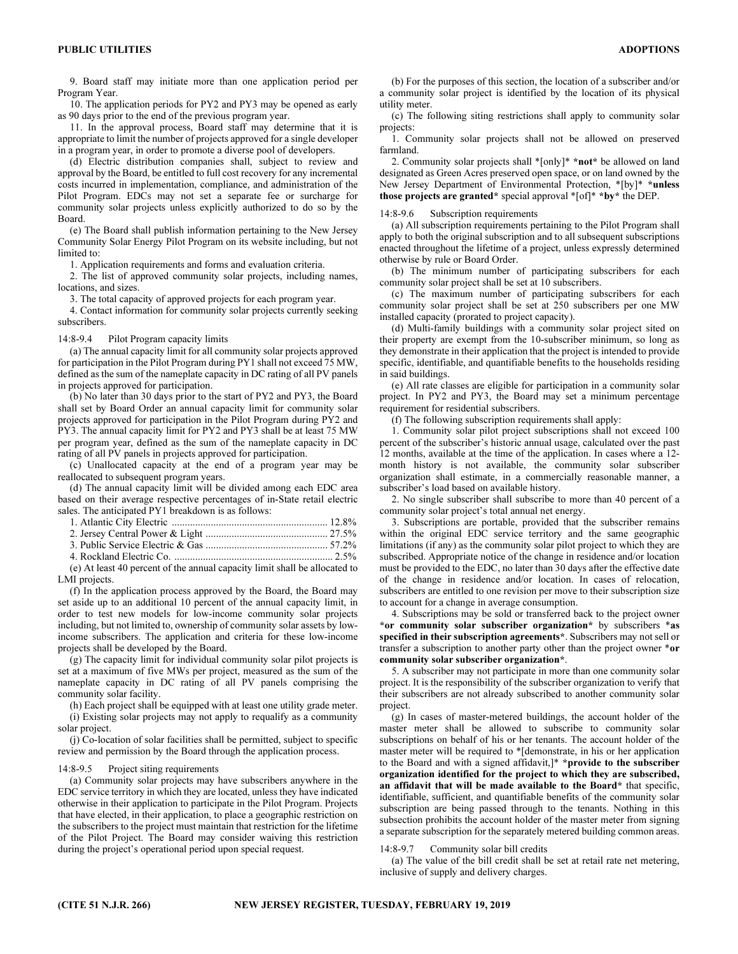9. Board staff may initiate more than one application period per Program Year.

10. The application periods for PY2 and PY3 may be opened as early as 90 days prior to the end of the previous program year.

11. In the approval process, Board staff may determine that it is appropriate to limit the number of projects approved for a single developer in a program year, in order to promote a diverse pool of developers.

(d) Electric distribution companies shall, subject to review and approval by the Board, be entitled to full cost recovery for any incremental costs incurred in implementation, compliance, and administration of the Pilot Program. EDCs may not set a separate fee or surcharge for community solar projects unless explicitly authorized to do so by the Board.

(e) The Board shall publish information pertaining to the New Jersey Community Solar Energy Pilot Program on its website including, but not limited to:

1. Application requirements and forms and evaluation criteria.

2. The list of approved community solar projects, including names, locations, and sizes.

3. The total capacity of approved projects for each program year.

4. Contact information for community solar projects currently seeking subscribers.

#### 14:8-9.4 Pilot Program capacity limits

(a) The annual capacity limit for all community solar projects approved for participation in the Pilot Program during PY1 shall not exceed 75 MW, defined as the sum of the nameplate capacity in DC rating of all PV panels in projects approved for participation.

(b) No later than 30 days prior to the start of PY2 and PY3, the Board shall set by Board Order an annual capacity limit for community solar projects approved for participation in the Pilot Program during PY2 and PY3. The annual capacity limit for PY2 and PY3 shall be at least 75 MW per program year, defined as the sum of the nameplate capacity in DC rating of all PV panels in projects approved for participation.

(c) Unallocated capacity at the end of a program year may be reallocated to subsequent program years.

(d) The annual capacity limit will be divided among each EDC area based on their average respective percentages of in-State retail electric sales. The anticipated PY1 breakdown is as follows:

(e) At least 40 percent of the annual capacity limit shall be allocated to LMI projects.

(f) In the application process approved by the Board, the Board may set aside up to an additional 10 percent of the annual capacity limit, in order to test new models for low-income community solar projects including, but not limited to, ownership of community solar assets by lowincome subscribers. The application and criteria for these low-income projects shall be developed by the Board.

(g) The capacity limit for individual community solar pilot projects is set at a maximum of five MWs per project, measured as the sum of the nameplate capacity in DC rating of all PV panels comprising the community solar facility.

(h) Each project shall be equipped with at least one utility grade meter. (i) Existing solar projects may not apply to requalify as a community solar project.

(j) Co-location of solar facilities shall be permitted, subject to specific review and permission by the Board through the application process.

## 14:8-9.5 Project siting requirements

(a) Community solar projects may have subscribers anywhere in the EDC service territory in which they are located, unless they have indicated otherwise in their application to participate in the Pilot Program. Projects that have elected, in their application, to place a geographic restriction on the subscribers to the project must maintain that restriction for the lifetime of the Pilot Project. The Board may consider waiving this restriction during the project's operational period upon special request.

(b) For the purposes of this section, the location of a subscriber and/or a community solar project is identified by the location of its physical utility meter.

(c) The following siting restrictions shall apply to community solar projects:

1. Community solar projects shall not be allowed on preserved farmland.

2. Community solar projects shall \*[only]\* \*not\* be allowed on land designated as Green Acres preserved open space, or on land owned by the New Jersey Department of Environmental Protection, \*[by]\* \*unless those projects are granted\* special approval \*[of]\* \*by\* the DEP.

## 14:8-9.6 Subscription requirements

(a) All subscription requirements pertaining to the Pilot Program shall apply to both the original subscription and to all subsequent subscriptions enacted throughout the lifetime of a project, unless expressly determined otherwise by rule or Board Order.

(b) The minimum number of participating subscribers for each community solar project shall be set at 10 subscribers.

(c) The maximum number of participating subscribers for each community solar project shall be set at 250 subscribers per one MW installed capacity (prorated to project capacity).

(d) Multi-family buildings with a community solar project sited on their property are exempt from the 10-subscriber minimum, so long as they demonstrate in their application that the project is intended to provide specific, identifiable, and quantifiable benefits to the households residing in said buildings.

(e) All rate classes are eligible for participation in a community solar project. In PY2 and PY3, the Board may set a minimum percentage requirement for residential subscribers.

(f) The following subscription requirements shall apply:

1. Community solar pilot project subscriptions shall not exceed 100 percent of the subscriber's historic annual usage, calculated over the past 12 months, available at the time of the application. In cases where a 12 month history is not available, the community solar subscriber organization shall estimate, in a commercially reasonable manner, a subscriber's load based on available history.

2. No single subscriber shall subscribe to more than 40 percent of a community solar project's total annual net energy.

3. Subscriptions are portable, provided that the subscriber remains within the original EDC service territory and the same geographic limitations (if any) as the community solar pilot project to which they are subscribed. Appropriate notice of the change in residence and/or location must be provided to the EDC, no later than 30 days after the effective date of the change in residence and/or location. In cases of relocation, subscribers are entitled to one revision per move to their subscription size to account for a change in average consumption.

4. Subscriptions may be sold or transferred back to the project owner \*or community solar subscriber organization\* by subscribers \*as specified in their subscription agreements\*. Subscribers may not sell or transfer a subscription to another party other than the project owner \*or community solar subscriber organization\*.

5. A subscriber may not participate in more than one community solar project. It is the responsibility of the subscriber organization to verify that their subscribers are not already subscribed to another community solar project.

(g) In cases of master-metered buildings, the account holder of the master meter shall be allowed to subscribe to community solar subscriptions on behalf of his or her tenants. The account holder of the master meter will be required to \*[demonstrate, in his or her application to the Board and with a signed affidavit,]\* \*provide to the subscriber organization identified for the project to which they are subscribed, an affidavit that will be made available to the Board\* that specific, identifiable, sufficient, and quantifiable benefits of the community solar subscription are being passed through to the tenants. Nothing in this subsection prohibits the account holder of the master meter from signing a separate subscription for the separately metered building common areas.

## 14:8-9.7 Community solar bill credits

(a) The value of the bill credit shall be set at retail rate net metering, inclusive of supply and delivery charges.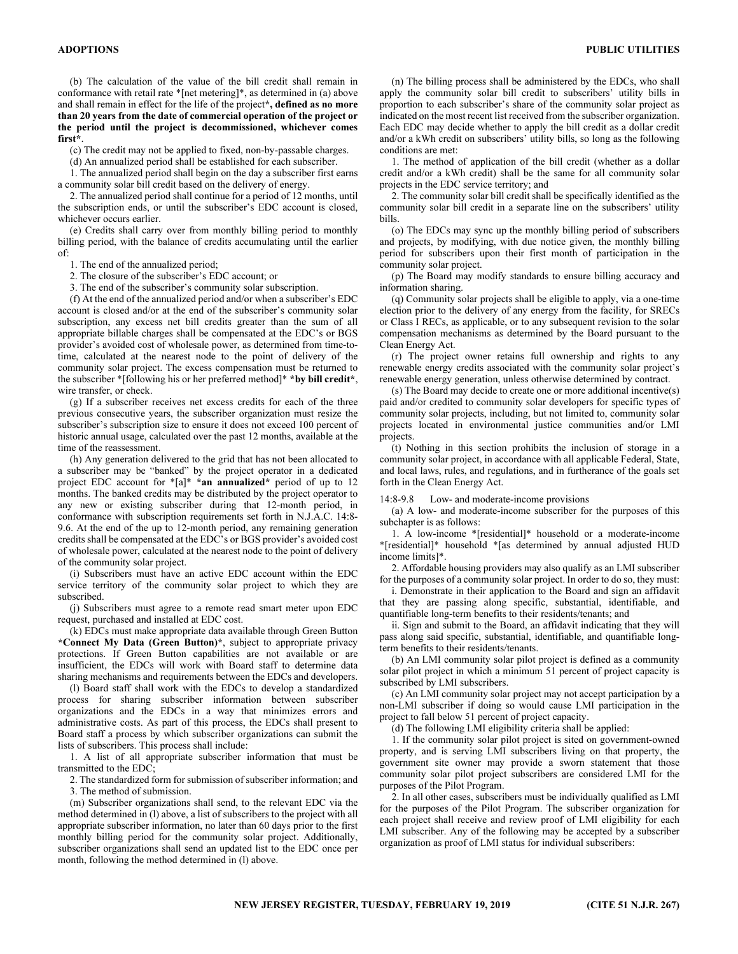(b) The calculation of the value of the bill credit shall remain in conformance with retail rate \*[net metering]\*, as determined in (a) above and shall remain in effect for the life of the project\*, defined as no more than 20 years from the date of commercial operation of the project or the period until the project is decommissioned, whichever comes first\*.

(c) The credit may not be applied to fixed, non-by-passable charges.

(d) An annualized period shall be established for each subscriber.

1. The annualized period shall begin on the day a subscriber first earns a community solar bill credit based on the delivery of energy.

2. The annualized period shall continue for a period of 12 months, until the subscription ends, or until the subscriber's EDC account is closed, whichever occurs earlier.

(e) Credits shall carry over from monthly billing period to monthly billing period, with the balance of credits accumulating until the earlier of:

1. The end of the annualized period;

2. The closure of the subscriber's EDC account; or

3. The end of the subscriber's community solar subscription.

(f) At the end of the annualized period and/or when a subscriber's EDC account is closed and/or at the end of the subscriber's community solar subscription, any excess net bill credits greater than the sum of all appropriate billable charges shall be compensated at the EDC's or BGS provider's avoided cost of wholesale power, as determined from time-totime, calculated at the nearest node to the point of delivery of the community solar project. The excess compensation must be returned to the subscriber \*[following his or her preferred method]\* \*by bill credit\*, wire transfer, or check.

(g) If a subscriber receives net excess credits for each of the three previous consecutive years, the subscriber organization must resize the subscriber's subscription size to ensure it does not exceed 100 percent of historic annual usage, calculated over the past 12 months, available at the time of the reassessment.

(h) Any generation delivered to the grid that has not been allocated to a subscriber may be "banked" by the project operator in a dedicated project EDC account for \*[a]\* \*an annualized\* period of up to 12 months. The banked credits may be distributed by the project operator to any new or existing subscriber during that 12-month period, in conformance with subscription requirements set forth in N.J.A.C. 14:8- 9.6. At the end of the up to 12-month period, any remaining generation credits shall be compensated at the EDC's or BGS provider's avoided cost of wholesale power, calculated at the nearest node to the point of delivery of the community solar project.

(i) Subscribers must have an active EDC account within the EDC service territory of the community solar project to which they are subscribed.

(j) Subscribers must agree to a remote read smart meter upon EDC request, purchased and installed at EDC cost.

(k) EDCs must make appropriate data available through Green Button \*Connect My Data (Green Button)\*, subject to appropriate privacy protections. If Green Button capabilities are not available or are insufficient, the EDCs will work with Board staff to determine data sharing mechanisms and requirements between the EDCs and developers.

(l) Board staff shall work with the EDCs to develop a standardized process for sharing subscriber information between subscriber organizations and the EDCs in a way that minimizes errors and administrative costs. As part of this process, the EDCs shall present to Board staff a process by which subscriber organizations can submit the lists of subscribers. This process shall include:

1. A list of all appropriate subscriber information that must be transmitted to the EDC;

2. The standardized form for submission of subscriber information; and 3. The method of submission.

(m) Subscriber organizations shall send, to the relevant EDC via the method determined in (l) above, a list of subscribers to the project with all appropriate subscriber information, no later than 60 days prior to the first monthly billing period for the community solar project. Additionally, subscriber organizations shall send an updated list to the EDC once per month, following the method determined in (l) above.

(n) The billing process shall be administered by the EDCs, who shall apply the community solar bill credit to subscribers' utility bills in proportion to each subscriber's share of the community solar project as indicated on the most recent list received from the subscriber organization. Each EDC may decide whether to apply the bill credit as a dollar credit and/or a kWh credit on subscribers' utility bills, so long as the following conditions are met:

1. The method of application of the bill credit (whether as a dollar credit and/or a kWh credit) shall be the same for all community solar projects in the EDC service territory; and

2. The community solar bill credit shall be specifically identified as the community solar bill credit in a separate line on the subscribers' utility bills.

(o) The EDCs may sync up the monthly billing period of subscribers and projects, by modifying, with due notice given, the monthly billing period for subscribers upon their first month of participation in the community solar project.

(p) The Board may modify standards to ensure billing accuracy and information sharing.

(q) Community solar projects shall be eligible to apply, via a one-time election prior to the delivery of any energy from the facility, for SRECs or Class I RECs, as applicable, or to any subsequent revision to the solar compensation mechanisms as determined by the Board pursuant to the Clean Energy Act.

(r) The project owner retains full ownership and rights to any renewable energy credits associated with the community solar project's renewable energy generation, unless otherwise determined by contract.

(s) The Board may decide to create one or more additional incentive(s) paid and/or credited to community solar developers for specific types of community solar projects, including, but not limited to, community solar projects located in environmental justice communities and/or LMI projects.

(t) Nothing in this section prohibits the inclusion of storage in a community solar project, in accordance with all applicable Federal, State, and local laws, rules, and regulations, and in furtherance of the goals set forth in the Clean Energy Act.

14:8-9.8 Low- and moderate-income provisions

(a) A low- and moderate-income subscriber for the purposes of this subchapter is as follows:

1. A low-income \*[residential]\* household or a moderate-income \*[residential]\* household \*[as determined by annual adjusted HUD income limits]\*.

2. Affordable housing providers may also qualify as an LMI subscriber for the purposes of a community solar project. In order to do so, they must:

i. Demonstrate in their application to the Board and sign an affidavit that they are passing along specific, substantial, identifiable, and quantifiable long-term benefits to their residents/tenants; and

ii. Sign and submit to the Board, an affidavit indicating that they will pass along said specific, substantial, identifiable, and quantifiable longterm benefits to their residents/tenants.

(b) An LMI community solar pilot project is defined as a community solar pilot project in which a minimum 51 percent of project capacity is subscribed by LMI subscribers.

(c) An LMI community solar project may not accept participation by a non-LMI subscriber if doing so would cause LMI participation in the project to fall below 51 percent of project capacity.

(d) The following LMI eligibility criteria shall be applied:

1. If the community solar pilot project is sited on government-owned property, and is serving LMI subscribers living on that property, the government site owner may provide a sworn statement that those community solar pilot project subscribers are considered LMI for the purposes of the Pilot Program.

2. In all other cases, subscribers must be individually qualified as LMI for the purposes of the Pilot Program. The subscriber organization for each project shall receive and review proof of LMI eligibility for each LMI subscriber. Any of the following may be accepted by a subscriber organization as proof of LMI status for individual subscribers: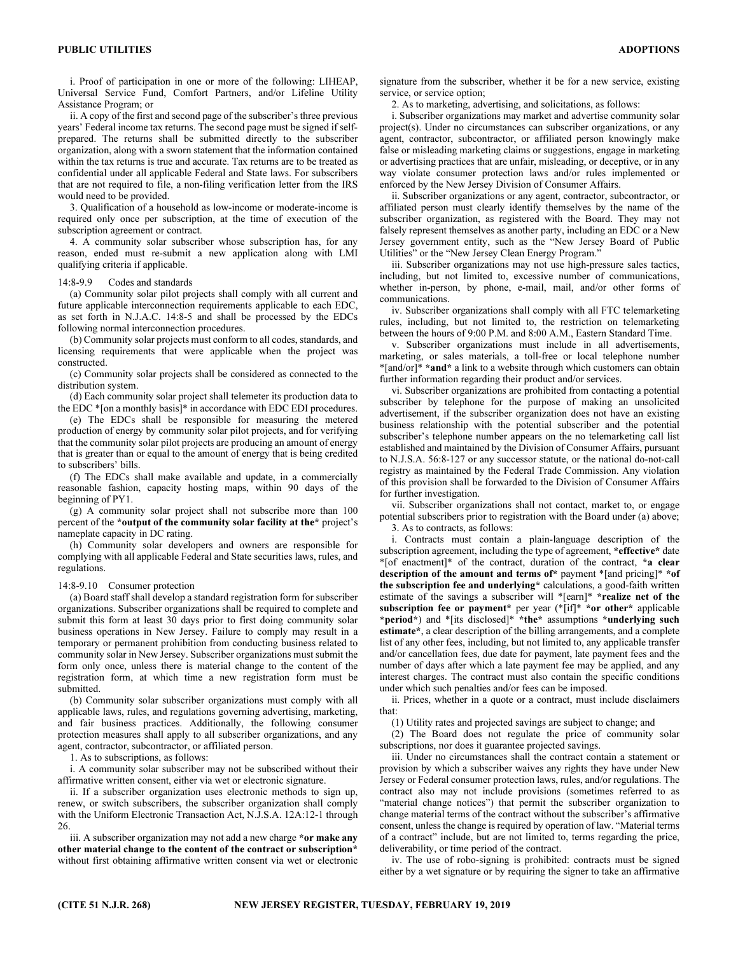i. Proof of participation in one or more of the following: LIHEAP, Universal Service Fund, Comfort Partners, and/or Lifeline Utility Assistance Program; or

ii. A copy of the first and second page of the subscriber's three previous years' Federal income tax returns. The second page must be signed if selfprepared. The returns shall be submitted directly to the subscriber organization, along with a sworn statement that the information contained within the tax returns is true and accurate. Tax returns are to be treated as confidential under all applicable Federal and State laws. For subscribers that are not required to file, a non-filing verification letter from the IRS would need to be provided.

3. Qualification of a household as low-income or moderate-income is required only once per subscription, at the time of execution of the subscription agreement or contract.

4. A community solar subscriber whose subscription has, for any reason, ended must re-submit a new application along with LMI qualifying criteria if applicable.

#### 14:8-9.9 Codes and standards

(a) Community solar pilot projects shall comply with all current and future applicable interconnection requirements applicable to each EDC, as set forth in N.J.A.C. 14:8-5 and shall be processed by the EDCs following normal interconnection procedures.

(b) Community solar projects must conform to all codes, standards, and licensing requirements that were applicable when the project was constructed.

(c) Community solar projects shall be considered as connected to the distribution system.

(d) Each community solar project shall telemeter its production data to the EDC \*[on a monthly basis]\* in accordance with EDC EDI procedures.

(e) The EDCs shall be responsible for measuring the metered production of energy by community solar pilot projects, and for verifying that the community solar pilot projects are producing an amount of energy that is greater than or equal to the amount of energy that is being credited to subscribers' bills.

(f) The EDCs shall make available and update, in a commercially reasonable fashion, capacity hosting maps, within 90 days of the beginning of PY1.

(g) A community solar project shall not subscribe more than 100 percent of the \*output of the community solar facility at the\* project's nameplate capacity in DC rating.

(h) Community solar developers and owners are responsible for complying with all applicable Federal and State securities laws, rules, and regulations.

#### 14:8-9.10 Consumer protection

(a) Board staff shall develop a standard registration form for subscriber organizations. Subscriber organizations shall be required to complete and submit this form at least 30 days prior to first doing community solar business operations in New Jersey. Failure to comply may result in a temporary or permanent prohibition from conducting business related to community solar in New Jersey. Subscriber organizations must submit the form only once, unless there is material change to the content of the registration form, at which time a new registration form must be submitted.

(b) Community solar subscriber organizations must comply with all applicable laws, rules, and regulations governing advertising, marketing, and fair business practices. Additionally, the following consumer protection measures shall apply to all subscriber organizations, and any agent, contractor, subcontractor, or affiliated person.

1. As to subscriptions, as follows:

i. A community solar subscriber may not be subscribed without their affirmative written consent, either via wet or electronic signature.

ii. If a subscriber organization uses electronic methods to sign up, renew, or switch subscribers, the subscriber organization shall comply with the Uniform Electronic Transaction Act, N.J.S.A. 12A:12-1 through 26.

iii. A subscriber organization may not add a new charge \*or make any other material change to the content of the contract or subscription\* without first obtaining affirmative written consent via wet or electronic signature from the subscriber, whether it be for a new service, existing service, or service option;

2. As to marketing, advertising, and solicitations, as follows:

i. Subscriber organizations may market and advertise community solar project(s). Under no circumstances can subscriber organizations, or any agent, contractor, subcontractor, or affiliated person knowingly make false or misleading marketing claims or suggestions, engage in marketing or advertising practices that are unfair, misleading, or deceptive, or in any way violate consumer protection laws and/or rules implemented or enforced by the New Jersey Division of Consumer Affairs.

ii. Subscriber organizations or any agent, contractor, subcontractor, or affiliated person must clearly identify themselves by the name of the subscriber organization, as registered with the Board. They may not falsely represent themselves as another party, including an EDC or a New Jersey government entity, such as the "New Jersey Board of Public Utilities" or the "New Jersey Clean Energy Program."

iii. Subscriber organizations may not use high-pressure sales tactics, including, but not limited to, excessive number of communications, whether in-person, by phone, e-mail, mail, and/or other forms of communications.

iv. Subscriber organizations shall comply with all FTC telemarketing rules, including, but not limited to, the restriction on telemarketing between the hours of 9:00 P.M. and 8:00 A.M., Eastern Standard Time.

v. Subscriber organizations must include in all advertisements, marketing, or sales materials, a toll-free or local telephone number \*[and/or]\* \*and\* a link to a website through which customers can obtain further information regarding their product and/or services.

vi. Subscriber organizations are prohibited from contacting a potential subscriber by telephone for the purpose of making an unsolicited advertisement, if the subscriber organization does not have an existing business relationship with the potential subscriber and the potential subscriber's telephone number appears on the no telemarketing call list established and maintained by the Division of Consumer Affairs, pursuant to N.J.S.A. 56:8-127 or any successor statute, or the national do-not-call registry as maintained by the Federal Trade Commission. Any violation of this provision shall be forwarded to the Division of Consumer Affairs for further investigation.

vii. Subscriber organizations shall not contact, market to, or engage potential subscribers prior to registration with the Board under (a) above; 3. As to contracts, as follows:

i. Contracts must contain a plain-language description of the subscription agreement, including the type of agreement, \*effective\* date \*[of enactment]\* of the contract, duration of the contract, \*a clear description of the amount and terms of\* payment \*[and pricing]\* \*of the subscription fee and underlying\* calculations, a good-faith written estimate of the savings a subscriber will \*[earn]\* \*realize net of the subscription fee or payment\* per year (\*[if]\* \*or other\* applicable \*period\*) and \*[its disclosed]\* \*the\* assumptions \*underlying such estimate\*, a clear description of the billing arrangements, and a complete list of any other fees, including, but not limited to, any applicable transfer and/or cancellation fees, due date for payment, late payment fees and the number of days after which a late payment fee may be applied, and any interest charges. The contract must also contain the specific conditions under which such penalties and/or fees can be imposed.

ii. Prices, whether in a quote or a contract, must include disclaimers that:

(1) Utility rates and projected savings are subject to change; and

(2) The Board does not regulate the price of community solar subscriptions, nor does it guarantee projected savings.

iii. Under no circumstances shall the contract contain a statement or provision by which a subscriber waives any rights they have under New Jersey or Federal consumer protection laws, rules, and/or regulations. The contract also may not include provisions (sometimes referred to as "material change notices") that permit the subscriber organization to change material terms of the contract without the subscriber's affirmative consent, unless the change is required by operation of law. "Material terms of a contract" include, but are not limited to, terms regarding the price, deliverability, or time period of the contract.

iv. The use of robo-signing is prohibited: contracts must be signed either by a wet signature or by requiring the signer to take an affirmative